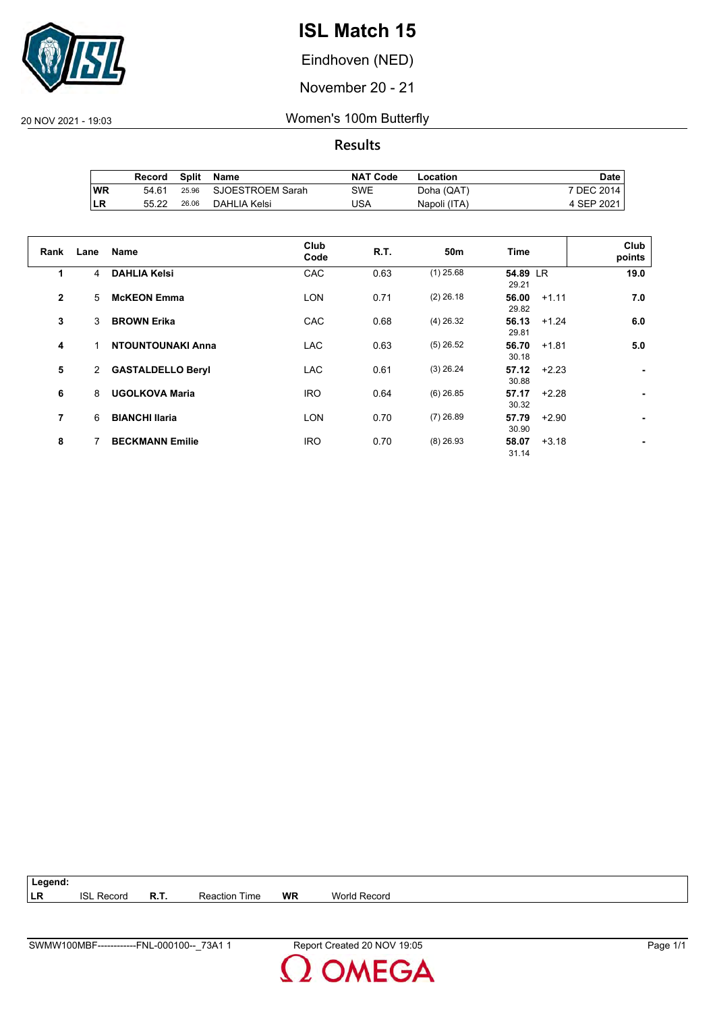

Eindhoven (NED)

November 20 - 21

20 NOV 2021 - 19:03 Women's 100m Butterfly

**Results**

|           | Record | Split | Name             | <b>NAT Code</b> | Location     | Date       |
|-----------|--------|-------|------------------|-----------------|--------------|------------|
| <b>WR</b> | 54.61  | 25.96 | SJOESTROEM Sarah | SWE             | Doha (QAT)   | 7 DEC 2014 |
| ∣LR       | 55.22  | 26.06 | DAHLIA Kelsi     | USA             | Napoli (ITA) | 4 SEP 2021 |

| Rank           | Lane         | <b>Name</b>              | Club<br>Code | R.T. | 50 <sub>m</sub> | Time                      | Club<br>points |
|----------------|--------------|--------------------------|--------------|------|-----------------|---------------------------|----------------|
| 1              | 4            | <b>DAHLIA Kelsi</b>      | CAC          | 0.63 | $(1)$ 25.68     | 54.89 LR<br>29.21         | 19.0           |
| $\mathbf{2}$   | 5            | <b>McKEON Emma</b>       | <b>LON</b>   | 0.71 | $(2)$ 26.18     | 56.00<br>$+1.11$<br>29.82 | 7.0            |
| 3              | 3            | <b>BROWN Erika</b>       | CAC          | 0.68 | $(4)$ 26.32     | 56.13<br>$+1.24$<br>29.81 | 6.0            |
| 4              | 1            | <b>NTOUNTOUNAKI Anna</b> | <b>LAC</b>   | 0.63 | $(5)$ 26.52     | 56.70<br>$+1.81$<br>30.18 | 5.0            |
| 5              | $\mathbf{2}$ | <b>GASTALDELLO Beryl</b> | LAC          | 0.61 | $(3)$ 26.24     | 57.12<br>$+2.23$<br>30.88 | ٠              |
| 6              | 8            | <b>UGOLKOVA Maria</b>    | <b>IRO</b>   | 0.64 | $(6)$ 26.85     | 57.17<br>$+2.28$<br>30.32 | ۰.             |
| $\overline{7}$ | 6            | <b>BIANCHI Ilaria</b>    | <b>LON</b>   | 0.70 | $(7)$ 26.89     | 57.79<br>$+2.90$<br>30.90 | ۰.             |
| 8              |              | <b>BECKMANN Emilie</b>   | <b>IRO</b>   | 0.70 | $(8)$ 26.93     | 58.07<br>$+3.18$<br>31.14 |                |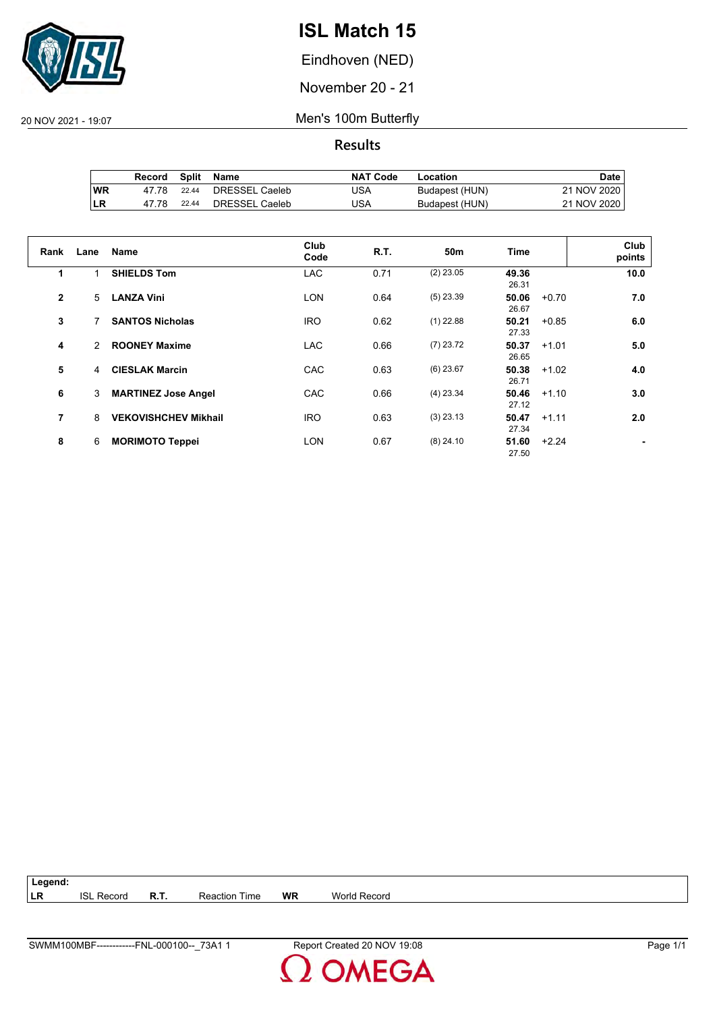

Eindhoven (NED)

November 20 - 21

20 NOV 2021 - 19:07 Men's 100m Butterfly

**Results**

|     | Record |       | Split Name     | <b>NAT Code</b> | Location       | Date        |
|-----|--------|-------|----------------|-----------------|----------------|-------------|
| 'WR | 47 78  | 22.44 | DRESSEL Caeleb | USA             | Budapest (HUN) | 21 NOV 2020 |
| ∣LR | 47.78  | 22.44 | DRESSEL Caeleb | USA             | Budapest (HUN) | 21 NOV 2020 |

| Rank           | Lane           | <b>Name</b>                 | Club<br>Code | R.T. | 50 <sub>m</sub> | Time           |         | Club<br>points |
|----------------|----------------|-----------------------------|--------------|------|-----------------|----------------|---------|----------------|
| 1              |                | <b>SHIELDS Tom</b>          | <b>LAC</b>   | 0.71 | $(2)$ 23.05     | 49.36<br>26.31 |         | 10.0           |
| $\overline{2}$ | 5              | <b>LANZA Vini</b>           | <b>LON</b>   | 0.64 | $(5)$ 23.39     | 50.06<br>26.67 | $+0.70$ | 7.0            |
| 3              |                | <b>SANTOS Nicholas</b>      | <b>IRO</b>   | 0.62 | $(1)$ 22.88     | 50.21<br>27.33 | $+0.85$ | 6.0            |
| 4              | 2              | <b>ROONEY Maxime</b>        | <b>LAC</b>   | 0.66 | $(7)$ 23.72     | 50.37<br>26.65 | $+1.01$ | 5.0            |
| 5              | $\overline{4}$ | <b>CIESLAK Marcin</b>       | CAC          | 0.63 | $(6)$ 23.67     | 50.38<br>26.71 | $+1.02$ | 4.0            |
| 6              | 3              | <b>MARTINEZ Jose Angel</b>  | CAC          | 0.66 | $(4)$ 23.34     | 50.46<br>27.12 | $+1.10$ | 3.0            |
| 7              | 8              | <b>VEKOVISHCHEV Mikhail</b> | <b>IRO</b>   | 0.63 | $(3)$ 23.13     | 50.47<br>27.34 | $+1.11$ | 2.0            |
| 8              | 6              | <b>MORIMOTO Teppei</b>      | <b>LON</b>   | 0.67 | $(8)$ 24.10     | 51.60<br>27.50 | $+2.24$ |                |

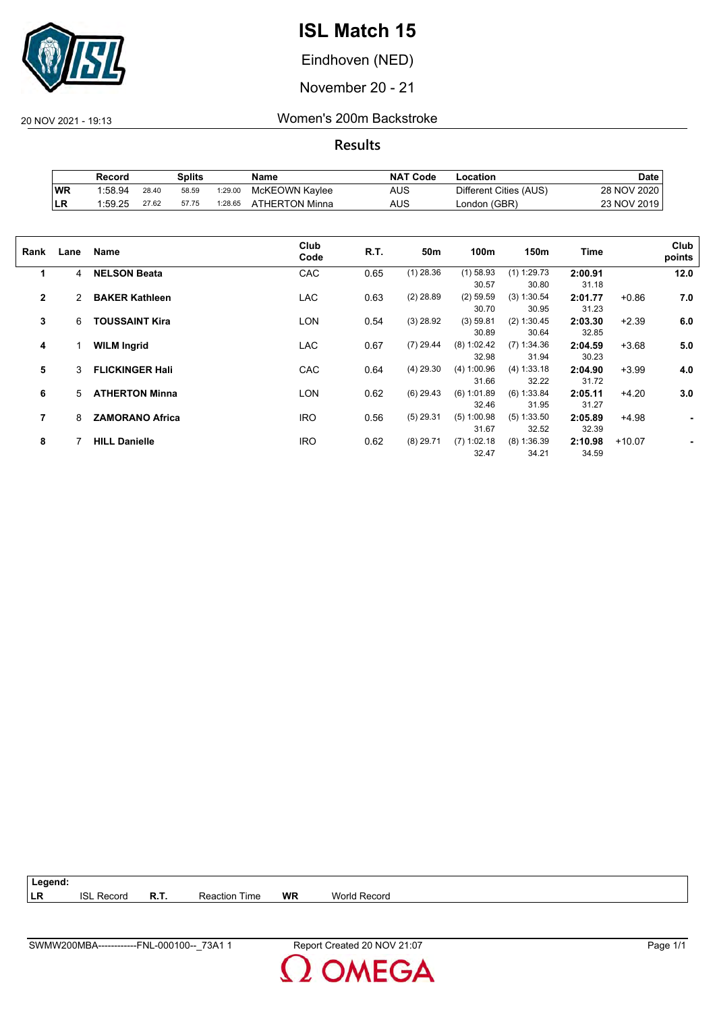

Eindhoven (NED)

November 20 - 21

20 NOV 2021 - 19:13 Women's 200m Backstroke

|            | Record  |       | Splits |         | Name           | <b>NAT Code</b> | ∟ocation               | <b>Date</b>   |
|------------|---------|-------|--------|---------|----------------|-----------------|------------------------|---------------|
| <b>IWR</b> | 1:58.94 | 28.40 | 58.59  | 1:29.00 | McKEOWN Kaylee | <b>AUS</b>      | Different Cities (AUS) | 28 NOV 2020   |
| <b>LR</b>  | 1:59.25 | 27.62 | 57.75  | 1:28.65 | ATHERTON Minna | AUS             | London (GBR)           | 23 NOV 2019 i |

| Rank         | Lane | Name                   | Club<br>Code | R.T. | 50m         | 100m          | 150m          | Time    |          | Club<br>points |
|--------------|------|------------------------|--------------|------|-------------|---------------|---------------|---------|----------|----------------|
| 1            | 4    | <b>NELSON Beata</b>    | CAC          | 0.65 | $(1)$ 28.36 | $(1)$ 58.93   | $(1)$ 1:29.73 | 2:00.91 |          | 12.0           |
|              |      |                        |              |      |             | 30.57         | 30.80         | 31.18   |          |                |
| $\mathbf{2}$ | 2    | <b>BAKER Kathleen</b>  | <b>LAC</b>   | 0.63 | $(2)$ 28.89 | $(2)$ 59.59   | (3) 1:30.54   | 2:01.77 | $+0.86$  | 7.0            |
|              |      |                        |              |      |             | 30.70         | 30.95         | 31.23   |          |                |
| 3            | 6    | <b>TOUSSAINT Kira</b>  | LON          | 0.54 | $(3)$ 28.92 | (3) 59.81     | (2) 1:30.45   | 2:03.30 | $+2.39$  | 6.0            |
|              |      |                        |              |      |             | 30.89         | 30.64         | 32.85   |          |                |
| 4            |      | <b>WILM Ingrid</b>     | <b>LAC</b>   | 0.67 | $(7)$ 29.44 | $(8)$ 1:02.42 | $(7)$ 1:34.36 | 2:04.59 | $+3.68$  | 5.0            |
|              |      |                        |              |      |             | 32.98         | 31.94         | 30.23   |          |                |
| 5            | 3    | <b>FLICKINGER Hali</b> | CAC          | 0.64 | $(4)$ 29.30 | (4) 1:00.96   | (4) 1:33.18   | 2:04.90 | $+3.99$  | 4.0            |
|              |      |                        |              |      |             | 31.66         | 32.22         | 31.72   |          |                |
| 6            | 5    | <b>ATHERTON Minna</b>  | LON          | 0.62 | $(6)$ 29.43 | (6) 1:01.89   | (6) 1:33.84   | 2:05.11 | $+4.20$  | 3.0            |
|              |      |                        |              |      |             | 32.46         | 31.95         | 31.27   |          |                |
| 7            | 8    | <b>ZAMORANO Africa</b> | <b>IRO</b>   | 0.56 | $(5)$ 29.31 | $(5)$ 1:00.98 | $(5)$ 1:33.50 | 2:05.89 | $+4.98$  | ۰              |
|              |      |                        |              |      |             | 31.67         | 32.52         | 32.39   |          |                |
| 8            |      | <b>HILL Danielle</b>   | <b>IRO</b>   | 0.62 | $(8)$ 29.71 | $(7)$ 1:02.18 | $(8)$ 1:36.39 | 2:10.98 | $+10.07$ |                |
|              |      |                        |              |      |             | 32.47         | 34.21         | 34.59   |          |                |
|              |      |                        |              |      |             |               |               |         |          |                |

| Legend:    |                   |      |                      |           |              |
|------------|-------------------|------|----------------------|-----------|--------------|
| <b>ILR</b> | <b>ISL Record</b> | R.T. | <b>Reaction Time</b> | <b>WR</b> | World Record |

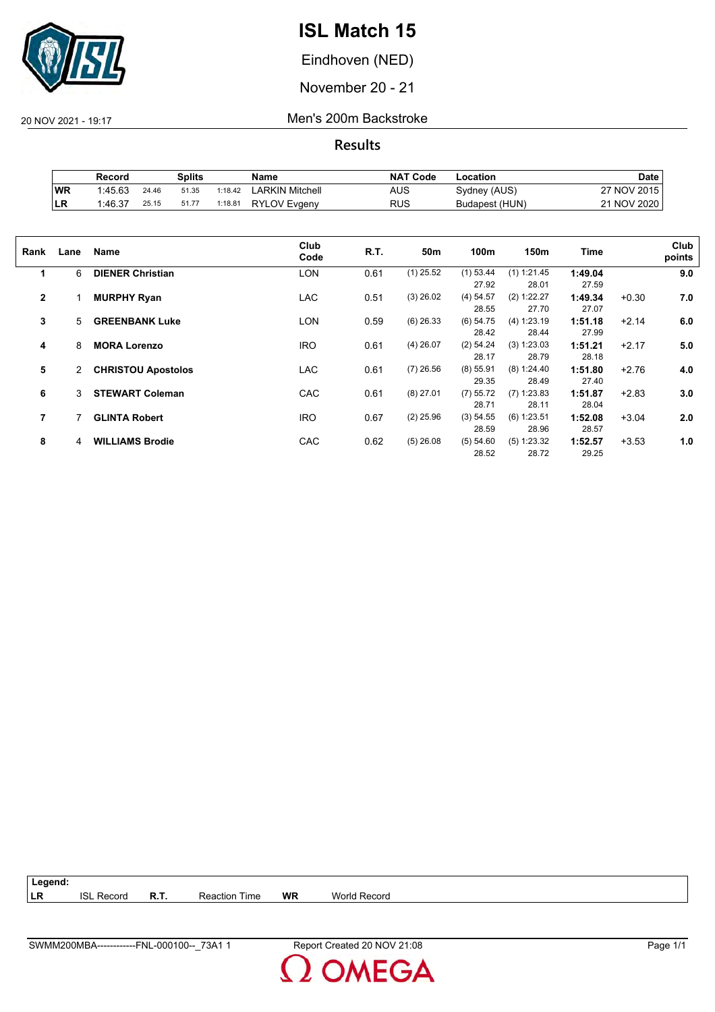

Eindhoven (NED)

November 20 - 21

20 NOV 2021 - 19:17 Men's 200m Backstroke

**Results**

|    | Record  |       | Splits |         | Name                | <b>NAT Code</b> | ∟ocation       | <b>Date</b>      |
|----|---------|-------|--------|---------|---------------------|-----------------|----------------|------------------|
| WR | 1:45.63 | 24.46 | 51.35  | 1:18.42 | LARKIN Mitchell     | AUS             | Sydney (AUS)   | 7 NOV 2015<br>っァ |
| LR | 1:46.37 | 25.15 | 51.77  | 1:18.81 | <b>RYLOV Evgeny</b> | RUS             | Budapest (HUN) | 21 NOV 2020      |

| Rank           | Lane | Name                      | Club<br>Code | R.T. | 50m         | 100m        | 150m          | Time    |         | Club<br>points |
|----------------|------|---------------------------|--------------|------|-------------|-------------|---------------|---------|---------|----------------|
|                |      |                           |              |      |             |             |               |         |         |                |
| 1              | 6    | <b>DIENER Christian</b>   | <b>LON</b>   | 0.61 | $(1)$ 25.52 | $(1)$ 53.44 | (1) 1:21.45   | 1:49.04 |         | 9.0            |
|                |      |                           |              |      |             | 27.92       | 28.01         | 27.59   |         |                |
| $\overline{2}$ |      | <b>MURPHY Ryan</b>        | <b>LAC</b>   | 0.51 | $(3)$ 26.02 | (4) 54.57   | $(2)$ 1:22.27 | 1:49.34 | $+0.30$ | 7.0            |
|                |      |                           |              |      |             | 28.55       | 27.70         | 27.07   |         |                |
| 3              | 5    | <b>GREENBANK Luke</b>     | <b>LON</b>   | 0.59 | $(6)$ 26.33 | (6) 54.75   | (4) 1:23.19   | 1:51.18 | $+2.14$ | 6.0            |
|                |      |                           |              |      |             | 28.42       | 28.44         | 27.99   |         |                |
| 4              | 8    | <b>MORA Lorenzo</b>       | <b>IRO</b>   | 0.61 | $(4)$ 26.07 | (2) 54.24   | (3) 1:23.03   | 1:51.21 | $+2.17$ | 5.0            |
|                |      |                           |              |      |             | 28.17       | 28.79         | 28.18   |         |                |
|                |      |                           |              |      |             |             |               |         |         |                |
| 5              | 2    | <b>CHRISTOU Apostolos</b> | <b>LAC</b>   | 0.61 | $(7)$ 26.56 | $(8)$ 55.91 | (8) 1:24.40   | 1:51.80 | $+2.76$ | 4.0            |
|                |      |                           |              |      |             | 29.35       | 28.49         | 27.40   |         |                |
| 6              | 3    | <b>STEWART Coleman</b>    | CAC          | 0.61 | $(8)$ 27.01 | (7) 55.72   | $(7)$ 1:23.83 | 1:51.87 | $+2.83$ | 3.0            |
|                |      |                           |              |      |             | 28.71       | 28.11         | 28.04   |         |                |
| 7              |      | <b>GLINTA Robert</b>      | <b>IRO</b>   | 0.67 | $(2)$ 25.96 | (3) 54.55   | $(6)$ 1:23.51 | 1:52.08 | $+3.04$ | 2.0            |
|                |      |                           |              |      |             | 28.59       | 28.96         | 28.57   |         |                |
| 8              | 4    | <b>WILLIAMS Brodie</b>    | CAC          | 0.62 | $(5)$ 26.08 | (5) 54.60   | $(5)$ 1:23.32 | 1:52.57 | $+3.53$ | 1.0            |
|                |      |                           |              |      |             |             |               |         |         |                |
|                |      |                           |              |      |             | 28.52       | 28.72         | 29.25   |         |                |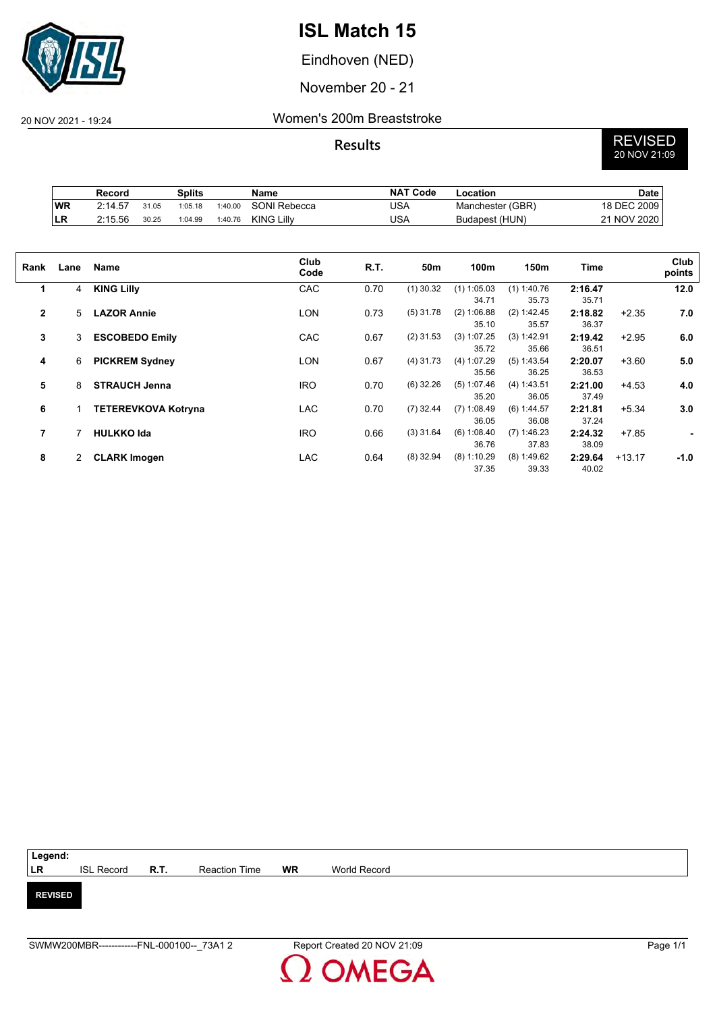

Eindhoven (NED)

November 20 - 21

### 20 NOV 2021 - 19:24 Women's 200m Breaststroke

# **Results** REVISED 20 NOV 21:09

|    | Record  |       | Splits  |         | <b>Name</b>       | <b>NAT Code</b> | Location         | Date        |
|----|---------|-------|---------|---------|-------------------|-----------------|------------------|-------------|
| WR | 2:14.57 | 31.05 | 1:05.18 | 1:40.00 | SONI Rebecca      | USA             | Manchester (GBR) | 18 DEC 2009 |
| LR | 2:15.56 | 30.25 | 1:04.99 | 1:40.76 | <b>KING Lilly</b> | USA             | Budapest (HUN)   | 21 NOV 2020 |

| Rank         | Lane         | Name                       | Club<br>Code | R.T. | 50m         | 100m          | 150m          | Time    |          | Club<br>points |
|--------------|--------------|----------------------------|--------------|------|-------------|---------------|---------------|---------|----------|----------------|
| 1            | 4            | <b>KING Lilly</b>          | CAC          | 0.70 | $(1)$ 30.32 | $(1)$ 1:05.03 | $(1)$ 1:40.76 | 2:16.47 |          | 12.0           |
|              |              |                            |              |      |             | 34.71         | 35.73         | 35.71   |          |                |
| $\mathbf{2}$ | 5            | <b>LAZOR Annie</b>         | <b>LON</b>   | 0.73 | $(5)$ 31.78 | (2) 1:06.88   | (2) 1:42.45   | 2:18.82 | $+2.35$  | 7.0            |
|              |              |                            |              |      |             | 35.10         | 35.57         | 36.37   |          |                |
| 3            | 3            | <b>ESCOBEDO Emily</b>      | CAC          | 0.67 | $(2)$ 31.53 | (3) 1:07.25   | (3) 1:42.91   | 2:19.42 | $+2.95$  | 6.0            |
|              |              |                            |              |      |             | 35.72         | 35.66         | 36.51   |          |                |
| 4            | 6            | <b>PICKREM Sydney</b>      | <b>LON</b>   | 0.67 | $(4)$ 31.73 | (4) 1:07.29   | $(5)$ 1:43.54 | 2:20.07 | $+3.60$  | 5.0            |
|              |              |                            |              |      |             | 35.56         | 36.25         | 36.53   |          |                |
| 5            | 8            | <b>STRAUCH Jenna</b>       | <b>IRO</b>   | 0.70 | $(6)$ 32.26 | (5) 1:07.46   | (4) 1:43.51   | 2:21.00 | $+4.53$  | 4.0            |
|              |              |                            |              |      |             | 35.20         | 36.05         | 37.49   |          |                |
| 6            |              | <b>TETEREVKOVA Kotryna</b> | <b>LAC</b>   | 0.70 | $(7)$ 32.44 | $(7)$ 1:08.49 | (6) 1:44.57   | 2:21.81 | $+5.34$  | 3.0            |
|              |              |                            |              |      |             | 36.05         | 36.08         | 37.24   |          |                |
| 7            |              | <b>HULKKO Ida</b>          | <b>IRO</b>   | 0.66 | $(3)$ 31.64 | (6) 1:08.40   | $(7)$ 1:46.23 | 2:24.32 | $+7.85$  | ٠              |
|              |              |                            |              |      |             | 36.76         | 37.83         | 38.09   |          |                |
| 8            | $\mathbf{2}$ | <b>CLARK Imogen</b>        | <b>LAC</b>   | 0.64 | $(8)$ 32.94 | $(8)$ 1:10.29 | $(8)$ 1:49.62 | 2:29.64 | $+13.17$ | $-1.0$         |
|              |              |                            |              |      |             | 37.35         | 39.33         | 40.02   |          |                |

| Legend:        |                        |               |    |              |  |
|----------------|------------------------|---------------|----|--------------|--|
| LR             | ISL Record <b>R.T.</b> | Reaction Time | WR | World Record |  |
|                |                        |               |    |              |  |
| <b>REVISED</b> |                        |               |    |              |  |
|                |                        |               |    |              |  |
|                |                        |               |    |              |  |

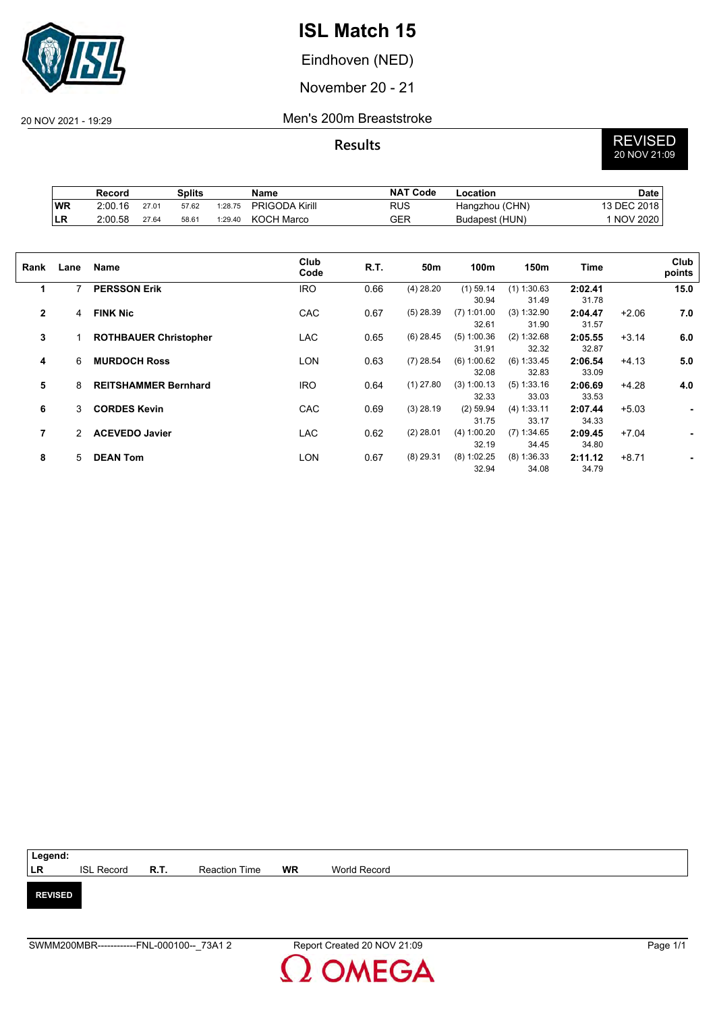

Eindhoven (NED)

November 20 - 21

### 20 NOV 2021 - 19:29 Men's 200m Breaststroke

# **Results** REVISED 20 NOV 21:09

|           | Record  |       | Splits |         | Name                  | <b>NAT Code</b> | Location       | Date        |
|-----------|---------|-------|--------|---------|-----------------------|-----------------|----------------|-------------|
| <b>WR</b> | 2:00.16 | 27.01 | 57.62  | 1:28.75 | <b>PRIGODA Kirill</b> | RUS             | Hangzhou (CHN) | 13 DEC 2018 |
| 'LR       | 2:00.58 | 27.64 | 58.61  | 1:29.40 | KOCH Marco            | GER             | Budapest (HUN) | 1 NOV 2020  |

| Rank           | Lane          | Name                         | Club<br>Code | R.T. | 50m         | 100m          | 150m          | <b>Time</b> |         | Club<br>points |
|----------------|---------------|------------------------------|--------------|------|-------------|---------------|---------------|-------------|---------|----------------|
| 1              |               | <b>PERSSON Erik</b>          | <b>IRO</b>   | 0.66 | $(4)$ 28.20 | $(1)$ 59.14   | $(1)$ 1:30.63 | 2:02.41     |         | 15.0           |
|                |               |                              |              |      |             | 30.94         | 31.49         | 31.78       |         |                |
| $\overline{2}$ | 4             | <b>FINK Nic</b>              | CAC          | 0.67 | $(5)$ 28.39 | $(7)$ 1:01.00 | (3) 1:32.90   | 2:04.47     | $+2.06$ | 7.0            |
|                |               |                              |              |      |             | 32.61         | 31.90         | 31.57       |         |                |
| 3              |               | <b>ROTHBAUER Christopher</b> | <b>LAC</b>   | 0.65 | $(6)$ 28.45 | $(5)$ 1:00.36 | (2) 1:32.68   | 2:05.55     | $+3.14$ | 6.0            |
|                |               |                              |              |      |             | 31.91         | 32.32         | 32.87       |         |                |
| 4              | 6             | <b>MURDOCH Ross</b>          | <b>LON</b>   | 0.63 | $(7)$ 28.54 | (6) 1:00.62   | (6) 1:33.45   | 2:06.54     | $+4.13$ | 5.0            |
|                |               |                              |              |      |             | 32.08         | 32.83         | 33.09       |         |                |
| 5              | 8             | <b>REITSHAMMER Bernhard</b>  | <b>IRO</b>   | 0.64 | $(1)$ 27.80 | $(3)$ 1:00.13 | (5) 1:33.16   | 2:06.69     | $+4.28$ | 4.0            |
|                |               |                              |              |      |             | 32.33         | 33.03         | 33.53       |         |                |
| 6              | 3             | <b>CORDES Kevin</b>          | CAC          | 0.69 | $(3)$ 28.19 | $(2)$ 59.94   | (4) 1:33.11   | 2:07.44     | $+5.03$ | ٠              |
|                |               |                              |              |      |             | 31.75         | 33.17         | 34.33       |         |                |
| 7              | $\mathcal{P}$ | <b>ACEVEDO Javier</b>        | <b>LAC</b>   | 0.62 | $(2)$ 28.01 | (4) 1:00.20   | $(7)$ 1:34.65 | 2:09.45     | $+7.04$ | ۰              |
|                |               |                              |              |      |             | 32.19         | 34.45         | 34.80       |         |                |
| 8              | 5             | <b>DEAN Tom</b>              | LON          | 0.67 | $(8)$ 29.31 | $(8)$ 1:02.25 | $(8)$ 1:36.33 | 2:11.12     | $+8.71$ |                |
|                |               |                              |              |      |             | 32.94         | 34.08         | 34.79       |         |                |

| Legend:        |                   |             |               |    |              |  |
|----------------|-------------------|-------------|---------------|----|--------------|--|
| LR             | <b>ISL Record</b> | <b>R.T.</b> | Reaction Time | WR | World Record |  |
|                |                   |             |               |    |              |  |
| <b>REVISED</b> |                   |             |               |    |              |  |
|                |                   |             |               |    |              |  |
|                |                   |             |               |    |              |  |

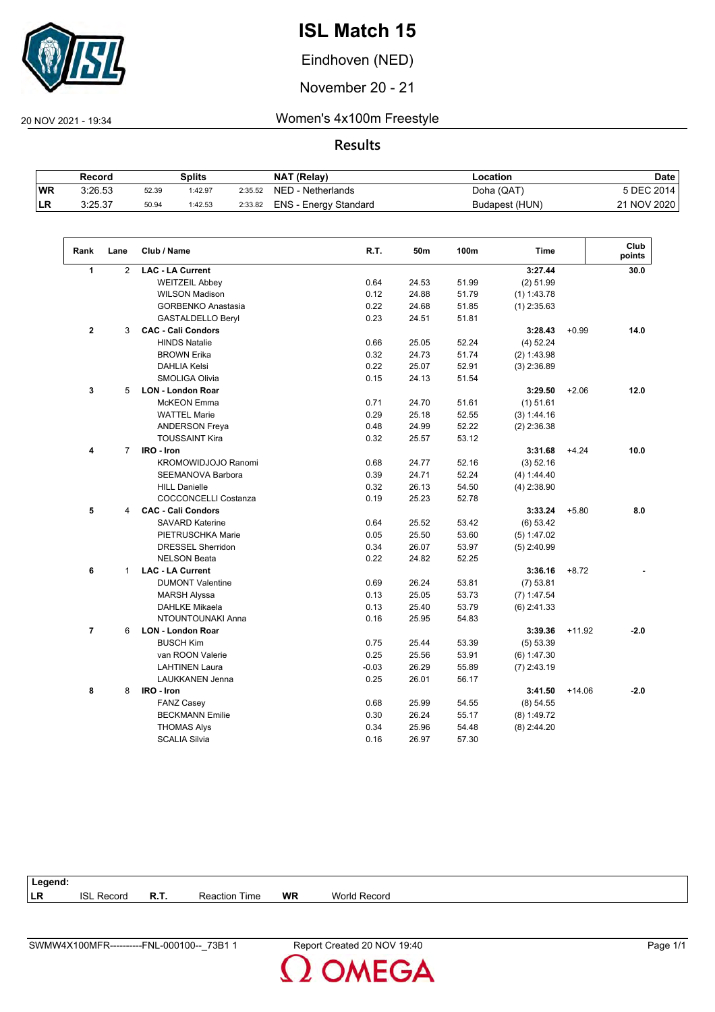

Eindhoven (NED)

November 20 - 21

 $\overline{\phantom{a}}$ 

20 NOV 2021 - 19:34 Women's 4x100m Freestyle

|            | Record  |       | Splits  |         | NAT (Relay)           | ∟ocation       | <b>Date</b> |
|------------|---------|-------|---------|---------|-----------------------|----------------|-------------|
| <b>WR</b>  | 3:26.53 | 52.39 | 1:42.97 | 2:35.52 | NED - Netherlands     | Doha (QAT)     | 5 DEC 2014  |
| <b>ILR</b> | 3:25.37 | 50.94 | 1:42.53 | 2:33.82 | ENS - Energy Standard | Budapest (HUN) | 21 NOV 2020 |

| Rank           | Lane           | Club / Name                 | R.T.    | 50m   | 100m  | <b>Time</b>   |          | Club<br>points |
|----------------|----------------|-----------------------------|---------|-------|-------|---------------|----------|----------------|
| $\mathbf{1}$   | 2              | <b>LAC - LA Current</b>     |         |       |       | 3:27.44       |          | 30.0           |
|                |                | <b>WEITZEIL Abbey</b>       | 0.64    | 24.53 | 51.99 | $(2)$ 51.99   |          |                |
|                |                | <b>WILSON Madison</b>       | 0.12    | 24.88 | 51.79 | $(1)$ 1:43.78 |          |                |
|                |                | <b>GORBENKO Anastasia</b>   | 0.22    | 24.68 | 51.85 | $(1)$ 2:35.63 |          |                |
|                |                | <b>GASTALDELLO Beryl</b>    | 0.23    | 24.51 | 51.81 |               |          |                |
| $\overline{2}$ | 3              | <b>CAC - Cali Condors</b>   |         |       |       | 3:28.43       | $+0.99$  | 14.0           |
|                |                | <b>HINDS Natalie</b>        | 0.66    | 25.05 | 52.24 | (4) 52.24     |          |                |
|                |                | <b>BROWN Erika</b>          | 0.32    | 24.73 | 51.74 | (2) 1:43.98   |          |                |
|                |                | <b>DAHLIA Kelsi</b>         | 0.22    | 25.07 | 52.91 | $(3)$ 2:36.89 |          |                |
|                |                | <b>SMOLIGA Olivia</b>       | 0.15    | 24.13 | 51.54 |               |          |                |
| 3              | 5              | <b>LON - London Roar</b>    |         |       |       | 3:29.50       | $+2.06$  | 12.0           |
|                |                | McKEON Emma                 | 0.71    | 24.70 | 51.61 | $(1)$ 51.61   |          |                |
|                |                | <b>WATTEL Marie</b>         | 0.29    | 25.18 | 52.55 | (3) 1:44.16   |          |                |
|                |                | <b>ANDERSON Freya</b>       | 0.48    | 24.99 | 52.22 | $(2)$ 2:36.38 |          |                |
|                |                | <b>TOUSSAINT Kira</b>       | 0.32    | 25.57 | 53.12 |               |          |                |
| 4              | $\overline{7}$ | IRO - Iron                  |         |       |       | 3:31.68       | $+4.24$  | 10.0           |
|                |                | KROMOWIDJOJO Ranomi         | 0.68    | 24.77 | 52.16 | (3) 52.16     |          |                |
|                |                | SEEMANOVA Barbora           | 0.39    | 24.71 | 52.24 | (4) 1:44.40   |          |                |
|                |                | <b>HILL Danielle</b>        | 0.32    | 26.13 | 54.50 | $(4)$ 2:38.90 |          |                |
|                |                | <b>COCCONCELLI Costanza</b> | 0.19    | 25.23 | 52.78 |               |          |                |
| 5              | 4              | <b>CAC - Cali Condors</b>   |         |       |       | 3:33.24       | $+5.80$  | 8.0            |
|                |                | <b>SAVARD Katerine</b>      | 0.64    | 25.52 | 53.42 | (6) 53.42     |          |                |
|                |                | PIETRUSCHKA Marie           | 0.05    | 25.50 | 53.60 | (5) 1:47.02   |          |                |
|                |                | <b>DRESSEL Sherridon</b>    | 0.34    | 26.07 | 53.97 | $(5)$ 2:40.99 |          |                |
|                |                | <b>NELSON Beata</b>         | 0.22    | 24.82 | 52.25 |               |          |                |
| 6              | $\mathbf{1}$   | <b>LAC - LA Current</b>     |         |       |       | 3:36.16       | $+8.72$  |                |
|                |                | <b>DUMONT Valentine</b>     | 0.69    | 26.24 | 53.81 | $(7)$ 53.81   |          |                |
|                |                | <b>MARSH Alyssa</b>         | 0.13    | 25.05 | 53.73 | $(7)$ 1:47.54 |          |                |
|                |                | <b>DAHLKE Mikaela</b>       | 0.13    | 25.40 | 53.79 | $(6)$ 2:41.33 |          |                |
|                |                | NTOUNTOUNAKI Anna           | 0.16    | 25.95 | 54.83 |               |          |                |
| $\overline{7}$ | 6              | <b>LON - London Roar</b>    |         |       |       | 3:39.36       | $+11.92$ | $-2.0$         |
|                |                | <b>BUSCH Kim</b>            | 0.75    | 25.44 | 53.39 | (5) 53.39     |          |                |
|                |                | van ROON Valerie            | 0.25    | 25.56 | 53.91 | (6) 1:47.30   |          |                |
|                |                | <b>LAHTINEN Laura</b>       | $-0.03$ | 26.29 | 55.89 | $(7)$ 2:43.19 |          |                |
|                |                | <b>LAUKKANEN Jenna</b>      | 0.25    | 26.01 | 56.17 |               |          |                |
| 8              | 8              | IRO - Iron                  |         |       |       | 3:41.50       | $+14.06$ | $-2.0$         |
|                |                | <b>FANZ Casey</b>           | 0.68    | 25.99 | 54.55 | $(8)$ 54.55   |          |                |
|                |                | <b>BECKMANN Emilie</b>      | 0.30    | 26.24 | 55.17 | $(8)$ 1:49.72 |          |                |
|                |                | <b>THOMAS Alys</b>          | 0.34    | 25.96 | 54.48 | $(8)$ 2:44.20 |          |                |
|                |                | <b>SCALIA Silvia</b>        | 0.16    | 26.97 | 57.30 |               |          |                |
|                |                |                             |         |       |       |               |          |                |

| Legend:   |                   |             |                      |           |              |
|-----------|-------------------|-------------|----------------------|-----------|--------------|
| <b>LR</b> | <b>ISL Record</b> | <b>R.T.</b> | <b>Reaction Time</b> | <b>WR</b> | World Record |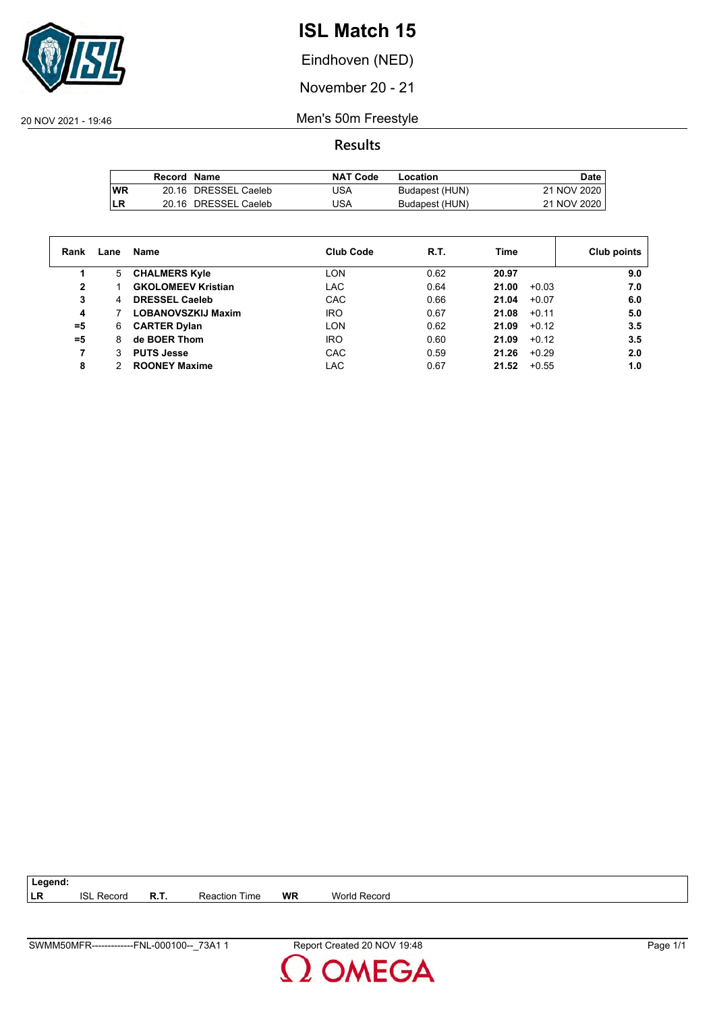

Eindhoven (NED)

November 20 - 21

20 NOV 2021 - 19:46 Men's 50m Freestyle

**Results**

|           | Record Name |                      | <b>NAT Code</b> | Location       | Date        |
|-----------|-------------|----------------------|-----------------|----------------|-------------|
| <b>WR</b> |             | 20.16 DRESSEL Caeleb | USA             | Budapest (HUN) | 21 NOV 2020 |
| LR        |             | 20.16 DRESSEL Caeleb | USA             | Budapest (HUN) | 21 NOV 2020 |

| Rank  | Lane | Name                      | <b>Club Code</b> | R.T. | Time             | Club points |
|-------|------|---------------------------|------------------|------|------------------|-------------|
|       | 5    | <b>CHALMERS Kyle</b>      | LON              | 0.62 | 20.97            | 9.0         |
| 2     |      | <b>GKOLOMEEV Kristian</b> | LAC              | 0.64 | 21.00<br>$+0.03$ | 7.0         |
| 3     | 4    | <b>DRESSEL Caeleb</b>     | CAC              | 0.66 | 21.04<br>$+0.07$ | 6.0         |
| 4     |      | <b>LOBANOVSZKIJ Maxim</b> | <b>IRO</b>       | 0.67 | 21.08<br>$+0.11$ | 5.0         |
| $= 5$ | 6    | <b>CARTER Dylan</b>       | <b>LON</b>       | 0.62 | 21.09<br>$+0.12$ | 3.5         |
| $= 5$ | 8    | de BOER Thom              | <b>IRO</b>       | 0.60 | 21.09<br>$+0.12$ | 3.5         |
| 7     |      | <b>PUTS Jesse</b>         | <b>CAC</b>       | 0.59 | 21.26<br>$+0.29$ | 2.0         |
| 8     |      | <b>ROONEY Maxime</b>      | LAC              | 0.67 | 21.52<br>$+0.55$ | 1.0         |

| $\sim$ $\sim$<br>זר<br>er. | Ime<br>'eaction<br>↢ | WE | W٢<br>Record |
|----------------------------|----------------------|----|--------------|
|                            |                      |    |              |

**Legend:**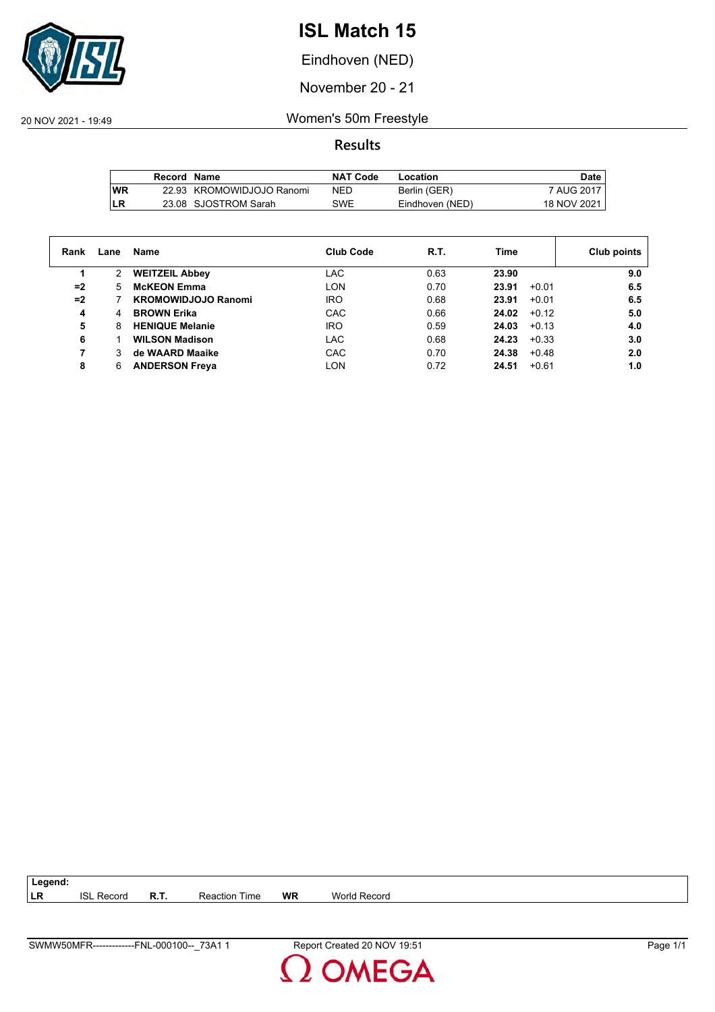

Eindhoven (NED)

November 20 - 21

20 NOV 2021 - 19:49 Women's 50m Freestyle

**Results**

|     | Record Name |                           | <b>NAT Code</b> | Location        | Date,       |
|-----|-------------|---------------------------|-----------------|-----------------|-------------|
| lWR |             | 22.93 KROMOWIDJOJO Ranomi | NED             | Berlin (GER)    | 7 AUG 2017  |
| LR  |             | 23.08 SJOSTROM Sarah      | SWE             | Eindhoven (NED) | 18 NOV 2021 |

| Rank | Lane | Name                       | <b>Club Code</b> | R.T. | Time             | Club points |
|------|------|----------------------------|------------------|------|------------------|-------------|
|      | 2    | <b>WEITZEIL Abbey</b>      | LAC              | 0.63 | 23.90            | 9.0         |
| $=2$ | 5.   | <b>McKEON Emma</b>         | LON              | 0.70 | 23.91<br>$+0.01$ | 6.5         |
| $=2$ |      | <b>KROMOWIDJOJO Ranomi</b> | <b>IRO</b>       | 0.68 | 23.91<br>$+0.01$ | 6.5         |
| 4    | 4    | <b>BROWN Erika</b>         | CAC              | 0.66 | 24.02<br>$+0.12$ | 5.0         |
| 5    | 8    | <b>HENIQUE Melanie</b>     | <b>IRO</b>       | 0.59 | 24.03<br>$+0.13$ | 4.0         |
| 6    |      | <b>WILSON Madison</b>      | LAC              | 0.68 | 24.23<br>$+0.33$ | 3.0         |
|      |      | de WAARD Maaike            | CAC              | 0.70 | 24.38<br>$+0.48$ | 2.0         |
| 8    | 6    | <b>ANDERSON Freya</b>      | LON              | 0.72 | 24.51<br>$+0.61$ | 1.0         |

**LR** ISL Record **R.T.** Reaction Time **WR** World Record

**Legend:**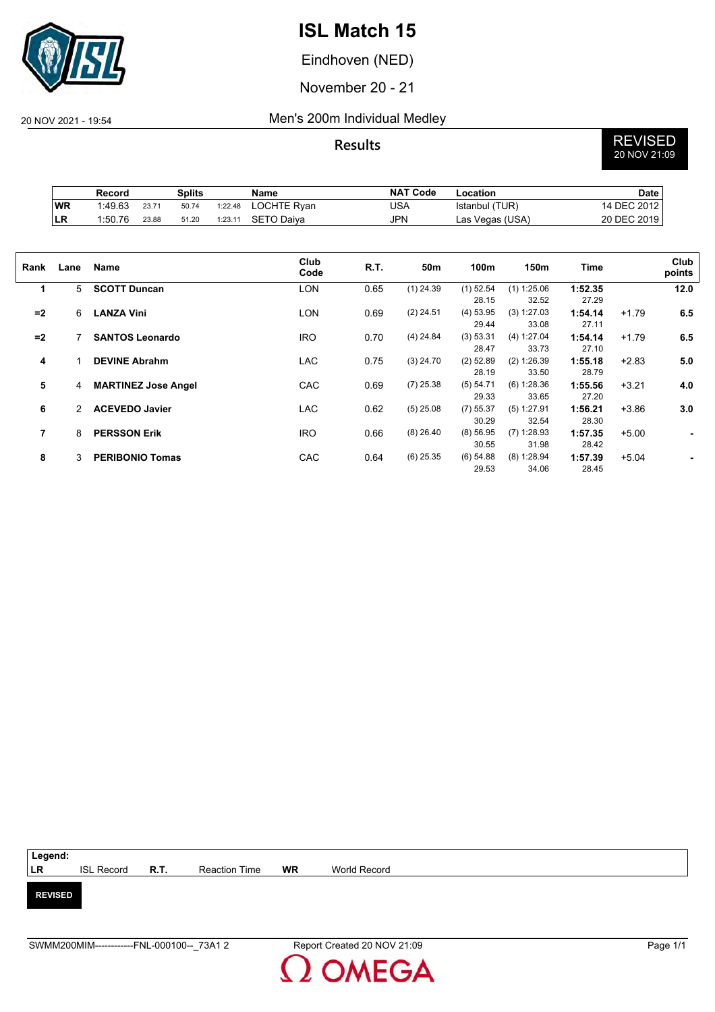

Eindhoven (NED)

November 20 - 21

#### 20 NOV 2021 - 19:54 Men's 200m Individual Medley

# **Results** REVISED 20 NOV 21:09

|            | Record  |       | Splits |         | Name        | <b>NAT Code</b> | Location        | Date        |
|------------|---------|-------|--------|---------|-------------|-----------------|-----------------|-------------|
| WR         | 1:49.63 | 23.71 | 50.74  | 1:22.48 | LOCHTE Ryan | USA             | Istanbul (TUR)  | 14 DEC 2012 |
| <b>ILR</b> | 1:50.76 | 23.88 | 51.20  | 1:23.11 | SETO Daiva  | JPN             | Las Vegas (USA) | 20 DEC 2019 |

| Rank | Lane          | Name                       | Club<br>Code | R.T. | 50m         | 100m        | 150m          | Time    |         | Club<br>points |
|------|---------------|----------------------------|--------------|------|-------------|-------------|---------------|---------|---------|----------------|
| 1    | 5             | <b>SCOTT Duncan</b>        | <b>LON</b>   | 0.65 | $(1)$ 24.39 | $(1)$ 52.54 | $(1)$ 1:25.06 | 1:52.35 |         | 12.0           |
|      |               |                            |              |      |             | 28.15       | 32.52         | 27.29   |         |                |
| $=2$ | 6             | <b>LANZA Vini</b>          | <b>LON</b>   | 0.69 | $(2)$ 24.51 | $(4)$ 53.95 | (3) 1:27.03   | 1:54.14 | $+1.79$ | 6.5            |
|      |               |                            |              |      |             | 29.44       | 33.08         | 27.11   |         |                |
| $=2$ |               | <b>SANTOS Leonardo</b>     | <b>IRO</b>   | 0.70 | $(4)$ 24.84 | (3) 53.31   | (4) 1:27.04   | 1:54.14 | $+1.79$ | 6.5            |
|      |               |                            |              |      |             | 28.47       | 33.73         | 27.10   |         |                |
| 4    |               | <b>DEVINE Abrahm</b>       | <b>LAC</b>   | 0.75 | $(3)$ 24.70 | $(2)$ 52.89 | $(2)$ 1:26.39 | 1:55.18 | $+2.83$ | 5.0            |
|      |               |                            |              |      |             | 28.19       | 33.50         | 28.79   |         |                |
| 5    | 4             | <b>MARTINEZ Jose Angel</b> | CAC          | 0.69 | $(7)$ 25.38 | (5) 54.71   | (6) 1:28.36   | 1:55.56 | $+3.21$ | 4.0            |
|      |               |                            |              |      |             | 29.33       | 33.65         | 27.20   |         |                |
| 6    | $\mathcal{P}$ | <b>ACEVEDO Javier</b>      | <b>LAC</b>   | 0.62 | $(5)$ 25.08 | $(7)$ 55.37 | $(5)$ 1:27.91 | 1:56.21 | $+3.86$ | 3.0            |
|      |               |                            |              |      |             | 30.29       | 32.54         | 28.30   |         |                |
| 7    | 8             | <b>PERSSON Erik</b>        | <b>IRO</b>   | 0.66 | $(8)$ 26.40 | $(8)$ 56.95 | $(7)$ 1:28.93 | 1:57.35 | $+5.00$ | ۰              |
|      |               |                            |              |      |             | 30.55       | 31.98         | 28.42   |         |                |
| 8    | 3             | <b>PERIBONIO Tomas</b>     | CAC          | 0.64 | $(6)$ 25.35 | $(6)$ 54.88 | $(8)$ 1:28.94 | 1:57.39 | $+5.04$ |                |
|      |               |                            |              |      |             | 29.53       | 34.06         | 28.45   |         |                |

| Legend:        |                   |             |                      |    |              |  |
|----------------|-------------------|-------------|----------------------|----|--------------|--|
| LR             | <b>ISL Record</b> | <b>R.T.</b> | <b>Reaction Time</b> | WR | World Record |  |
|                |                   |             |                      |    |              |  |
| <b>REVISED</b> |                   |             |                      |    |              |  |
|                |                   |             |                      |    |              |  |
|                |                   |             |                      |    |              |  |

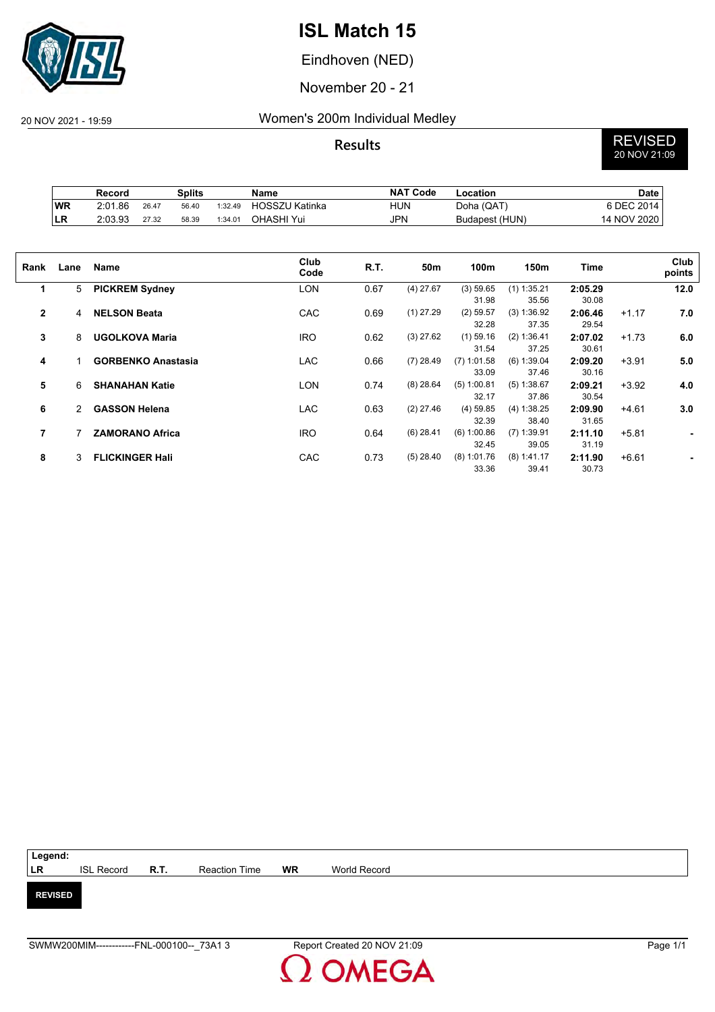

Eindhoven (NED)

November 20 - 21

### 20 NOV 2021 - 19:59 Women's 200m Individual Medley

**Results** REVISED 20 NOV 21:09

|           | Record  |       | Splits |         | Name                  | <b>NAT Code</b> | -ocation       | Date        |
|-----------|---------|-------|--------|---------|-----------------------|-----------------|----------------|-------------|
| <b>WR</b> | 2:01.86 | 26.47 | 56.40  | 1:32.49 | <b>HOSSZU Katinka</b> | <b>HUN</b>      | Doha (QAT)     | 6 DEC 2014  |
| ∣LR       | 2:03.93 | 27.32 | 58.39  | 1:34.01 | OHASHI Yui            | JPN             | Budapest (HUN) | 14 NOV 2020 |

| Rank           | Lane | Name                      | Club<br>Code | R.T. | 50m         | 100m          | 150m          | Time    |         | Club<br>points |
|----------------|------|---------------------------|--------------|------|-------------|---------------|---------------|---------|---------|----------------|
|                |      |                           |              |      |             |               |               |         |         |                |
| 1              | 5    | <b>PICKREM Sydney</b>     | <b>LON</b>   | 0.67 | $(4)$ 27.67 | (3) 59.65     | $(1)$ 1:35.21 | 2:05.29 |         | 12.0           |
|                |      |                           |              |      |             | 31.98         | 35.56         | 30.08   |         |                |
| $\overline{2}$ | 4    | <b>NELSON Beata</b>       | CAC          | 0.69 | $(1)$ 27.29 | $(2)$ 59.57   | (3) 1:36.92   | 2:06.46 | $+1.17$ | 7.0            |
|                |      |                           |              |      |             | 32.28         | 37.35         | 29.54   |         |                |
| 3              | 8    | <b>UGOLKOVA Maria</b>     | <b>IRO</b>   | 0.62 | $(3)$ 27.62 | $(1)$ 59.16   | (2) 1:36.41   | 2:07.02 | $+1.73$ | 6.0            |
|                |      |                           |              |      |             | 31.54         | 37.25         | 30.61   |         |                |
| 4              |      | <b>GORBENKO Anastasia</b> | <b>LAC</b>   | 0.66 | $(7)$ 28.49 | $(7)$ 1:01.58 | $(6)$ 1:39.04 | 2:09.20 | $+3.91$ | 5.0            |
|                |      |                           |              |      |             | 33.09         | 37.46         | 30.16   |         |                |
| 5              | 6    | <b>SHANAHAN Katie</b>     | <b>LON</b>   | 0.74 | $(8)$ 28.64 | $(5)$ 1:00.81 | (5) 1:38.67   | 2:09.21 | $+3.92$ | 4.0            |
|                |      |                           |              |      |             | 32.17         | 37.86         | 30.54   |         |                |
|                |      |                           |              |      |             |               |               |         |         |                |
| 6              | 2    | <b>GASSON Helena</b>      | <b>LAC</b>   | 0.63 | $(2)$ 27.46 | $(4)$ 59.85   | (4) 1:38.25   | 2:09.90 | $+4.61$ | 3.0            |
|                |      |                           |              |      |             | 32.39         | 38.40         | 31.65   |         |                |
| 7              |      | <b>ZAMORANO Africa</b>    | <b>IRO</b>   | 0.64 | $(6)$ 28.41 | (6) 1:00.86   | $(7)$ 1:39.91 | 2:11.10 | $+5.81$ | $\blacksquare$ |
|                |      |                           |              |      |             | 32.45         | 39.05         | 31.19   |         |                |
| 8              | 3    | <b>FLICKINGER Hali</b>    | CAC          | 0.73 | $(5)$ 28.40 | $(8)$ 1:01.76 | $(8)$ 1:41.17 | 2:11.90 | $+6.61$ | ۰              |
|                |      |                           |              |      |             | 33.36         | 39.41         | 30.73   |         |                |

| Legend:        |                        |               |    |              |
|----------------|------------------------|---------------|----|--------------|
| LR             | ISL Record <b>R.T.</b> | Reaction Time | WR | World Record |
|                |                        |               |    |              |
| <b>REVISED</b> |                        |               |    |              |
|                |                        |               |    |              |
|                |                        |               |    |              |

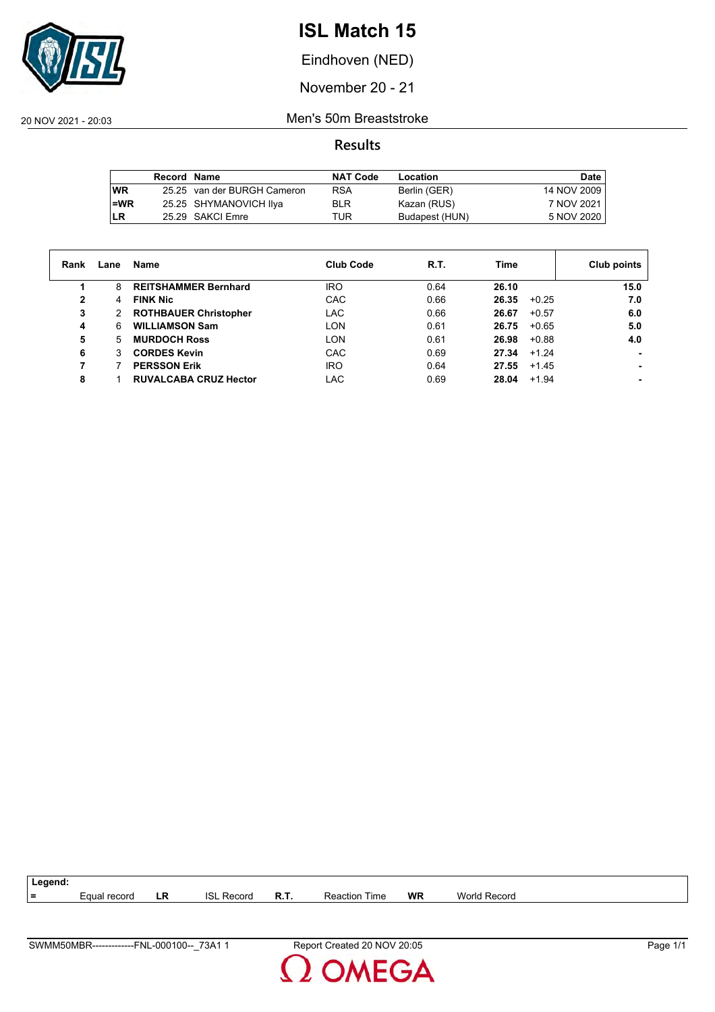

Eindhoven (NED)

November 20 - 21

20 NOV 2021 - 20:03 Men's 50m Breaststroke

**Results**

|           | <b>Record Name</b> |                             | <b>NAT Code</b> | Location       | Date        |
|-----------|--------------------|-----------------------------|-----------------|----------------|-------------|
| <b>WR</b> |                    | 25.25 van der BURGH Cameron | <b>RSA</b>      | Berlin (GER)   | 14 NOV 2009 |
| $l = WR$  |                    | 25.25 SHYMANOVICH IIya      | <b>BLR</b>      | Kazan (RUS)    | 7 NOV 2021  |
| ILR       |                    | 25.29 SAKCI Emre            | TUR             | Budapest (HUN) | 5 NOV 2020  |

| Rank         | Lane | Name                         | <b>Club Code</b> | R.T. | Time             | Club points |
|--------------|------|------------------------------|------------------|------|------------------|-------------|
|              | 8    | <b>REITSHAMMER Bernhard</b>  | <b>IRO</b>       | 0.64 | 26.10            | 15.0        |
| $\mathbf{2}$ | 4    | <b>FINK Nic</b>              | CAC              | 0.66 | 26.35<br>$+0.25$ | 7.0         |
| 3            | 2    | <b>ROTHBAUER Christopher</b> | <b>LAC</b>       | 0.66 | $+0.57$<br>26.67 | 6.0         |
| 4            | 6    | <b>WILLIAMSON Sam</b>        | LON              | 0.61 | $+0.65$<br>26.75 | 5.0         |
| 5            | 5    | <b>MURDOCH Ross</b>          | <b>LON</b>       | 0.61 | 26.98<br>$+0.88$ | 4.0         |
| 6            | 3    | <b>CORDES Kevin</b>          | CAC              | 0.69 | 27.34<br>$+1.24$ |             |
|              |      | <b>PERSSON Erik</b>          | <b>IRO</b>       | 0.64 | 27.55<br>$+1.45$ |             |
| 8            |      | <b>RUVALCABA CRUZ Hector</b> | LAC              | 0.69 | 28.04<br>$+1.94$ |             |



**MEGA**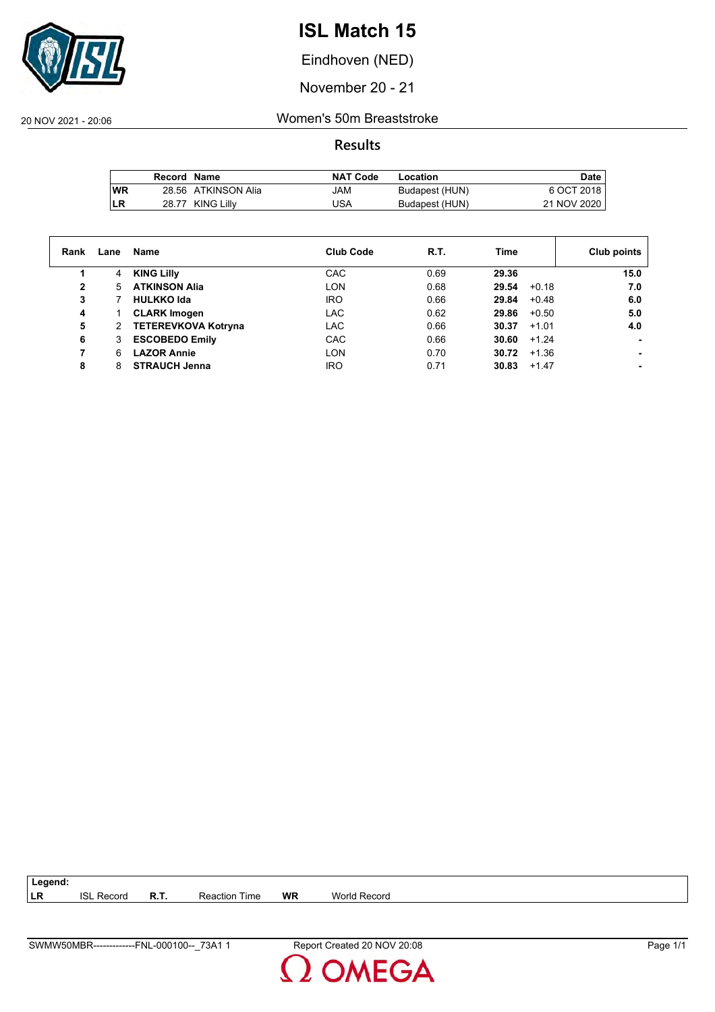

Eindhoven (NED)

November 20 - 21

20 NOV 2021 - 20:06 Women's 50m Breaststroke

**Results**

|           | Record Name |                     | <b>NAT Code</b> | Location       | <b>Date</b> |
|-----------|-------------|---------------------|-----------------|----------------|-------------|
| <b>WR</b> |             | 28.56 ATKINSON Alia | MAL             | Budapest (HUN) | 6 OCT 2018  |
| LR        |             | 28.77 KING Lilly    | USA             | Budapest (HUN) | 21 NOV 2020 |

| Rank | Lane | Name                       | <b>Club Code</b> | R.T. | Time             | Club points    |
|------|------|----------------------------|------------------|------|------------------|----------------|
| 1    | 4    | <b>KING Lilly</b>          | CAC              | 0.69 | 29.36            | 15.0           |
| 2    | 5    | <b>ATKINSON Alia</b>       | <b>LON</b>       | 0.68 | 29.54<br>$+0.18$ | 7.0            |
| 3    |      | <b>HULKKO Ida</b>          | <b>IRO</b>       | 0.66 | 29.84<br>$+0.48$ | 6.0            |
| 4    |      | <b>CLARK Imogen</b>        | <b>LAC</b>       | 0.62 | 29.86<br>$+0.50$ | 5.0            |
| 5    | 2    | <b>TETEREVKOVA Kotryna</b> | <b>LAC</b>       | 0.66 | 30.37<br>$+1.01$ | 4.0            |
| 6    | 3    | <b>ESCOBEDO Emily</b>      | CAC              | 0.66 | 30.60<br>$+1.24$ |                |
|      | 6.   | <b>LAZOR Annie</b>         | <b>LON</b>       | 0.70 | 30.72<br>$+1.36$ |                |
| 8    | 8    | <b>STRAUCH Jenna</b>       | <b>IRO</b>       | 0.71 | 30.83<br>$+1.47$ | $\blacksquare$ |

**LR** ISL Record **R.T.** Reaction Time **WR** World Record

**Legend:**

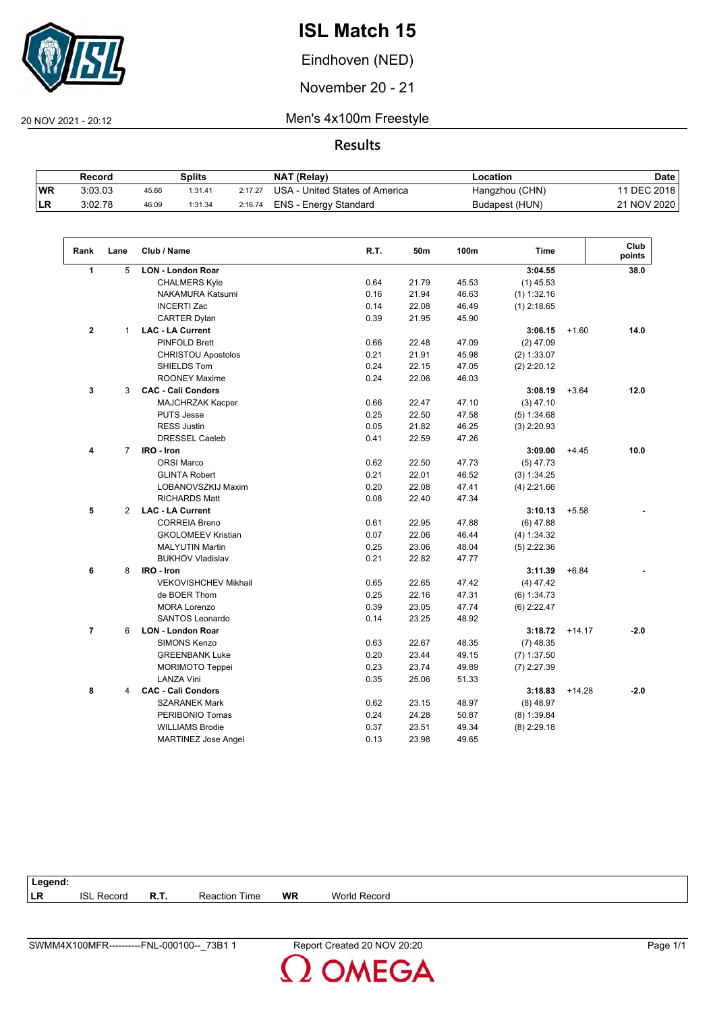

Eindhoven (NED)

November 20 - 21

 $\sqrt{2}$ 

20 NOV 2021 - 20:12 Men's 4x100m Freestyle

### **Results**

|           | Record  |       | Splits  |         | NAT (Relay)                    | Location       | Date         |
|-----------|---------|-------|---------|---------|--------------------------------|----------------|--------------|
| <b>WR</b> | 3:03.03 | 45.66 | 1:31.41 | 2:17.27 | USA - United States of America | Hangzhou (CHN) | 11 DEC 2018, |
| ILR.      | 3.02.78 | 46.09 | 1:31.34 | 2:16.74 | ENS - Energy Standard          | Budapest (HUN) | 21 NOV 2020  |

| Rank           | Lane           | Club / Name                 | R.T. | 50m   | 100m  | <b>Time</b>   |          | Club<br>points |
|----------------|----------------|-----------------------------|------|-------|-------|---------------|----------|----------------|
| $\mathbf{1}$   | 5              | <b>LON - London Roar</b>    |      |       |       | 3:04.55       |          | 38.0           |
|                |                | <b>CHALMERS Kyle</b>        | 0.64 | 21.79 | 45.53 | $(1)$ 45.53   |          |                |
|                |                | NAKAMURA Katsumi            | 0.16 | 21.94 | 46.63 | $(1)$ 1:32.16 |          |                |
|                |                | <b>INCERTI Zac</b>          | 0.14 | 22.08 | 46.49 | $(1)$ 2:18.65 |          |                |
|                |                | <b>CARTER Dylan</b>         | 0.39 | 21.95 | 45.90 |               |          |                |
| $\mathbf{2}$   | $\mathbf{1}$   | <b>LAC - LA Current</b>     |      |       |       | 3:06.15       | $+1.60$  | 14.0           |
|                |                | <b>PINFOLD Brett</b>        | 0.66 | 22.48 | 47.09 | $(2)$ 47.09   |          |                |
|                |                | <b>CHRISTOU Apostolos</b>   | 0.21 | 21.91 | 45.98 | (2) 1:33.07   |          |                |
|                |                | SHIELDS Tom                 | 0.24 | 22.15 | 47.05 | $(2)$ 2:20.12 |          |                |
|                |                | <b>ROONEY Maxime</b>        | 0.24 | 22.06 | 46.03 |               |          |                |
| 3              | 3              | <b>CAC - Cali Condors</b>   |      |       |       | 3:08.19       | $+3.64$  | 12.0           |
|                |                | MAJCHRZAK Kacper            | 0.66 | 22.47 | 47.10 | $(3)$ 47.10   |          |                |
|                |                | <b>PUTS Jesse</b>           | 0.25 | 22.50 | 47.58 | (5) 1:34.68   |          |                |
|                |                | <b>RESS Justin</b>          | 0.05 | 21.82 | 46.25 | $(3)$ 2:20.93 |          |                |
|                |                | <b>DRESSEL Caeleb</b>       | 0.41 | 22.59 | 47.26 |               |          |                |
| 4              | $\overline{7}$ | IRO - Iron                  |      |       |       | 3:09.00       | $+4.45$  | 10.0           |
|                |                | <b>ORSI Marco</b>           | 0.62 | 22.50 | 47.73 | $(5)$ 47.73   |          |                |
|                |                | <b>GLINTA Robert</b>        | 0.21 | 22.01 | 46.52 | (3) 1:34.25   |          |                |
|                |                | LOBANOVSZKIJ Maxim          | 0.20 | 22.08 | 47.41 | $(4)$ 2:21.66 |          |                |
|                |                | <b>RICHARDS Matt</b>        | 0.08 | 22.40 | 47.34 |               |          |                |
| 5              | 2              | <b>LAC - LA Current</b>     |      |       |       | 3:10.13       | $+5.58$  |                |
|                |                | <b>CORREIA Breno</b>        | 0.61 | 22.95 | 47.88 | $(6)$ 47.88   |          |                |
|                |                | <b>GKOLOMEEV Kristian</b>   | 0.07 | 22.06 | 46.44 | (4) 1:34.32   |          |                |
|                |                | <b>MALYUTIN Martin</b>      | 0.25 | 23.06 | 48.04 | $(5)$ 2:22.36 |          |                |
|                |                | <b>BUKHOV Vladislav</b>     | 0.21 | 22.82 | 47.77 |               |          |                |
| 6              | 8              | IRO - Iron                  |      |       |       | 3:11.39       | $+6.84$  |                |
|                |                | <b>VEKOVISHCHEV Mikhail</b> | 0.65 | 22.65 | 47.42 | $(4)$ 47.42   |          |                |
|                |                | de BOER Thom                | 0.25 | 22.16 | 47.31 | (6) 1:34.73   |          |                |
|                |                | <b>MORA Lorenzo</b>         | 0.39 | 23.05 | 47.74 | $(6)$ 2:22.47 |          |                |
|                |                | SANTOS Leonardo             | 0.14 | 23.25 | 48.92 |               |          |                |
| $\overline{7}$ | 6              | <b>LON - London Roar</b>    |      |       |       | 3:18.72       | $+14.17$ | $-2.0$         |
|                |                | <b>SIMONS Kenzo</b>         | 0.63 | 22.67 | 48.35 | $(7)$ 48.35   |          |                |
|                |                | <b>GREENBANK Luke</b>       | 0.20 | 23.44 | 49.15 | $(7)$ 1:37.50 |          |                |
|                |                | <b>MORIMOTO Teppei</b>      | 0.23 | 23.74 | 49.89 | $(7)$ 2:27.39 |          |                |
|                |                | <b>LANZA Vini</b>           | 0.35 | 25.06 | 51.33 |               |          |                |
| 8              | 4              | <b>CAC - Cali Condors</b>   |      |       |       | 3:18.83       | $+14.28$ | $-2.0$         |
|                |                | <b>SZARANEK Mark</b>        | 0.62 | 23.15 | 48.97 | $(8)$ 48.97   |          |                |
|                |                | PERIBONIO Tomas             | 0.24 | 24.28 | 50.87 | $(8)$ 1:39.84 |          |                |
|                |                | <b>WILLIAMS Brodie</b>      | 0.37 | 23.51 | 49.34 | $(8)$ 2:29.18 |          |                |
|                |                | <b>MARTINEZ Jose Angel</b>  | 0.13 | 23.98 | 49.65 |               |          |                |

| Legend:   |               |      |                  |           |                     |
|-----------|---------------|------|------------------|-----------|---------------------|
| <b>LR</b> | isl<br>Record | R.T. | Time<br>Reaction | <b>WR</b> | <b>World Record</b> |
|           |               |      |                  |           |                     |

**OMEGA**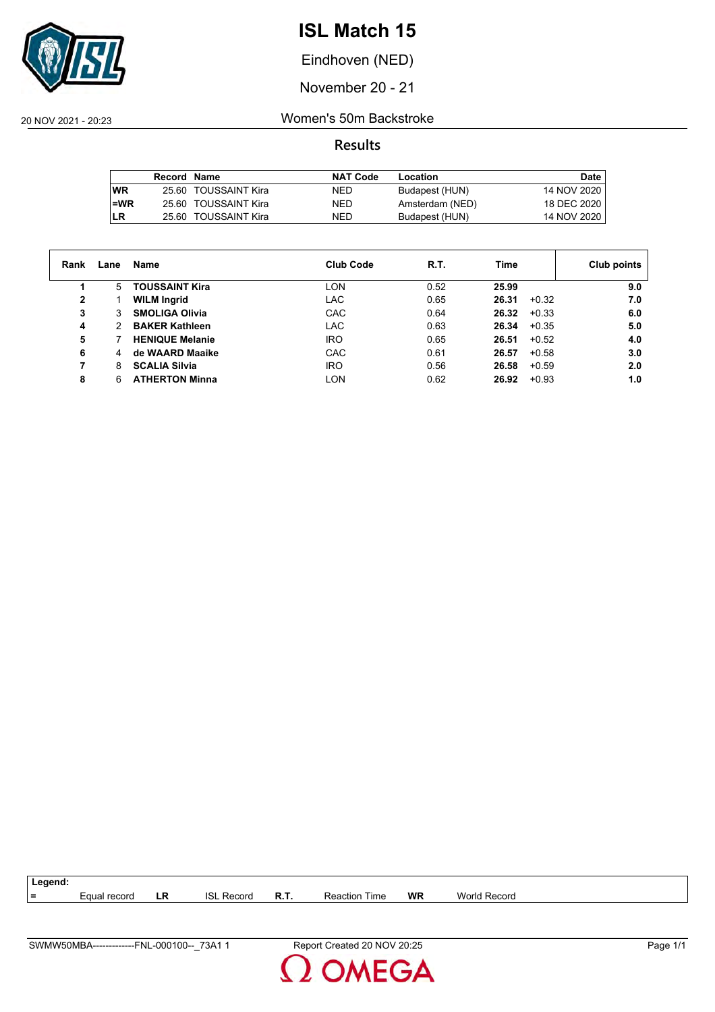

Eindhoven (NED)

November 20 - 21

20 NOV 2021 - 20:23 Women's 50m Backstroke

|           | Record Name |                      | <b>NAT Code</b> | Location        | Date        |
|-----------|-------------|----------------------|-----------------|-----------------|-------------|
| <b>WR</b> |             | 25.60 TOUSSAINT Kira | NED.            | Budapest (HUN)  | 14 NOV 2020 |
| l=WR      |             | 25.60 TOUSSAINT Kira | NED.            | Amsterdam (NED) | 18 DEC 2020 |
| <b>LR</b> |             | 25.60 TOUSSAINT Kira | NED.            | Budapest (HUN)  | 14 NOV 2020 |

| Rank | Lane | Name                   | <b>Club Code</b> | R.T. | Time             | Club points |
|------|------|------------------------|------------------|------|------------------|-------------|
|      | 5    | <b>TOUSSAINT Kira</b>  | LON              | 0.52 | 25.99            | 9.0         |
| 2    |      | <b>WILM Ingrid</b>     | LAC              | 0.65 | 26.31<br>$+0.32$ | 7.0         |
| 3    | 3    | <b>SMOLIGA Olivia</b>  | CAC              | 0.64 | 26.32<br>$+0.33$ | 6.0         |
| 4    | 2    | <b>BAKER Kathleen</b>  | LAC              | 0.63 | 26.34<br>$+0.35$ | 5.0         |
| 5    |      | <b>HENIQUE Melanie</b> | IRO              | 0.65 | 26.51<br>$+0.52$ | 4.0         |
| 6    | 4    | de WAARD Maaike        | CAC              | 0.61 | $+0.58$<br>26.57 | 3.0         |
| 7    | 8    | <b>SCALIA Silvia</b>   | IRO              | 0.56 | 26.58<br>$+0.59$ | 2.0         |
| 8    | 6    | <b>ATHERTON Minna</b>  | LON              | 0.62 | $+0.93$<br>26.92 | 1.0         |



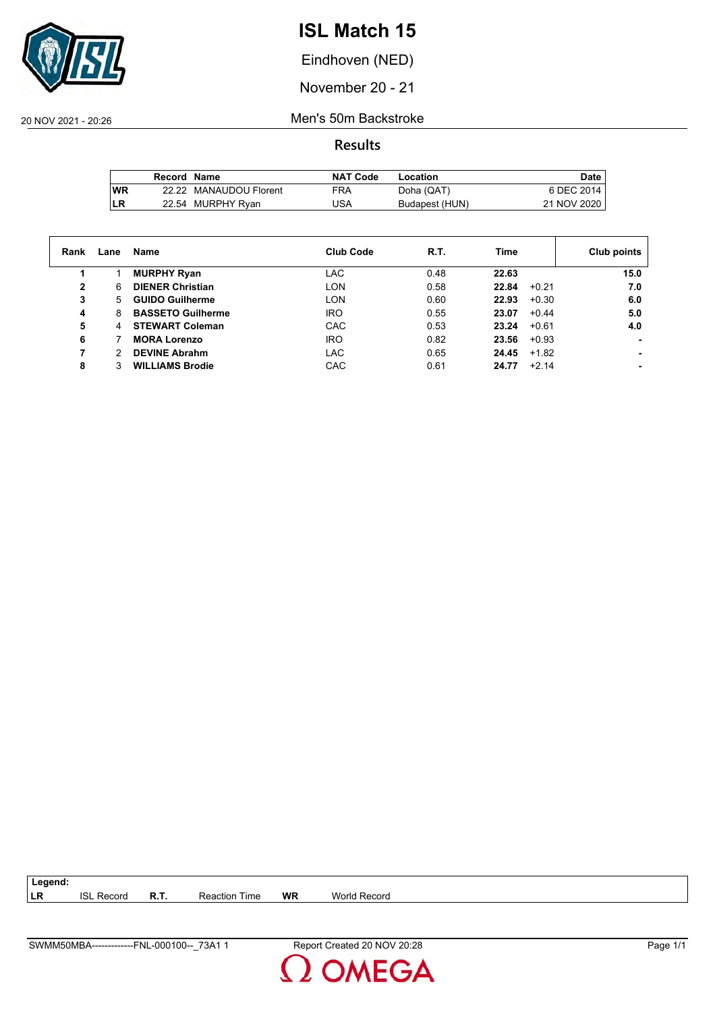

Eindhoven (NED)

November 20 - 21

20 NOV 2021 - 20:26 Men's 50m Backstroke

**Results**

|           | Record Name |                        | <b>NAT Code</b> | Location       | Date        |
|-----------|-------------|------------------------|-----------------|----------------|-------------|
| <b>WR</b> |             | 22.22 MANAUDOU Florent | FRA             | Doha (QAT)     | 6 DEC 2014  |
| LR        |             | 22.54 MURPHY Ryan      | JSA             | Budapest (HUN) | 21 NOV 2020 |

| Rank         | Lane | Name                     | <b>Club Code</b> | R.T. | Time             | Club points |
|--------------|------|--------------------------|------------------|------|------------------|-------------|
|              |      | <b>MURPHY Ryan</b>       | LAC              | 0.48 | 22.63            | 15.0        |
| $\mathbf{2}$ | 6    | <b>DIENER Christian</b>  | <b>LON</b>       | 0.58 | 22.84<br>$+0.21$ | 7.0         |
| 3            | 5.   | <b>GUIDO Guilherme</b>   | <b>LON</b>       | 0.60 | 22.93<br>$+0.30$ | 6.0         |
| 4            | 8    | <b>BASSETO Guilherme</b> | <b>IRO</b>       | 0.55 | $+0.44$<br>23.07 | 5.0         |
| 5            | 4    | <b>STEWART Coleman</b>   | CAC              | 0.53 | 23.24<br>$+0.61$ | 4.0         |
| 6            |      | <b>MORA Lorenzo</b>      | <b>IRO</b>       | 0.82 | 23.56<br>$+0.93$ |             |
|              |      | <b>DEVINE Abrahm</b>     | LAC              | 0.65 | 24.45<br>$+1.82$ |             |
| 8            |      | <b>WILLIAMS Brodie</b>   | CAC              | 0.61 | $+2.14$<br>24.77 |             |

| SWMM50MBA-------------<br>73A1<br>FNL-000100-- | '20:28<br>20 NOV<br>Report '<br>.t Created 1 | -<br>⊃aɑe |
|------------------------------------------------|----------------------------------------------|-----------|

**LR** ISL Record **R.T.** Reaction Time **WR** World Record

**Legend:**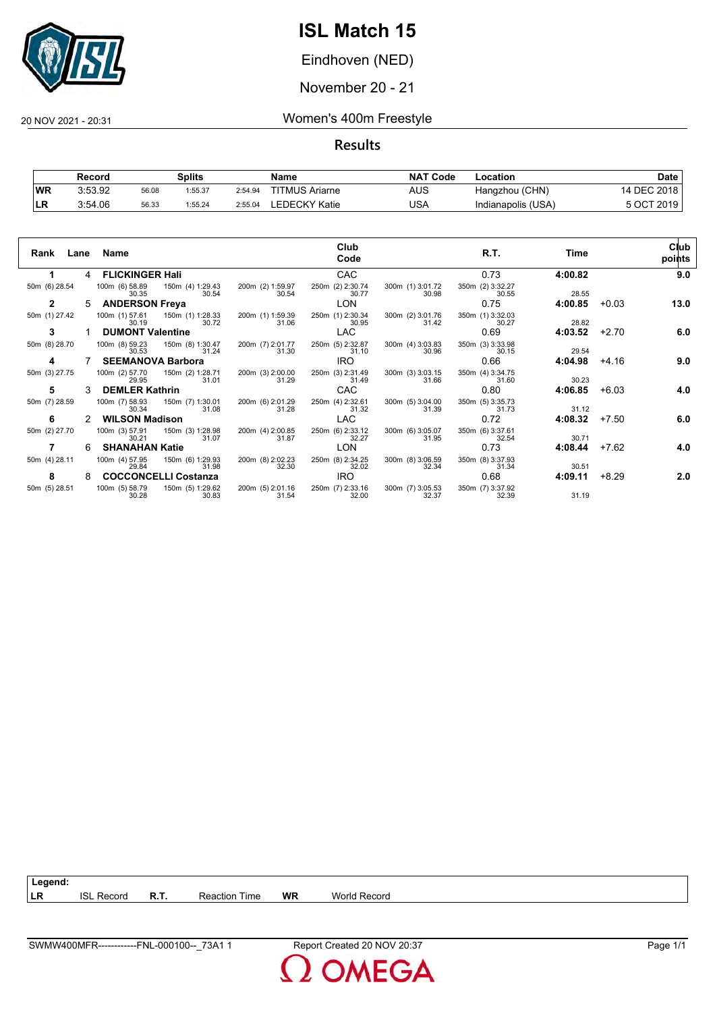

Eindhoven (NED)

November 20 - 21

20 NOV 2021 - 20:31 Women's 400m Freestyle

**Results**

|           | Record  |       | Splits  |         | Name                  | <b>NAT Code</b> | Location           | Date        |
|-----------|---------|-------|---------|---------|-----------------------|-----------------|--------------------|-------------|
| <b>WR</b> | 3:53.92 | 56.08 | 1:55.37 | 2:54.94 | <b>TITMUS Ariarne</b> | AUS             | Hangzhou (CHN)     | 14 DEC 2018 |
| ∣LR       | 3:54.06 | 56.33 | 1:55.24 | 2:55.04 | EDECKY Katie.         | USA             | Indianapolis (USA) | 5 OCT 2019  |

| Rank          |   | Lane Name                                 |                           |                           | Club<br>Code              |                           | R.T.                      | Time    |         | Club<br>points |
|---------------|---|-------------------------------------------|---------------------------|---------------------------|---------------------------|---------------------------|---------------------------|---------|---------|----------------|
| 1.            |   | 4 FLICKINGER Hali                         |                           |                           | <b>CAC</b>                |                           | 0.73                      | 4:00.82 |         | 9.0            |
| 50m (6) 28.54 |   | 100m (6) 58.89  150m (4) 1:29.43<br>30.35 | 30.54                     | 200m (2) 1:59.97<br>30.54 | 250m (2) 2:30.74<br>30.77 | 300m (1) 3:01.72<br>30.98 | 350m (2) 3:32.27<br>30.55 | 28.55   |         |                |
| $\mathbf{2}$  |   | <b>ANDERSON Freya</b>                     |                           |                           | <b>LON</b>                |                           | 0.75                      | 4:00.85 | $+0.03$ | 13.0           |
| 50m (1) 27.42 |   | 100m (1) 57.61  150m (1) 1:28.33<br>30.19 | 30.72                     | 200m (1) 1:59.39<br>31.06 | 250m (1) 2:30.34<br>30.95 | 300m (2) 3:01.76<br>31.42 | 350m (1) 3:32.03<br>30.27 | 28.82   |         |                |
| 3             |   | <b>DUMONT Valentine</b>                   |                           |                           | <b>LAC</b>                |                           | 0.69                      | 4:03.52 | $+2.70$ | 6.0            |
| 50m (8) 28.70 |   | 100m (8) 59.23<br>30.53                   | 150m (8) 1:30.47<br>31.24 | 200m (7) 2:01.77<br>31.30 | 250m (5) 2:32.87<br>31.10 | 300m (4) 3:03.83<br>30.96 | 350m (3) 3:33.98<br>30.15 | 29.54   |         |                |
| 4             |   | <b>SEEMANOVA Barbora</b>                  |                           |                           | IRO.                      |                           | 0.66                      | 4:04.98 | $+4.16$ | 9.0            |
| 50m (3) 27.75 |   | 100m (2) 57.70<br>29.95                   | 150m (2) 1:28.71<br>31.01 | 200m (3) 2:00.00<br>31.29 | 250m (3) 2:31.49<br>31.49 | 300m (3) 3:03.15<br>31.66 | 350m (4) 3:34.75<br>31.60 | 30.23   |         |                |
| 5             | 3 | <b>DEMLER Kathrin</b>                     |                           |                           | CAC                       |                           | 0.80                      | 4:06.85 | $+6.03$ | 4.0            |
| 50m (7) 28.59 |   | 100m (7) 58.93<br>30.34                   | 150m (7) 1:30.01<br>31.08 | 200m (6) 2:01.29<br>31.28 | 250m (4) 2:32.61<br>31.32 | 300m (5) 3:04.00<br>31.39 | 350m (5) 3:35.73<br>31.73 | 31.12   |         |                |
| 6             |   | <b>WILSON Madison</b>                     |                           |                           | <b>LAC</b>                |                           | 0.72                      | 4:08.32 | $+7.50$ | 6.0            |
| 50m (2) 27.70 |   | 100m (3) 57.91<br>30.21                   | 150m (3) 1:28.98<br>31.07 | 200m (4) 2:00.85<br>31.87 | 250m (6) 2:33.12<br>32.27 | 300m (6) 3:05.07<br>31.95 | 350m (6) 3:37.61<br>32.54 | 30.71   |         |                |
| 7             | 6 | <b>SHANAHAN Katie</b>                     |                           |                           | <b>LON</b>                |                           | 0.73                      | 4:08.44 | $+7.62$ | 4.0            |
| 50m (4) 28.11 |   | 100m (4) 57.95<br>29.84                   | 150m (6) 1:29.93<br>31.98 | 200m (8) 2:02.23<br>32.30 | 250m (8) 2:34.25<br>32.02 | 300m (8) 3:06.59<br>32.34 | 350m (8) 3:37.93<br>31.34 | 30.51   |         |                |
| 8             | 8 | <b>COCCONCELLI Costanza</b>               |                           |                           | IRO.                      |                           | 0.68                      | 4:09.11 | $+8.29$ | 2.0            |
| 50m (5) 28.51 |   | 100m (5) 58.79  150m (5) 1:29.62<br>30.28 | 30.83                     | 200m (5) 2:01.16<br>31.54 | 250m (7) 2:33.16<br>32.00 | 300m (7) 3:05.53<br>32.37 | 350m (7) 3:37.92<br>32.39 | 31.19   |         |                |

**Legend:**

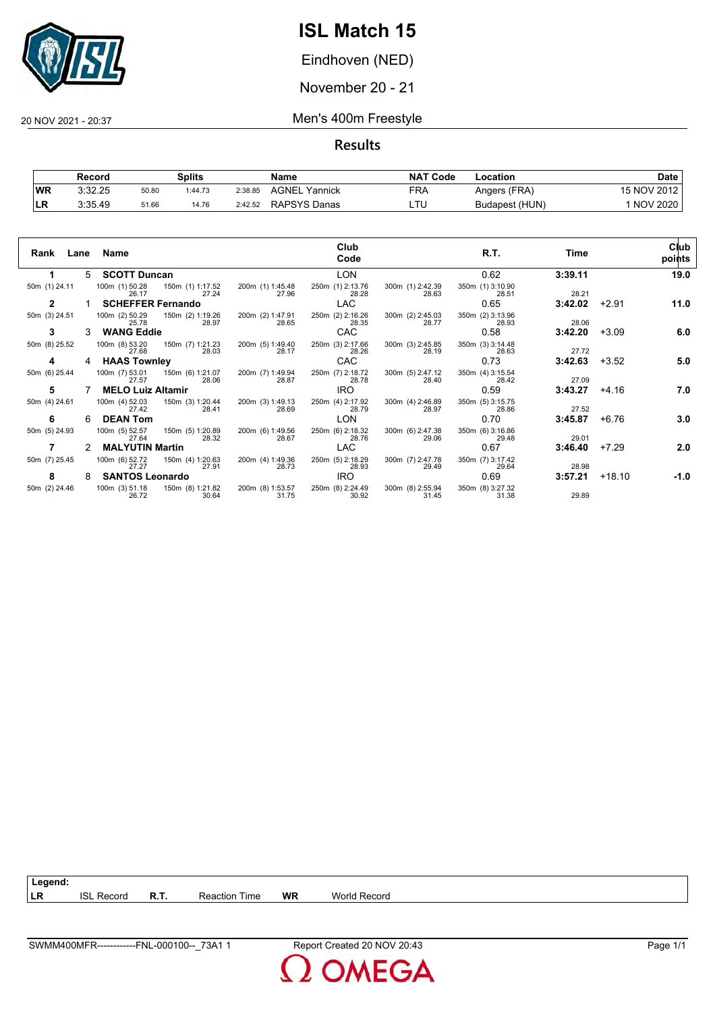

Eindhoven (NED)

November 20 - 21

### 20 NOV 2021 - 20:37 Men's 400m Freestyle

**Results**

|           | Splits<br>Record |       | <b>NAT</b><br>Name<br>' Code |         | Location         |            |                |                 |
|-----------|------------------|-------|------------------------------|---------|------------------|------------|----------------|-----------------|
| <b>WR</b> | 3:32.25          | 50.80 | 1:44.73                      | 2:38.85 | AGNEL<br>Yannick | <b>FRA</b> | Angers (FRA)   | 15 NOV 2012     |
| ъv        | 3:35.49          | 51.66 | 14.76                        | 2:42.52 | RAPSYS Danas     |            | Budapest (HUN) | <b>NOV 2020</b> |

| Rank<br>Lane  |   | Name                     |                           |                           | Club<br>Code              |                           | R.T.                      | Time    |          | Club<br>points |
|---------------|---|--------------------------|---------------------------|---------------------------|---------------------------|---------------------------|---------------------------|---------|----------|----------------|
|               | 5 | <b>SCOTT Duncan</b>      |                           |                           | <b>LON</b>                |                           | 0.62                      | 3:39.11 |          | 19.0           |
| 50m (1) 24.11 |   | 100m (1) 50.28<br>26.17  | 150m (1) 1:17.52<br>27.24 | 200m (1) 1:45.48<br>27.96 | 250m (1) 2:13.76<br>28.28 | 300m (1) 2:42.39<br>28.63 | 350m (1) 3:10.90<br>28.51 | 28.21   |          |                |
| 2             |   | <b>SCHEFFER Fernando</b> |                           |                           | LAC                       |                           | 0.65                      | 3:42.02 | $+2.91$  | 11.0           |
| 50m (3) 24.51 |   | 100m (2) 50.29<br>25.78  | 150m (2) 1:19.26<br>28.97 | 200m (2) 1:47.91<br>28.65 | 250m (2) 2:16.26<br>28.35 | 300m (2) 2:45.03<br>28.77 | 350m (2) 3:13.96<br>28.93 | 28.06   |          |                |
| 3             |   | <b>WANG Eddie</b>        |                           |                           | <b>CAC</b>                |                           | 0.58                      | 3:42.20 | $+3.09$  | 6.0            |
| 50m (8) 25.52 |   | 100m (8) 53.20<br>27.68  | 150m (7) 1:21.23<br>28.03 | 200m (5) 1:49.40<br>28.17 | 250m (3) 2:17.66<br>28.26 | 300m (3) 2:45.85<br>28.19 | 350m (3) 3:14.48<br>28.63 | 27.72   |          |                |
| 4             | 4 | <b>HAAS Townley</b>      |                           |                           | <b>CAC</b>                |                           | 0.73                      | 3:42.63 | $+3.52$  | 5.0            |
| 50m (6) 25.44 |   | 100m (7) 53.01<br>27.57  | 150m (6) 1:21.07<br>28.06 | 200m (7) 1:49.94<br>28.87 | 250m (7) 2:18.72<br>28.78 | 300m (5) 2:47.12<br>28.40 | 350m (4) 3:15.54<br>28.42 | 27.09   |          |                |
| 5             |   | <b>MELO Luiz Altamir</b> |                           |                           | <b>IRO</b>                |                           | 0.59                      | 3:43.27 | $+4.16$  | 7.0            |
| 50m (4) 24.61 |   | 100m (4) 52.03<br>27.42  | 150m (3) 1:20.44<br>28.41 | 200m (3) 1:49.13<br>28.69 | 250m (4) 2:17.92<br>28.79 | 300m (4) 2:46.89<br>28.97 | 350m (5) 3:15.75<br>28.86 | 27.52   |          |                |
| 6             | 6 | <b>DEAN Tom</b>          |                           |                           | LON                       |                           | 0.70                      | 3:45.87 | $+6.76$  | 3.0            |
| 50m (5) 24.93 |   | 100m (5) 52.57<br>27.64  | 150m (5) 1:20.89<br>28.32 | 200m (6) 1:49.56<br>28.67 | 250m (6) 2:18.32<br>28.76 | 300m (6) 2:47.38<br>29.06 | 350m (6) 3:16.86<br>29.48 | 29.01   |          |                |
|               | 2 | <b>MALYUTIN Martin</b>   |                           |                           | <b>LAC</b>                |                           | 0.67                      | 3:46.40 | $+7.29$  | 2.0            |
| 50m (7) 25.45 |   | 100m (6) 52.72<br>27.27  | 150m (4) 1:20.63<br>27.91 | 200m (4) 1:49.36<br>28.73 | 250m (5) 2:18.29<br>28.93 | 300m (7) 2:47.78<br>29.49 | 350m (7) 3:17.42<br>29.64 | 28.98   |          |                |
| 8             | 8 | <b>SANTOS Leonardo</b>   |                           |                           | <b>IRO</b>                |                           | 0.69                      | 3:57.21 | $+18.10$ | -1.0           |
| 50m (2) 24.46 |   | 100m (3) 51.18<br>26.72  | 150m (8) 1:21.82<br>30.64 | 200m (8) 1:53.57<br>31.75 | 250m (8) 2:24.49<br>30.92 | 300m (8) 2:55.94<br>31.45 | 350m (8) 3:27.32<br>31.38 | 29.89   |          |                |

| Legend: |                   |      |                      |    |  |
|---------|-------------------|------|----------------------|----|--|
| l LR    | <b>ISL Record</b> | R.T. | <b>Reaction Time</b> | WR |  |



**World Record**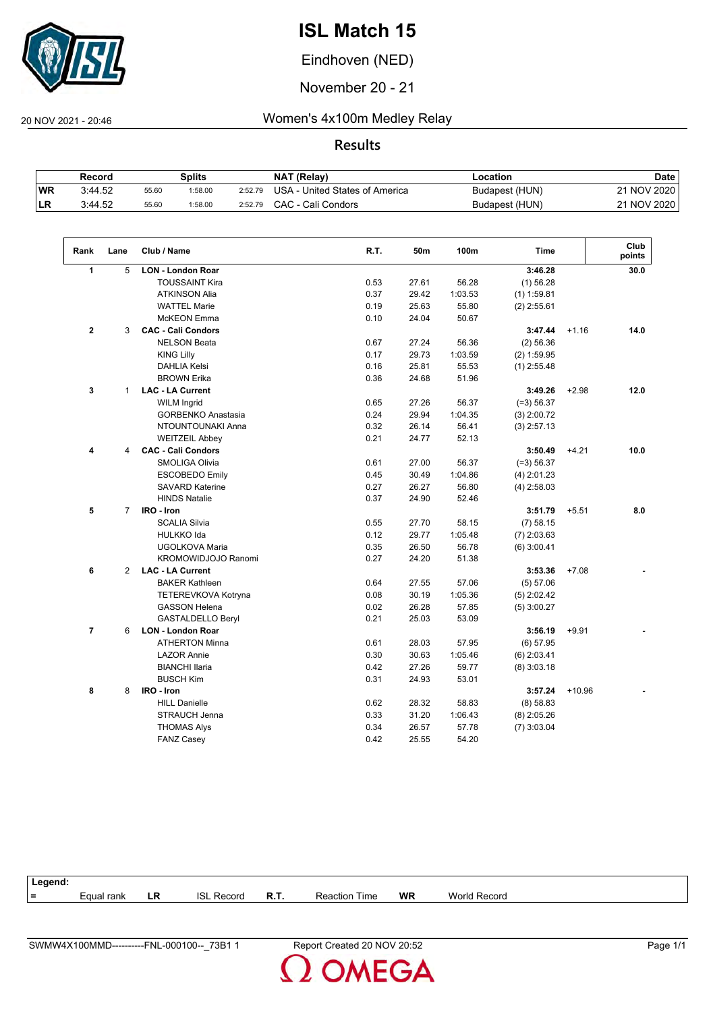

Eindhoven (NED)

November 20 - 21

 $\sqrt{2}$ 

20 NOV 2021 - 20:46 Women's 4x100m Medley Relay

**Results**

|            | Record  |       | Splits  |         | <b>NAT (Relay)</b>             | Location       | <b>Date</b> |
|------------|---------|-------|---------|---------|--------------------------------|----------------|-------------|
| <b>WR</b>  | 3:44.52 | 55.60 | 1:58.00 | 2:52.79 | USA - United States of America | Budapest (HUN) | 21 NOV 2020 |
| <b>ILR</b> | 3:44.52 | 55.60 | :58.00  | 2:52.79 | CAC - Cali Condors             | Budapest (HUN) | 21 NOV 2020 |

| Rank           | Lane           | Club / Name               | R.T. | 50m   | 100m    | <b>Time</b>   |          | Club<br>points |
|----------------|----------------|---------------------------|------|-------|---------|---------------|----------|----------------|
| 1              | 5              | <b>LON - London Roar</b>  |      |       |         | 3:46.28       |          | 30.0           |
|                |                | <b>TOUSSAINT Kira</b>     | 0.53 | 27.61 | 56.28   | $(1)$ 56.28   |          |                |
|                |                | <b>ATKINSON Alia</b>      | 0.37 | 29.42 | 1:03.53 | $(1)$ 1:59.81 |          |                |
|                |                | <b>WATTEL Marie</b>       | 0.19 | 25.63 | 55.80   | $(2)$ 2:55.61 |          |                |
|                |                | <b>McKEON</b> Emma        | 0.10 | 24.04 | 50.67   |               |          |                |
| $\mathbf{2}$   | 3              | <b>CAC - Cali Condors</b> |      |       |         | 3:47.44       | $+1.16$  | 14.0           |
|                |                | <b>NELSON Beata</b>       | 0.67 | 27.24 | 56.36   | (2) 56.36     |          |                |
|                |                | <b>KING Lilly</b>         | 0.17 | 29.73 | 1:03.59 | $(2)$ 1:59.95 |          |                |
|                |                | <b>DAHLIA Kelsi</b>       | 0.16 | 25.81 | 55.53   | $(1)$ 2:55.48 |          |                |
|                |                | <b>BROWN Erika</b>        | 0.36 | 24.68 | 51.96   |               |          |                |
| 3              | $\mathbf{1}$   | <b>LAC - LA Current</b>   |      |       |         | 3:49.26       | $+2.98$  | 12.0           |
|                |                | <b>WILM Ingrid</b>        | 0.65 | 27.26 | 56.37   | $(=3) 56.37$  |          |                |
|                |                | <b>GORBENKO Anastasia</b> | 0.24 | 29.94 | 1:04.35 | $(3)$ 2:00.72 |          |                |
|                |                | NTOUNTOUNAKI Anna         | 0.32 | 26.14 | 56.41   | $(3)$ 2:57.13 |          |                |
|                |                | <b>WEITZEIL Abbey</b>     | 0.21 | 24.77 | 52.13   |               |          |                |
| 4              | 4              | <b>CAC - Cali Condors</b> |      |       |         | 3:50.49       | $+4.21$  | 10.0           |
|                |                | <b>SMOLIGA Olivia</b>     | 0.61 | 27.00 | 56.37   | $(=3) 56.37$  |          |                |
|                |                | <b>ESCOBEDO Emily</b>     | 0.45 | 30.49 | 1:04.86 | $(4)$ 2:01.23 |          |                |
|                |                | <b>SAVARD Katerine</b>    | 0.27 | 26.27 | 56.80   | $(4)$ 2:58.03 |          |                |
|                |                | <b>HINDS Natalie</b>      | 0.37 | 24.90 | 52.46   |               |          |                |
| 5              | $\overline{7}$ | IRO - Iron                |      |       |         | 3:51.79       | $+5.51$  | 8.0            |
|                |                | <b>SCALIA Silvia</b>      | 0.55 | 27.70 | 58.15   | $(7)$ 58.15   |          |                |
|                |                | <b>HULKKO Ida</b>         | 0.12 | 29.77 | 1:05.48 | $(7)$ 2:03.63 |          |                |
|                |                | UGOLKOVA Maria            | 0.35 | 26.50 | 56.78   | $(6)$ 3:00.41 |          |                |
|                |                | KROMOWIDJOJO Ranomi       | 0.27 | 24.20 | 51.38   |               |          |                |
| 6              | $\overline{2}$ | <b>LAC - LA Current</b>   |      |       |         | 3:53.36       | $+7.08$  |                |
|                |                | <b>BAKER Kathleen</b>     | 0.64 | 27.55 | 57.06   | (5) 57.06     |          |                |
|                |                | TETEREVKOVA Kotryna       | 0.08 | 30.19 | 1:05.36 | $(5)$ 2:02.42 |          |                |
|                |                | <b>GASSON Helena</b>      | 0.02 | 26.28 | 57.85   | $(5)$ 3:00.27 |          |                |
|                |                | <b>GASTALDELLO Beryl</b>  | 0.21 | 25.03 | 53.09   |               |          |                |
| $\overline{7}$ | 6              | <b>LON - London Roar</b>  |      |       |         | 3:56.19       | $+9.91$  |                |
|                |                | <b>ATHERTON Minna</b>     | 0.61 | 28.03 | 57.95   | (6) 57.95     |          |                |
|                |                | <b>LAZOR Annie</b>        | 0.30 | 30.63 | 1:05.46 | $(6)$ 2:03.41 |          |                |
|                |                | <b>BIANCHI Ilaria</b>     | 0.42 | 27.26 | 59.77   | $(8)$ 3:03.18 |          |                |
|                |                | <b>BUSCH Kim</b>          | 0.31 | 24.93 | 53.01   |               |          |                |
| 8              | 8              | IRO - Iron                |      |       |         | 3:57.24       | $+10.96$ |                |
|                |                | <b>HILL Danielle</b>      | 0.62 | 28.32 | 58.83   | (8) 58.83     |          |                |
|                |                | <b>STRAUCH Jenna</b>      | 0.33 | 31.20 | 1:06.43 | $(8)$ 2:05.26 |          |                |
|                |                | <b>THOMAS Alys</b>        | 0.34 | 26.57 | 57.78   | $(7)$ 3:03.04 |          |                |
|                |                | <b>FANZ Casey</b>         | 0.42 | 25.55 | 54.20   |               |          |                |

| Legend: |                    |    |                |      |                      |           |                     |
|---------|--------------------|----|----------------|------|----------------------|-----------|---------------------|
| $=$     | <i>E</i> qual rank | LR | ISI.<br>Record | R.T. | <b>Reaction Time</b> | <b>WR</b> | <b>World Record</b> |
|         |                    |    |                |      |                      |           |                     |

**OMEGA**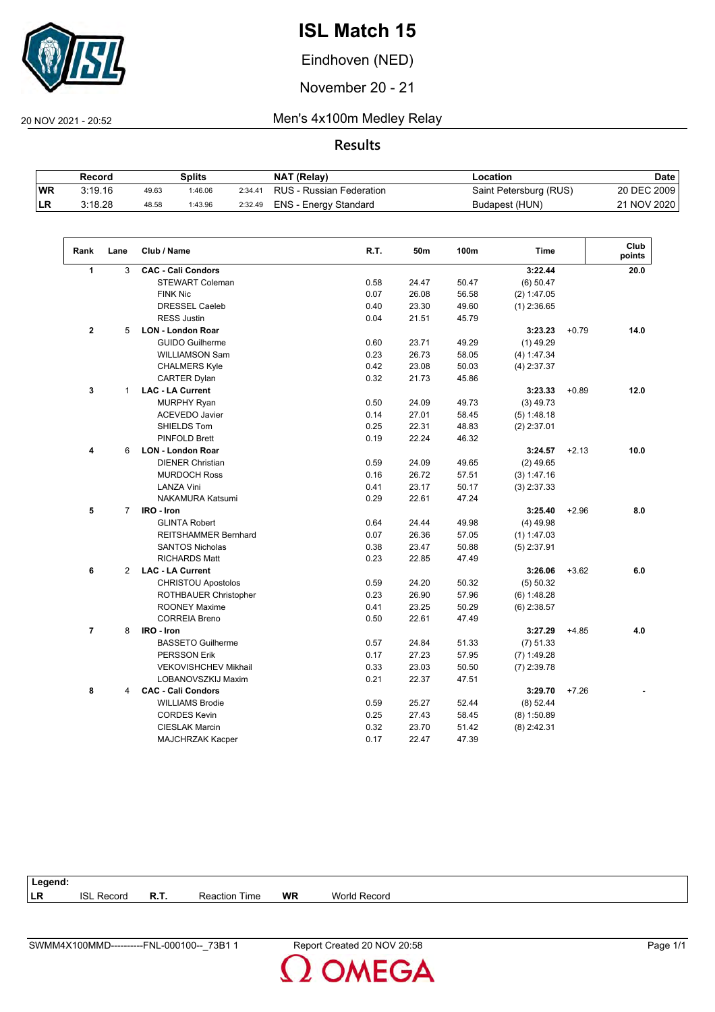

Eindhoven (NED)

November 20 - 21

20 NOV 2021 - 20:52 Men's 4x100m Medley Relay

**Results**

|           | Record  |       | Splits  |         | NAT (Relay)              | Location               | Date        |
|-----------|---------|-------|---------|---------|--------------------------|------------------------|-------------|
| <b>WR</b> | 3:19.16 | 49.63 | 1:46.06 | 2:34.41 | RUS - Russian Federation | Saint Petersburg (RUS) | 20 DEC 2009 |
| ILR.      | 3:18.28 | 48.58 | 1:43.96 | 2:32.49 | ENS - Energy Standard    | Budapest (HUN)         | 21 NOV 2020 |

| Rank           | Lane           | Club / Name                 | R.T. | 50m   | 100m  | <b>Time</b>   |         | Club<br>points |
|----------------|----------------|-----------------------------|------|-------|-------|---------------|---------|----------------|
| $\mathbf{1}$   | 3              | <b>CAC - Cali Condors</b>   |      |       |       | 3:22.44       |         | 20.0           |
|                |                | <b>STEWART Coleman</b>      | 0.58 | 24.47 | 50.47 | $(6)$ 50.47   |         |                |
|                |                | <b>FINK Nic</b>             | 0.07 | 26.08 | 56.58 | (2) 1:47.05   |         |                |
|                |                | <b>DRESSEL Caeleb</b>       | 0.40 | 23.30 | 49.60 | $(1)$ 2:36.65 |         |                |
|                |                | <b>RESS Justin</b>          | 0.04 | 21.51 | 45.79 |               |         |                |
| $\mathbf{2}$   | 5              | <b>LON - London Roar</b>    |      |       |       | 3:23.23       | $+0.79$ | 14.0           |
|                |                | <b>GUIDO Guilherme</b>      | 0.60 | 23.71 | 49.29 | $(1)$ 49.29   |         |                |
|                |                | <b>WILLIAMSON Sam</b>       | 0.23 | 26.73 | 58.05 | (4) 1:47.34   |         |                |
|                |                | <b>CHALMERS Kyle</b>        | 0.42 | 23.08 | 50.03 | $(4)$ 2:37.37 |         |                |
|                |                | <b>CARTER Dylan</b>         | 0.32 | 21.73 | 45.86 |               |         |                |
| 3              | $\mathbf{1}$   | <b>LAC - LA Current</b>     |      |       |       | 3:23.33       | $+0.89$ | 12.0           |
|                |                | <b>MURPHY Ryan</b>          | 0.50 | 24.09 | 49.73 | $(3)$ 49.73   |         |                |
|                |                | <b>ACEVEDO Javier</b>       | 0.14 | 27.01 | 58.45 | (5) 1:48.18   |         |                |
|                |                | SHIELDS Tom                 | 0.25 | 22.31 | 48.83 | $(2)$ 2:37.01 |         |                |
|                |                | PINFOLD Brett               | 0.19 | 22.24 | 46.32 |               |         |                |
| 4              | 6              | <b>LON - London Roar</b>    |      |       |       | 3:24.57       | $+2.13$ | 10.0           |
|                |                | <b>DIENER Christian</b>     | 0.59 | 24.09 | 49.65 | $(2)$ 49.65   |         |                |
|                |                | <b>MURDOCH Ross</b>         | 0.16 | 26.72 | 57.51 | (3) 1:47.16   |         |                |
|                |                | <b>LANZA Vini</b>           | 0.41 | 23.17 | 50.17 | $(3)$ 2:37.33 |         |                |
|                |                | <b>NAKAMURA Katsumi</b>     | 0.29 | 22.61 | 47.24 |               |         |                |
| 5              | $\overline{7}$ | IRO - Iron                  |      |       |       | 3:25.40       | $+2.96$ | 8.0            |
|                |                | <b>GLINTA Robert</b>        | 0.64 | 24.44 | 49.98 | $(4)$ 49.98   |         |                |
|                |                | <b>REITSHAMMER Bernhard</b> | 0.07 | 26.36 | 57.05 | $(1)$ 1:47.03 |         |                |
|                |                | <b>SANTOS Nicholas</b>      | 0.38 | 23.47 | 50.88 | $(5)$ 2:37.91 |         |                |
|                |                | <b>RICHARDS Matt</b>        | 0.23 | 22.85 | 47.49 |               |         |                |
| 6              | $\overline{2}$ | <b>LAC - LA Current</b>     |      |       |       | 3:26.06       | $+3.62$ | 6.0            |
|                |                | <b>CHRISTOU Apostolos</b>   | 0.59 | 24.20 | 50.32 | (5) 50.32     |         |                |
|                |                | ROTHBAUER Christopher       | 0.23 | 26.90 | 57.96 | (6) 1:48.28   |         |                |
|                |                | <b>ROONEY Maxime</b>        | 0.41 | 23.25 | 50.29 | $(6)$ 2:38.57 |         |                |
|                |                | <b>CORREIA Breno</b>        | 0.50 | 22.61 | 47.49 |               |         |                |
| $\overline{7}$ | 8              | IRO - Iron                  |      |       |       | 3:27.29       | $+4.85$ | 4.0            |
|                |                | <b>BASSETO Guilherme</b>    | 0.57 | 24.84 | 51.33 | $(7)$ 51.33   |         |                |
|                |                | <b>PERSSON Erik</b>         | 0.17 | 27.23 | 57.95 | $(7)$ 1:49.28 |         |                |
|                |                | <b>VEKOVISHCHEV Mikhail</b> | 0.33 | 23.03 | 50.50 | $(7)$ 2:39.78 |         |                |
|                |                | LOBANOVSZKIJ Maxim          | 0.21 | 22.37 | 47.51 |               |         |                |
| 8              | 4              | <b>CAC - Cali Condors</b>   |      |       |       | 3:29.70       | $+7.26$ |                |
|                |                | <b>WILLIAMS Brodie</b>      | 0.59 | 25.27 | 52.44 | (8) 52.44     |         |                |
|                |                | <b>CORDES Kevin</b>         | 0.25 | 27.43 | 58.45 | $(8)$ 1:50.89 |         |                |
|                |                | <b>CIESLAK Marcin</b>       | 0.32 | 23.70 | 51.42 | $(8)$ 2:42.31 |         |                |
|                |                | MAJCHRZAK Kacper            | 0.17 | 22.47 | 47.39 |               |         |                |

| Legend:   |                   |      |                      |           |                     |  |
|-----------|-------------------|------|----------------------|-----------|---------------------|--|
| <b>LR</b> | <b>ISL Record</b> | R.T. | <b>Reaction Time</b> | <b>WR</b> | <b>World Record</b> |  |
|           |                   |      |                      |           |                     |  |

**OMEGA**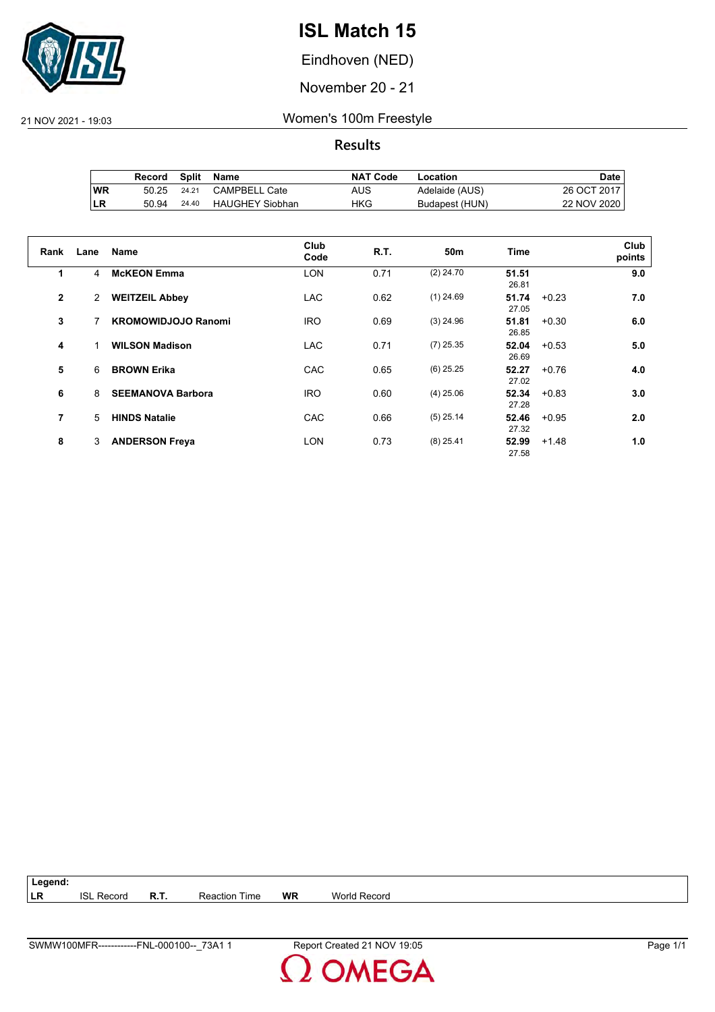

Eindhoven (NED)

November 20 - 21

21 NOV 2021 - 19:03 Women's 100m Freestyle

**Results**

|           | Record | Split | Name                   | <b>NAT Code</b> | Location       | Date .      |
|-----------|--------|-------|------------------------|-----------------|----------------|-------------|
| <b>WR</b> | 50.25  | 24.21 | <b>CAMPBELL Cate</b>   | AUS             | Adelaide (AUS) | 26 OCT 2017 |
| ILR       | 50.94  | 24.40 | <b>HAUGHEY Siobhan</b> | HKG             | Budapest (HUN) | 22 NOV 2020 |

| Rank           | Lane           | <b>Name</b>                | Club<br>Code | R.T. | 50 <sub>m</sub> | Time           |         | Club<br>points |
|----------------|----------------|----------------------------|--------------|------|-----------------|----------------|---------|----------------|
| 1              | 4              | <b>McKEON Emma</b>         | <b>LON</b>   | 0.71 | $(2)$ 24.70     | 51.51<br>26.81 |         | 9.0            |
| $\overline{2}$ | $\overline{2}$ | <b>WEITZEIL Abbey</b>      | <b>LAC</b>   | 0.62 | $(1)$ 24.69     | 51.74<br>27.05 | $+0.23$ | 7.0            |
| 3              |                | <b>KROMOWIDJOJO Ranomi</b> | <b>IRO</b>   | 0.69 | $(3)$ 24.96     | 51.81<br>26.85 | $+0.30$ | 6.0            |
| 4              |                | <b>WILSON Madison</b>      | <b>LAC</b>   | 0.71 | $(7)$ 25.35     | 52.04<br>26.69 | $+0.53$ | 5.0            |
| 5              | 6              | <b>BROWN Erika</b>         | CAC          | 0.65 | $(6)$ 25.25     | 52.27<br>27.02 | $+0.76$ | 4.0            |
| 6              | 8              | <b>SEEMANOVA Barbora</b>   | <b>IRO</b>   | 0.60 | $(4)$ 25.06     | 52.34<br>27.28 | $+0.83$ | 3.0            |
| 7              | 5              | <b>HINDS Natalie</b>       | CAC          | 0.66 | $(5)$ 25.14     | 52.46<br>27.32 | $+0.95$ | 2.0            |
| 8              | 3              | <b>ANDERSON Freya</b>      | <b>LON</b>   | 0.73 | $(8)$ 25.41     | 52.99<br>27.58 | $+1.48$ | 1.0            |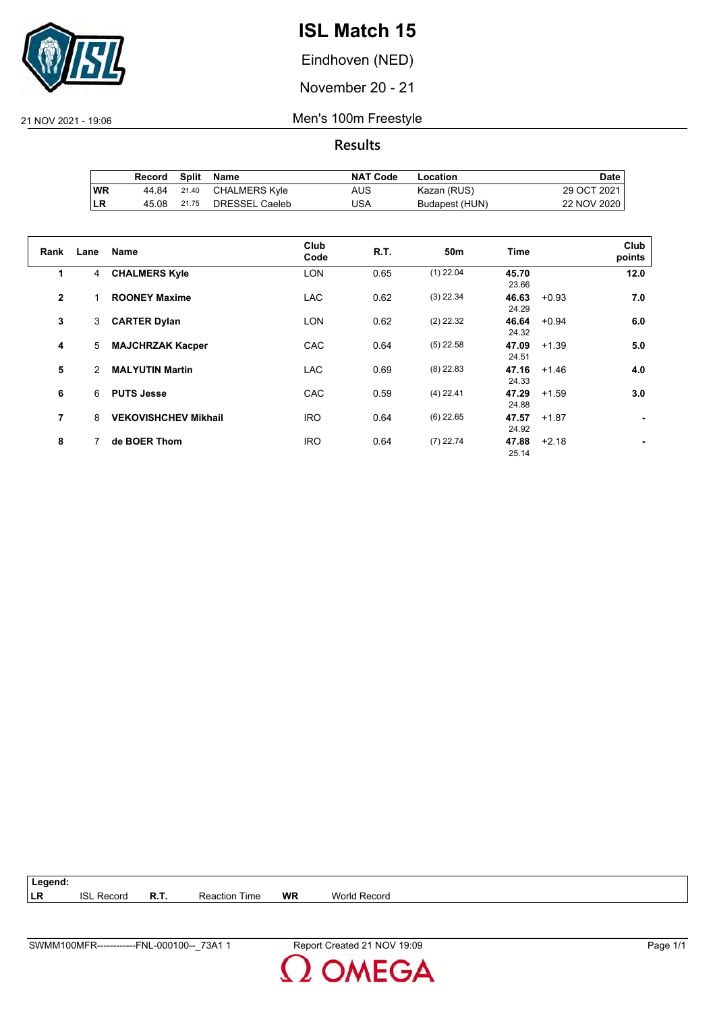

Eindhoven (NED)

November 20 - 21

21 NOV 2021 - 19:06 Men's 100m Freestyle

**Results**

|            | Record |       | Split Name     | <b>NAT Code</b> | Location       | Date        |
|------------|--------|-------|----------------|-----------------|----------------|-------------|
| <b>WR</b>  | 44.84  | 21.40 | CHALMERS Kyle  | AUS.            | Kazan (RUS)    | 29 OCT 2021 |
| <b>ILR</b> | 45.08  | 21.75 | DRESSEL Caeleb | USA             | Budapest (HUN) | 22 NOV 2020 |

| Rank           | Lane | <b>Name</b>                 | Club<br>Code | <b>R.T.</b> | 50 <sub>m</sub> | <b>Time</b>    |         | Club<br>points |
|----------------|------|-----------------------------|--------------|-------------|-----------------|----------------|---------|----------------|
| 1              | 4    | <b>CHALMERS Kyle</b>        | <b>LON</b>   | 0.65        | $(1)$ 22.04     | 45.70<br>23.66 |         | 12.0           |
| $\overline{2}$ |      | <b>ROONEY Maxime</b>        | <b>LAC</b>   | 0.62        | $(3)$ 22.34     | 46.63<br>24.29 | $+0.93$ | 7.0            |
| 3              | 3    | <b>CARTER Dylan</b>         | <b>LON</b>   | 0.62        | $(2)$ 22.32     | 46.64<br>24.32 | $+0.94$ | 6.0            |
| 4              | 5    | <b>MAJCHRZAK Kacper</b>     | CAC          | 0.64        | $(5)$ 22.58     | 47.09<br>24.51 | $+1.39$ | 5.0            |
| 5              | 2    | <b>MALYUTIN Martin</b>      | <b>LAC</b>   | 0.69        | $(8)$ 22.83     | 47.16<br>24.33 | $+1.46$ | 4.0            |
| 6              | 6    | <b>PUTS Jesse</b>           | CAC          | 0.59        | $(4)$ 22.41     | 47.29<br>24.88 | $+1.59$ | 3.0            |
| 7              | 8    | <b>VEKOVISHCHEV Mikhail</b> | <b>IRO</b>   | 0.64        | $(6)$ 22.65     | 47.57<br>24.92 | $+1.87$ |                |
| 8              |      | de BOER Thom                | <b>IRO</b>   | 0.64        | $(7)$ 22.74     | 47.88<br>25.14 | $+2.18$ |                |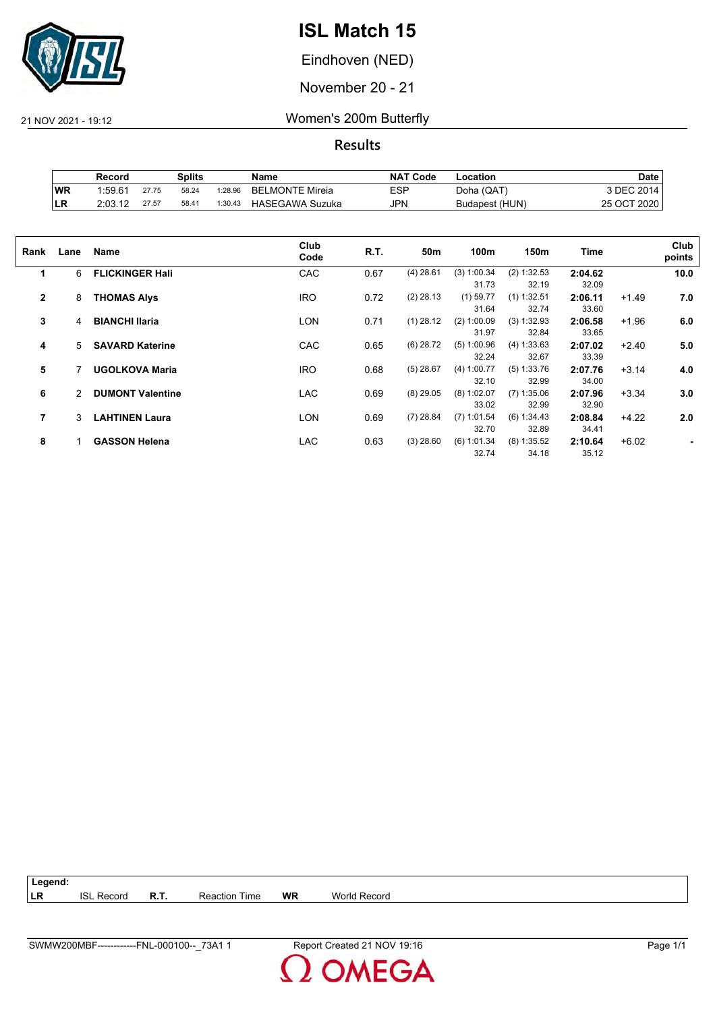

Eindhoven (NED)

November 20 - 21

21 NOV 2021 - 19:12 Women's 200m Butterfly

|            | Record              |       | Splits |         | Name                   | <b>NAT Code</b> | Location       | Date        |
|------------|---------------------|-------|--------|---------|------------------------|-----------------|----------------|-------------|
| <b>WR</b>  | 1.59.6 <sup>4</sup> | 27.75 | 58.24  | 1:28.96 | <b>BELMONTE Mireia</b> | <b>ESP</b>      | Doha (QAT)     | 3 DEC 2014. |
| <b>ILR</b> | 2:03.12             | 27.57 | 58.41  | 1:30.43 | <b>HASEGAWA Suzuka</b> | JPN             | Budapest (HUN) | 25 OCT 2020 |

| Rank         | Lane | Name                    | Club<br>Code | R.T. | 50m         | 100m          | 150m          | Time    |         | Club<br>points |
|--------------|------|-------------------------|--------------|------|-------------|---------------|---------------|---------|---------|----------------|
| 1            | 6    | <b>FLICKINGER Hall</b>  | CAC          | 0.67 | $(4)$ 28.61 | (3) 1:00.34   | (2) 1:32.53   | 2:04.62 |         | 10.0           |
|              |      |                         |              |      |             | 31.73         | 32.19         | 32.09   |         |                |
| $\mathbf{2}$ | 8    | <b>THOMAS Alys</b>      | <b>IRO</b>   | 0.72 | $(2)$ 28.13 | $(1)$ 59.77   | $(1)$ 1:32.51 | 2:06.11 | $+1.49$ | 7.0            |
|              |      |                         |              |      |             | 31.64         | 32.74         | 33.60   |         |                |
| 3            | 4    | <b>BIANCHI Ilaria</b>   | LON          | 0.71 | $(1)$ 28.12 | (2) 1:00.09   | (3) 1:32.93   | 2:06.58 | $+1.96$ | 6.0            |
|              |      |                         |              |      |             | 31.97         | 32.84         | 33.65   |         |                |
| 4            | 5    | <b>SAVARD Katerine</b>  | <b>CAC</b>   | 0.65 | $(6)$ 28.72 | $(5)$ 1:00.96 | (4) 1:33.63   | 2:07.02 | $+2.40$ | 5.0            |
|              |      |                         |              |      |             | 32.24         | 32.67         | 33.39   |         |                |
| 5            |      | <b>UGOLKOVA Maria</b>   | <b>IRO</b>   | 0.68 | $(5)$ 28.67 | (4) 1:00.77   | (5) 1:33.76   | 2:07.76 | $+3.14$ | 4.0            |
|              |      |                         |              |      |             | 32.10         | 32.99         | 34.00   |         |                |
| 6            | 2    | <b>DUMONT Valentine</b> | <b>LAC</b>   | 0.69 | $(8)$ 29.05 | $(8)$ 1:02.07 | $(7)$ 1:35.06 | 2:07.96 | $+3.34$ | 3.0            |
|              |      |                         |              |      |             | 33.02         | 32.99         | 32.90   |         |                |
| 7            | 3    | <b>LAHTINEN Laura</b>   | LON          | 0.69 | $(7)$ 28.84 | $(7)$ 1:01.54 | (6) 1:34.43   | 2:08.84 | $+4.22$ | 2.0            |
|              |      |                         |              |      |             | 32.70         | 32.89         | 34.41   |         |                |
| 8            |      | <b>GASSON Helena</b>    | LAC          | 0.63 | $(3)$ 28.60 | (6) 1:01.34   | $(8)$ 1:35.52 | 2:10.64 | $+6.02$ |                |
|              |      |                         |              |      |             | 32.74         | 34.18         | 35.12   |         |                |
|              |      |                         |              |      |             |               |               |         |         |                |

| $\vert$ Legend: |                   |      |                      |    |                     |
|-----------------|-------------------|------|----------------------|----|---------------------|
| <b>ILR</b>      | <b>ISL Record</b> | R.T. | <b>Reaction Time</b> | WR | <b>World Record</b> |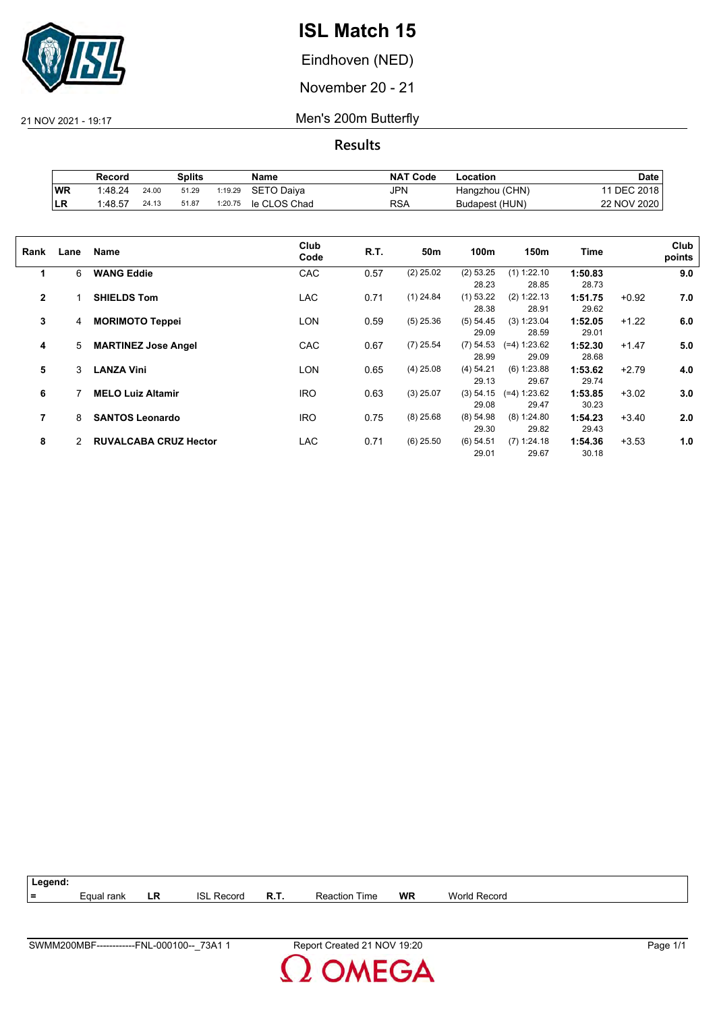

Eindhoven (NED)

November 20 - 21

21 NOV 2021 - 19:17 Men's 200m Butterfly

|     | Record  |       | Splits |         | Name         | <b>NAT Code</b> | ∟ocation       | Date            |
|-----|---------|-------|--------|---------|--------------|-----------------|----------------|-----------------|
| WR  | 1:48.24 | 24.00 | 51.29  | 1:19.29 | SETO Daiya   | <b>JPN</b>      | Hangzhou (CHN) | <b>DEC 2018</b> |
| ∣LR | 1:48.57 | 24.13 | 51.87  | 1:20.75 | le CLOS Chad | RSA             | Budapest (HUN) | 22 NOV 2020     |

| Rank         | Lane | Name                         | Club<br>Code | R.T. | 50m         | 100m                 | 150m                    | Time             |         | Club<br>points |
|--------------|------|------------------------------|--------------|------|-------------|----------------------|-------------------------|------------------|---------|----------------|
| 1            | 6    | <b>WANG Eddie</b>            | CAC          | 0.57 | $(2)$ 25.02 | (2) 53.25<br>28.23   | $(1)$ 1:22.10<br>28.85  | 1:50.83<br>28.73 |         | 9.0            |
| $\mathbf{2}$ |      | <b>SHIELDS Tom</b>           | <b>LAC</b>   | 0.71 | $(1)$ 24.84 | $(1)$ 53.22<br>28.38 | (2) 1:22.13<br>28.91    | 1:51.75<br>29.62 | $+0.92$ | 7.0            |
| 3            | 4    | <b>MORIMOTO Teppei</b>       | <b>LON</b>   | 0.59 | $(5)$ 25.36 | (5) 54.45<br>29.09   | (3) 1:23.04<br>28.59    | 1:52.05<br>29.01 | $+1.22$ | 6.0            |
| 4            | 5    | <b>MARTINEZ Jose Angel</b>   | CAC          | 0.67 | $(7)$ 25.54 | $(7)$ 54.53<br>28.99 | $(=4) 1:23.62$<br>29.09 | 1:52.30<br>28.68 | $+1.47$ | 5.0            |
| 5            | 3    | <b>LANZA Vini</b>            | <b>LON</b>   | 0.65 | $(4)$ 25.08 | (4) 54.21<br>29.13   | $(6)$ 1:23.88<br>29.67  | 1:53.62<br>29.74 | $+2.79$ | 4.0            |
| 6            |      | <b>MELO Luiz Altamir</b>     | <b>IRO</b>   | 0.63 | $(3)$ 25.07 | (3) 54.15<br>29.08   | $(=4) 1:23.62$<br>29.47 | 1:53.85<br>30.23 | $+3.02$ | 3.0            |
| 7            | 8    | <b>SANTOS Leonardo</b>       | <b>IRO</b>   | 0.75 | $(8)$ 25.68 | $(8)$ 54.98<br>29.30 | (8) 1:24.80<br>29.82    | 1:54.23<br>29.43 | $+3.40$ | 2.0            |
| 8            | 2    | <b>RUVALCABA CRUZ Hector</b> | <b>LAC</b>   | 0.71 | $(6)$ 25.50 | $(6)$ 54.51<br>29.01 | $(7)$ 1:24.18<br>29.67  | 1:54.36<br>30.18 | $+3.53$ | 1.0            |

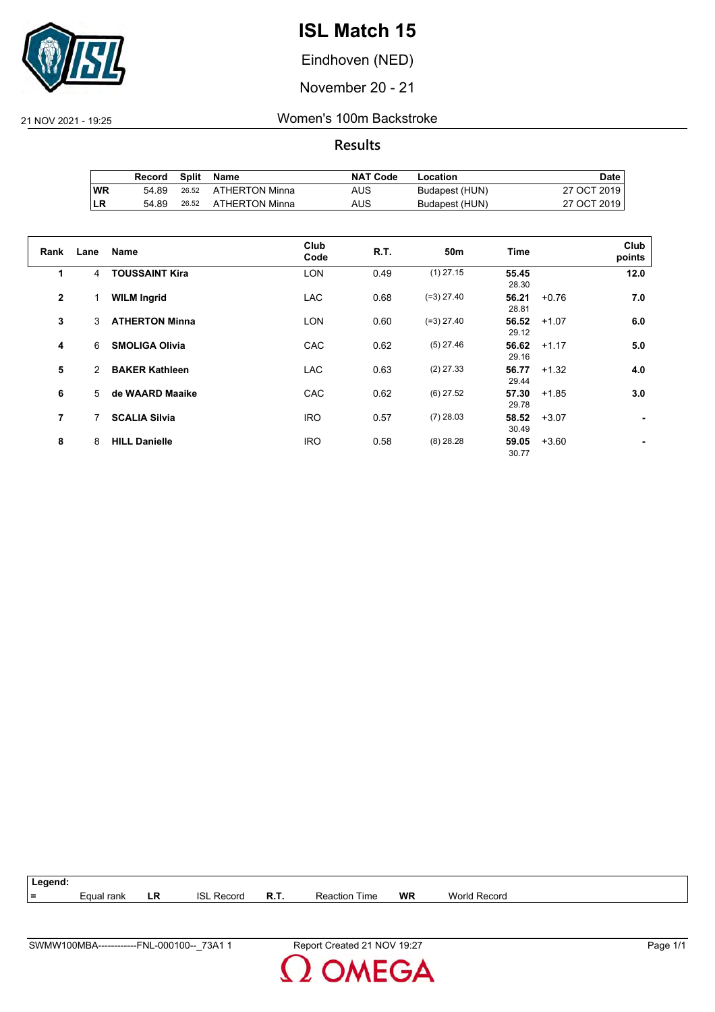

Eindhoven (NED)

November 20 - 21

21 NOV 2021 - 19:25 Women's 100m Backstroke

|     | Record |       | Split Name           | <b>NAT Code</b> | Location       | Date i      |
|-----|--------|-------|----------------------|-----------------|----------------|-------------|
| 'WR | 54.89  |       | 26.52 ATHERTON Minna | AUS             | Budapest (HUN) | 27 OCT 2019 |
| ∣LR | 54.89  | 26.52 | ATHERTON Minna       | AUS             | Budapest (HUN) | 27 OCT 2019 |

| Rank         | Lane | <b>Name</b>           | Club<br>Code | R.T. | 50 <sub>m</sub> | <b>Time</b>    |         | Club<br>points |
|--------------|------|-----------------------|--------------|------|-----------------|----------------|---------|----------------|
| 1            | 4    | <b>TOUSSAINT Kira</b> | <b>LON</b>   | 0.49 | $(1)$ 27.15     | 55.45<br>28.30 |         | 12.0           |
| $\mathbf{2}$ |      | <b>WILM Ingrid</b>    | <b>LAC</b>   | 0.68 | $(=3)$ 27.40    | 56.21<br>28.81 | $+0.76$ | 7.0            |
| 3            | 3    | <b>ATHERTON Minna</b> | <b>LON</b>   | 0.60 | $(=3)$ 27.40    | 56.52<br>29.12 | $+1.07$ | 6.0            |
| 4            | 6    | <b>SMOLIGA Olivia</b> | CAC          | 0.62 | $(5)$ 27.46     | 56.62<br>29.16 | $+1.17$ | 5.0            |
| 5            | 2    | <b>BAKER Kathleen</b> | <b>LAC</b>   | 0.63 | $(2)$ 27.33     | 56.77<br>29.44 | $+1.32$ | 4.0            |
| 6            | 5    | de WAARD Maaike       | CAC          | 0.62 | $(6)$ 27.52     | 57.30<br>29.78 | $+1.85$ | 3.0            |
| 7            | 7    | <b>SCALIA Silvia</b>  | <b>IRO</b>   | 0.57 | $(7)$ 28.03     | 58.52<br>30.49 | $+3.07$ | ۰              |
| 8            | 8    | <b>HILL Danielle</b>  | <b>IRO</b>   | 0.58 | $(8)$ 28.28     | 59.05<br>30.77 | $+3.60$ |                |

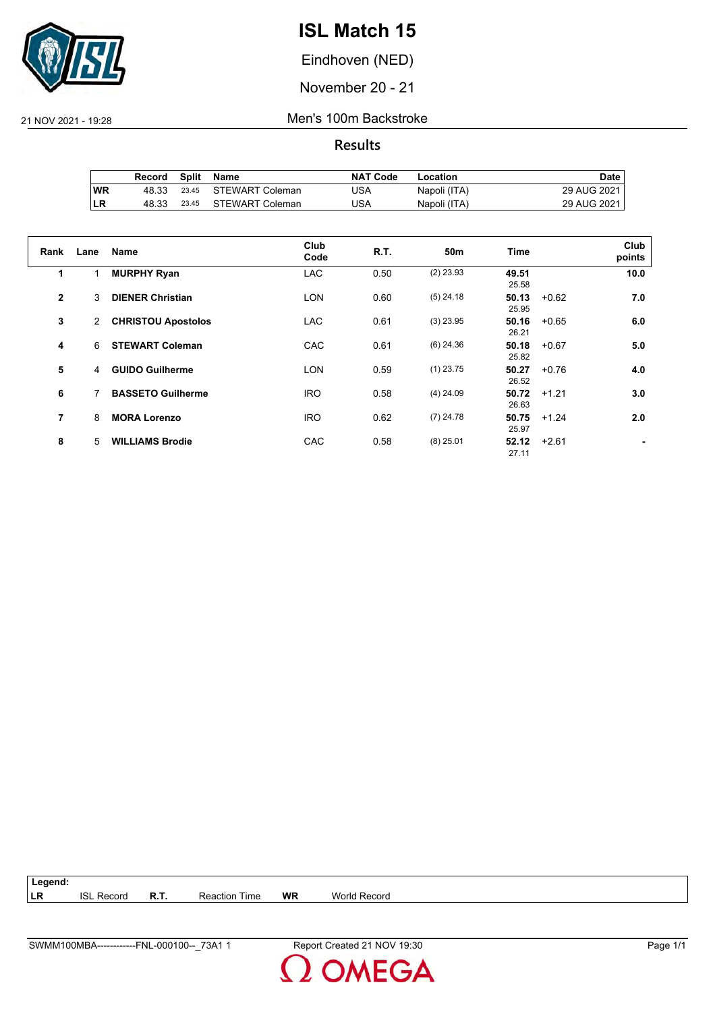

Eindhoven (NED)

November 20 - 21

21 NOV 2021 - 19:28 Men's 100m Backstroke

**Results**

|            | Record | Split | Name            | <b>NAT Code</b> | Location     | Date i        |
|------------|--------|-------|-----------------|-----------------|--------------|---------------|
| ∣WR        | 48.33  | 23.45 | STEWART Coleman | USA             | Napoli (ITA) | 29 AUG 2021 I |
| <b>ILR</b> | 48.33  | 23.45 | STEWART Coleman | USA             | Napoli (ITA) | 29 AUG 2021   |

| Rank           | Lane           | Name                      | Club<br>Code | R.T. | 50m         | <b>Time</b>    |         | Club<br>points |
|----------------|----------------|---------------------------|--------------|------|-------------|----------------|---------|----------------|
| 1              |                | <b>MURPHY Ryan</b>        | <b>LAC</b>   | 0.50 | $(2)$ 23.93 | 49.51<br>25.58 |         | 10.0           |
| $\overline{2}$ | 3              | <b>DIENER Christian</b>   | <b>LON</b>   | 0.60 | $(5)$ 24.18 | 50.13<br>25.95 | $+0.62$ | 7.0            |
| 3              | $\overline{2}$ | <b>CHRISTOU Apostolos</b> | <b>LAC</b>   | 0.61 | $(3)$ 23.95 | 50.16<br>26.21 | $+0.65$ | 6.0            |
| 4              | 6              | <b>STEWART Coleman</b>    | <b>CAC</b>   | 0.61 | $(6)$ 24.36 | 50.18<br>25.82 | $+0.67$ | 5.0            |
| 5              | 4              | <b>GUIDO Guilherme</b>    | <b>LON</b>   | 0.59 | $(1)$ 23.75 | 50.27<br>26.52 | $+0.76$ | 4.0            |
| 6              |                | <b>BASSETO Guilherme</b>  | <b>IRO</b>   | 0.58 | $(4)$ 24.09 | 50.72<br>26.63 | $+1.21$ | 3.0            |
| 7              | 8              | <b>MORA Lorenzo</b>       | <b>IRO</b>   | 0.62 | $(7)$ 24.78 | 50.75<br>25.97 | $+1.24$ | 2.0            |
| 8              | 5              | <b>WILLIAMS Brodie</b>    | <b>CAC</b>   | 0.58 | $(8)$ 25.01 | 52.12<br>27.11 | $+2.61$ |                |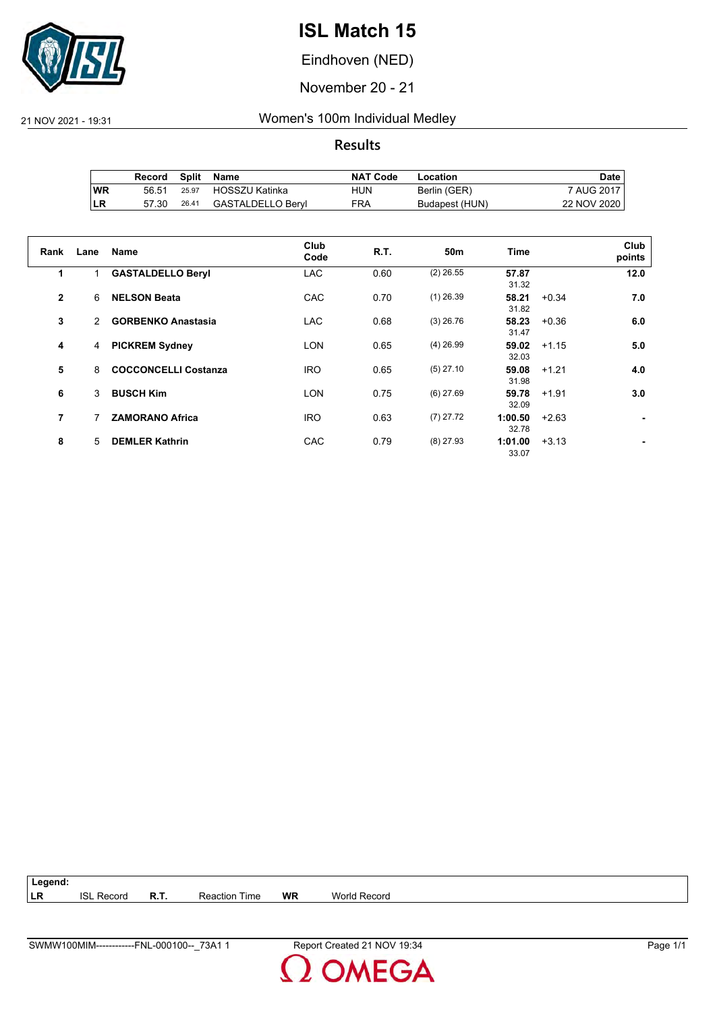

Eindhoven (NED)

November 20 - 21

21 NOV 2021 - 19:31 Women's 100m Individual Medley

**Results**

|     | Record | Split | Name              | <b>NAT Code</b> | Location       | Date l      |
|-----|--------|-------|-------------------|-----------------|----------------|-------------|
| 'WR | 56.51  | 25.97 | HOSSZU Katinka    | HUN             | Berlin (GER)   | 7 AUG 2017  |
| ILR | 57.30  | 26.41 | GASTALDELLO Beryl | FRA             | Budapest (HUN) | 22 NOV 2020 |

| Rank           | Lane         | Name                        | Club<br>Code | R.T. | 50 <sub>m</sub> | <b>Time</b>      |         | Club<br>points |
|----------------|--------------|-----------------------------|--------------|------|-----------------|------------------|---------|----------------|
| 1              |              | <b>GASTALDELLO Beryl</b>    | <b>LAC</b>   | 0.60 | $(2)$ 26.55     | 57.87<br>31.32   |         | 12.0           |
| $\overline{2}$ | 6            | <b>NELSON Beata</b>         | <b>CAC</b>   | 0.70 | $(1)$ 26.39     | 58.21<br>31.82   | $+0.34$ | 7.0            |
| 3              | $\mathbf{2}$ | <b>GORBENKO Anastasia</b>   | <b>LAC</b>   | 0.68 | $(3)$ 26.76     | 58.23<br>31.47   | $+0.36$ | 6.0            |
| 4              | 4            | <b>PICKREM Sydney</b>       | <b>LON</b>   | 0.65 | $(4)$ 26.99     | 59.02<br>32.03   | $+1.15$ | 5.0            |
| 5              | 8            | <b>COCCONCELLI Costanza</b> | <b>IRO</b>   | 0.65 | $(5)$ 27.10     | 59.08<br>31.98   | $+1.21$ | 4.0            |
| 6              | 3            | <b>BUSCH Kim</b>            | <b>LON</b>   | 0.75 | $(6)$ 27.69     | 59.78<br>32.09   | $+1.91$ | 3.0            |
| 7              |              | <b>ZAMORANO Africa</b>      | <b>IRO</b>   | 0.63 | $(7)$ 27.72     | 1:00.50<br>32.78 | $+2.63$ |                |
| 8              | 5            | <b>DEMLER Kathrin</b>       | CAC          | 0.79 | $(8)$ 27.93     | 1:01.00<br>33.07 | $+3.13$ |                |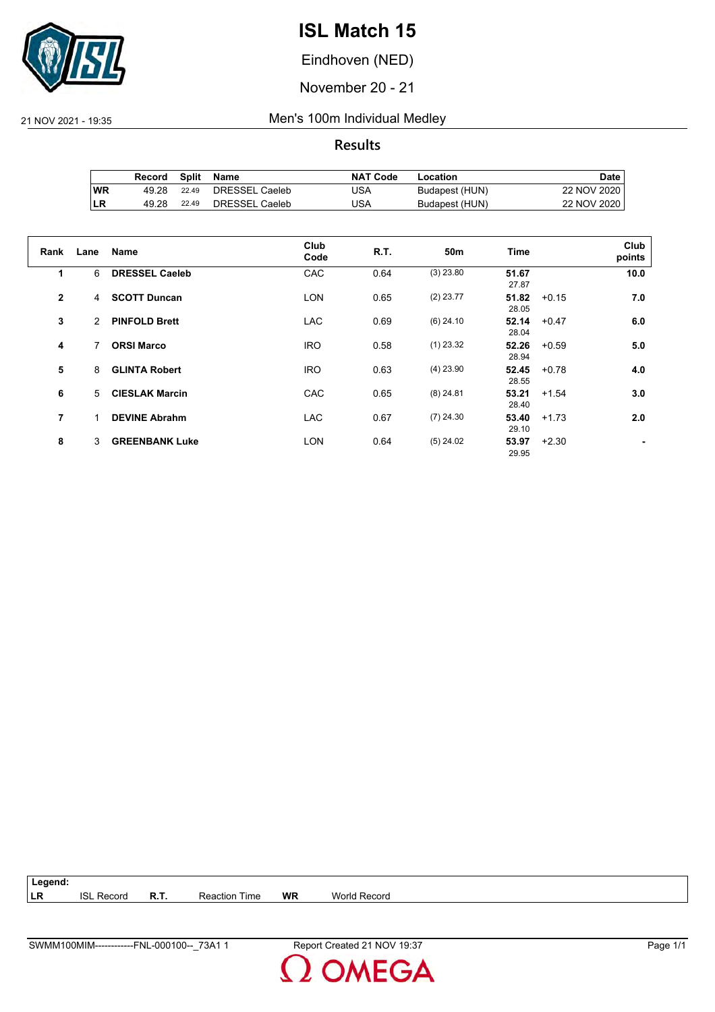

Eindhoven (NED)

November 20 - 21

21 NOV 2021 - 19:35 Men's 100m Individual Medley

**Results**

|     | Record |       | Split Name     | NAT Code | Location       | Date i      |
|-----|--------|-------|----------------|----------|----------------|-------------|
| WR  | 49.28  | 22.49 | DRESSEL Caeleb | JSA      | Budapest (HUN) | 22 NOV 2020 |
| ∣LR | 49.28  | 22.49 | DRESSEL Caeleb | JSA      | Budapest (HUN) | 22 NOV 2020 |

| Rank         | Lane | Name                  | Club<br>Code | R.T. | 50m         | <b>Time</b>    |         | Club<br>points |
|--------------|------|-----------------------|--------------|------|-------------|----------------|---------|----------------|
| 1            | 6    | <b>DRESSEL Caeleb</b> | CAC          | 0.64 | $(3)$ 23.80 | 51.67<br>27.87 |         | 10.0           |
| $\mathbf{2}$ | 4    | <b>SCOTT Duncan</b>   | <b>LON</b>   | 0.65 | $(2)$ 23.77 | 51.82<br>28.05 | $+0.15$ | 7.0            |
| 3            | 2    | <b>PINFOLD Brett</b>  | <b>LAC</b>   | 0.69 | $(6)$ 24.10 | 52.14<br>28.04 | $+0.47$ | 6.0            |
| 4            | 7    | <b>ORSI Marco</b>     | <b>IRO</b>   | 0.58 | $(1)$ 23.32 | 52.26<br>28.94 | $+0.59$ | 5.0            |
| 5            | 8    | <b>GLINTA Robert</b>  | <b>IRO</b>   | 0.63 | $(4)$ 23.90 | 52.45<br>28.55 | $+0.78$ | 4.0            |
| 6            | 5    | <b>CIESLAK Marcin</b> | CAC          | 0.65 | $(8)$ 24.81 | 53.21<br>28.40 | $+1.54$ | 3.0            |
| 7            |      | <b>DEVINE Abrahm</b>  | <b>LAC</b>   | 0.67 | $(7)$ 24.30 | 53.40<br>29.10 | $+1.73$ | 2.0            |
| 8            | 3    | <b>GREENBANK Luke</b> | <b>LON</b>   | 0.64 | $(5)$ 24.02 | 53.97<br>29.95 | $+2.30$ |                |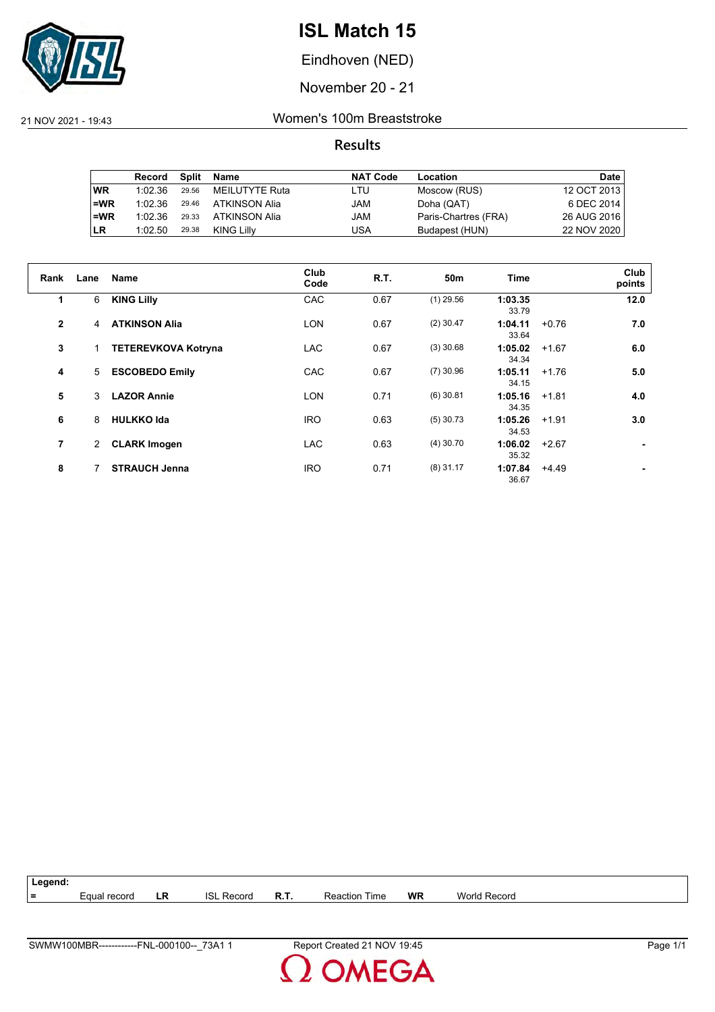

Eindhoven (NED)

November 20 - 21

21 NOV 2021 - 19:43 Women's 100m Breaststroke

|           | Record  | Split | Name           | <b>NAT Code</b> | Location             | <b>Date</b> |
|-----------|---------|-------|----------------|-----------------|----------------------|-------------|
| <b>WR</b> | 1:02.36 | 29.56 | MEILUTYTE Ruta | LTU             | Moscow (RUS)         | 12 OCT 2013 |
| $=WR$     | 1:02.36 | 29.46 | ATKINSON Alia  | JAM             | Doha (QAT)           | 6 DEC 2014  |
| $=WR$     | 1:02.36 | 29.33 | ATKINSON Alia  | JAM             | Paris-Chartres (FRA) | 26 AUG 2016 |
| <b>LR</b> | 1:02.50 | 29.38 | KING Lilly     | USA             | Budapest (HUN)       | 22 NOV 2020 |

| Rank           | Lane         | <b>Name</b>                | Club<br>Code | R.T. | 50 <sub>m</sub> | <b>Time</b>      |         | Club<br>points |
|----------------|--------------|----------------------------|--------------|------|-----------------|------------------|---------|----------------|
| 1              | 6            | <b>KING Lilly</b>          | CAC          | 0.67 | $(1)$ 29.56     | 1:03.35<br>33.79 |         | 12.0           |
| $\overline{2}$ | 4            | <b>ATKINSON Alia</b>       | <b>LON</b>   | 0.67 | $(2)$ 30.47     | 1:04.11<br>33.64 | $+0.76$ | 7.0            |
| 3              |              | <b>TETEREVKOVA Kotryna</b> | <b>LAC</b>   | 0.67 | $(3)$ 30.68     | 1:05.02<br>34.34 | $+1.67$ | 6.0            |
| 4              | 5            | <b>ESCOBEDO Emily</b>      | CAC          | 0.67 | $(7)$ 30.96     | 1:05.11<br>34.15 | $+1.76$ | 5.0            |
| 5              | 3            | <b>LAZOR Annie</b>         | <b>LON</b>   | 0.71 | $(6)$ 30.81     | 1:05.16<br>34.35 | $+1.81$ | 4.0            |
| 6              | 8            | <b>HULKKO Ida</b>          | <b>IRO</b>   | 0.63 | $(5)$ 30.73     | 1:05.26<br>34.53 | $+1.91$ | 3.0            |
| $\overline{7}$ | $\mathbf{2}$ | <b>CLARK Imogen</b>        | <b>LAC</b>   | 0.63 | $(4)$ 30.70     | 1:06.02<br>35.32 | $+2.67$ | ٠.             |
| 8              |              | <b>STRAUCH Jenna</b>       | <b>IRO</b>   | 0.71 | $(8)$ 31.17     | 1:07.84<br>36.67 | $+4.49$ | ۰              |



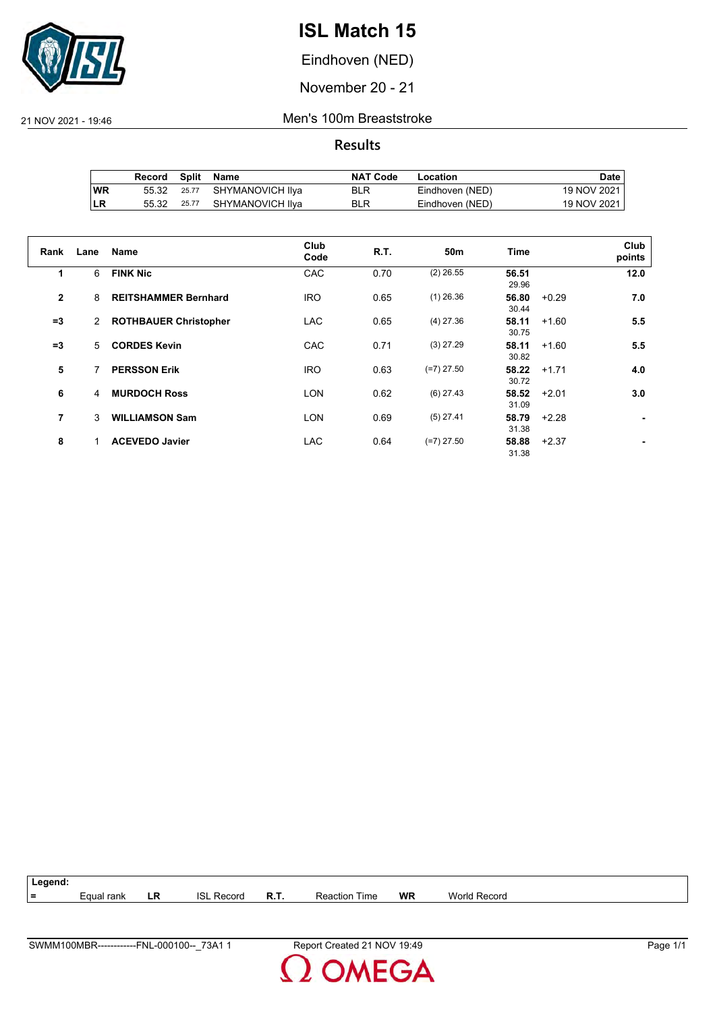

Eindhoven (NED)

November 20 - 21

21 NOV 2021 - 19:46 Men's 100m Breaststroke

|           | Record |       | Split Name             | <b>NAT Code</b> | Location        | Date i      |
|-----------|--------|-------|------------------------|-----------------|-----------------|-------------|
| <b>WR</b> | 55.32  |       | 25.77 SHYMANOVICH IIya | BLR             | Eindhoven (NED) | 19 NOV 2021 |
| ∣LR       | 55.32  | 25.77 | SHYMANOVICH Ilya       | BLR             | Eindhoven (NED) | 19 NOV 2021 |

| Rank         | Lane | <b>Name</b>                  | Club<br>Code | R.T. | 50 <sub>m</sub> | <b>Time</b>    |         | Club<br>points |
|--------------|------|------------------------------|--------------|------|-----------------|----------------|---------|----------------|
| 1            | 6    | <b>FINK Nic</b>              | CAC          | 0.70 | $(2)$ 26.55     | 56.51<br>29.96 |         | 12.0           |
| $\mathbf{2}$ | 8    | <b>REITSHAMMER Bernhard</b>  | <b>IRO</b>   | 0.65 | $(1)$ 26.36     | 56.80<br>30.44 | $+0.29$ | 7.0            |
| $=3$         | 2    | <b>ROTHBAUER Christopher</b> | <b>LAC</b>   | 0.65 | $(4)$ 27.36     | 58.11<br>30.75 | $+1.60$ | 5.5            |
| $=3$         | 5.   | <b>CORDES Kevin</b>          | CAC          | 0.71 | $(3)$ 27.29     | 58.11<br>30.82 | $+1.60$ | 5.5            |
| 5            |      | <b>PERSSON Erik</b>          | <b>IRO</b>   | 0.63 | $(=7)$ 27.50    | 58.22<br>30.72 | $+1.71$ | 4.0            |
| 6            | 4    | <b>MURDOCH Ross</b>          | <b>LON</b>   | 0.62 | $(6)$ 27.43     | 58.52<br>31.09 | $+2.01$ | 3.0            |
| 7            | 3    | <b>WILLIAMSON Sam</b>        | <b>LON</b>   | 0.69 | $(5)$ 27.41     | 58.79<br>31.38 | $+2.28$ |                |
| 8            |      | <b>ACEVEDO Javier</b>        | <b>LAC</b>   | 0.64 | $(=7)$ 27.50    | 58.88<br>31.38 | $+2.37$ |                |

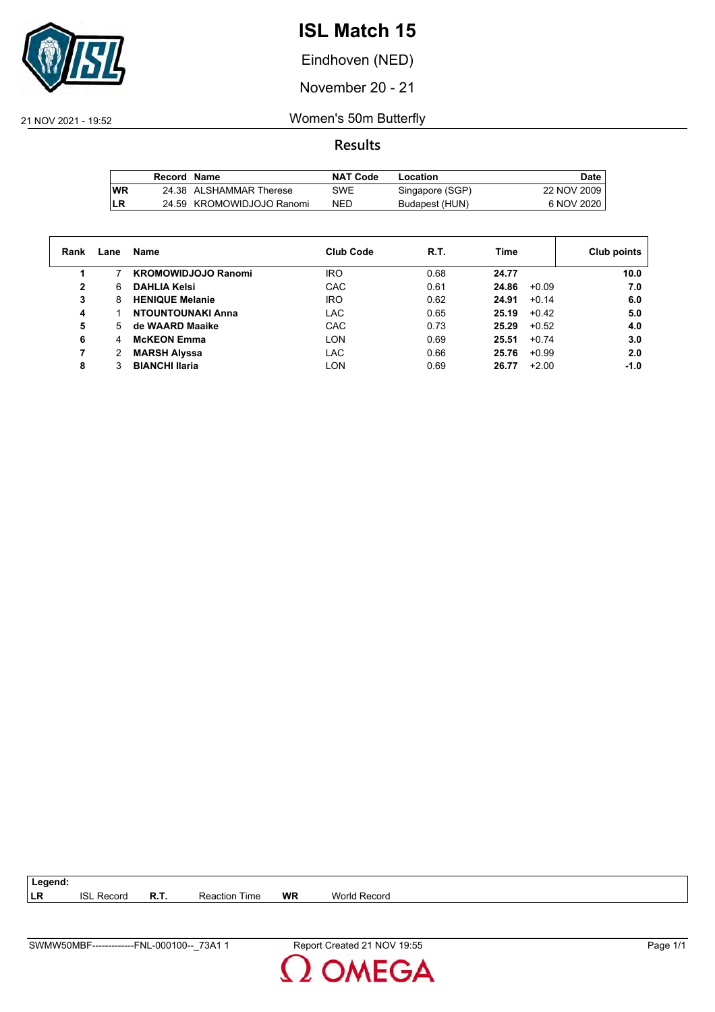

Eindhoven (NED)

November 20 - 21

21 NOV 2021 - 19:52 Women's 50m Butterfly

**Results**

|           | Record Name |                           | <b>NAT Code</b> | Location        | Date,       |
|-----------|-------------|---------------------------|-----------------|-----------------|-------------|
| <b>WR</b> |             | 24.38 ALSHAMMAR Therese   | SWE             | Singapore (SGP) | 22 NOV 2009 |
| LR        |             | 24.59 KROMOWIDJOJO Ranomi | <b>NED</b>      | Budapest (HUN)  | 6 NOV 2020  |

| Rank         | Lane | Name                       | <b>Club Code</b> | R.T. | Time             | Club points |
|--------------|------|----------------------------|------------------|------|------------------|-------------|
|              |      | <b>KROMOWIDJOJO Ranomi</b> | IRO              | 0.68 | 24.77            | 10.0        |
| $\mathbf{2}$ | 6    | <b>DAHLIA Kelsi</b>        | CAC              | 0.61 | 24.86<br>$+0.09$ | 7.0         |
| 3            | 8    | <b>HENIQUE Melanie</b>     | <b>IRO</b>       | 0.62 | 24.91<br>$+0.14$ | 6.0         |
| 4            |      | NTOUNTOUNAKI Anna          | LAC              | 0.65 | 25.19<br>$+0.42$ | 5.0         |
| 5            | 5.   | de WAARD Maaike            | CAC              | 0.73 | 25.29<br>$+0.52$ | 4.0         |
| 6            | 4    | <b>McKEON Emma</b>         | <b>LON</b>       | 0.69 | 25.51<br>$+0.74$ | 3.0         |
| 7            | 2    | <b>MARSH Alyssa</b>        | LAC              | 0.66 | $+0.99$<br>25.76 | 2.0         |
| 8            |      | <b>BIANCHI Ilaria</b>      | LON              | 0.69 | $+2.00$<br>26.77 | $-1.0$      |

| 73A1<br>SWMV<br>-000100-<br><b>FNL</b><br>V50MBF<br>------------- | 19:55<br><b>NOV</b><br>Repor'<br>.<br>Created | Page |
|-------------------------------------------------------------------|-----------------------------------------------|------|

**LR** ISL Record **R.T.** Reaction Time **WR** World Record

**Legend:**

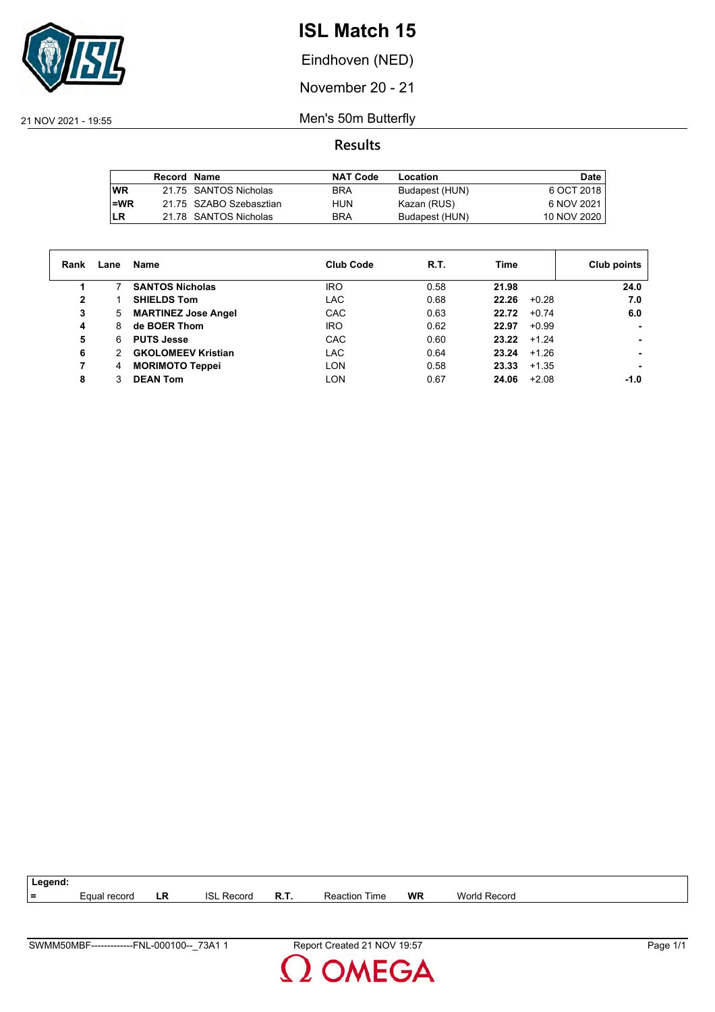

Eindhoven (NED)

November 20 - 21

21 NOV 2021 - 19:55 Men's 50m Butterfly

|           | Record Name |                         | <b>NAT Code</b> | Location       | Date        |
|-----------|-------------|-------------------------|-----------------|----------------|-------------|
| <b>WR</b> |             | 21.75 SANTOS Nicholas   | <b>BRA</b>      | Budapest (HUN) | 6 OCT 2018  |
| i=WR      |             | 21.75 SZABO Szebasztian | HUN             | Kazan (RUS)    | 6 NOV 2021  |
| ILR       |             | 21.78 SANTOS Nicholas   | <b>BRA</b>      | Budapest (HUN) | 10 NOV 2020 |

| Rank | Lane | Name                       | <b>Club Code</b> | R.T. | Time             | Club points |
|------|------|----------------------------|------------------|------|------------------|-------------|
|      |      | <b>SANTOS Nicholas</b>     | IRO              | 0.58 | 21.98            | 24.0        |
| 2    |      | <b>SHIELDS Tom</b>         | LAC              | 0.68 | 22.26<br>$+0.28$ | 7.0         |
| 3    | 5    | <b>MARTINEZ Jose Angel</b> | CAC              | 0.63 | 22.72<br>$+0.74$ | 6.0         |
| 4    | 8    | de BOER Thom               | <b>IRO</b>       | 0.62 | 22.97<br>$+0.99$ |             |
| 5    | 6    | <b>PUTS Jesse</b>          | CAC              | 0.60 | 23.22<br>$+1.24$ | ۰           |
| 6    | 2    | <b>GKOLOMEEV Kristian</b>  | LAC              | 0.64 | 23.24<br>$+1.26$ | ۰           |
| 7    | 4    | <b>MORIMOTO Teppei</b>     | LON              | 0.58 | 23.33<br>$+1.35$ | ۰           |
| 8    | 3    | <b>DEAN Tom</b>            | LON              | 0.67 | $+2.08$<br>24.06 | $-1.0$      |

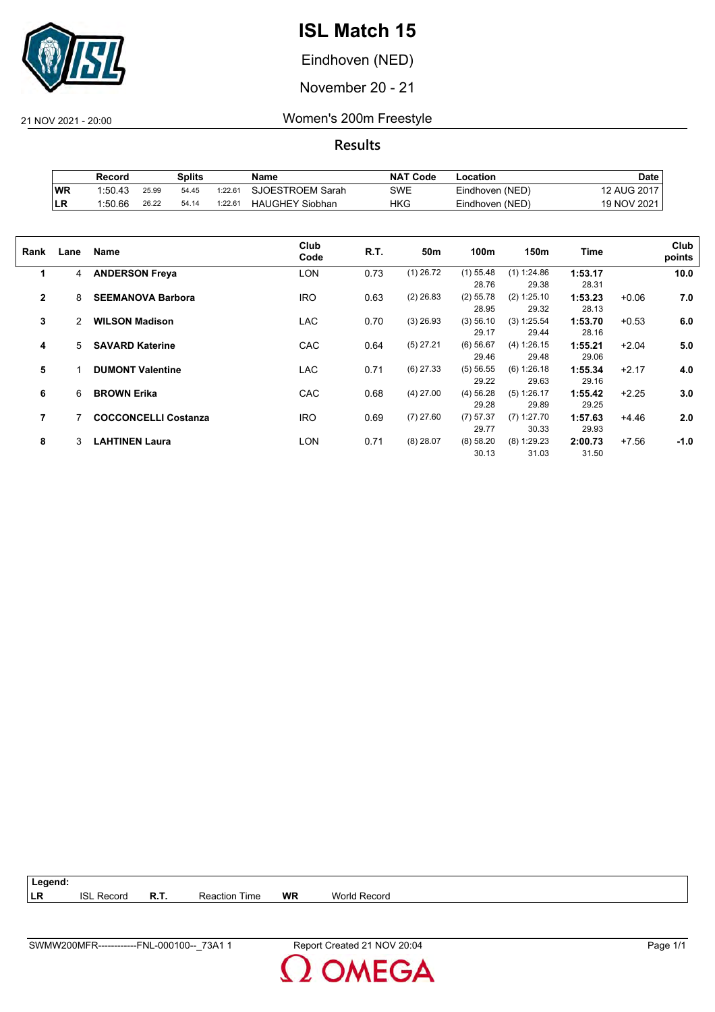

Eindhoven (NED)

November 20 - 21

21 NOV 2021 - 20:00 Women's 200m Freestyle

|     | Record  |       | Splits |         | Name                   | <b>NAT Code</b> | ∟ocation        | Date        |
|-----|---------|-------|--------|---------|------------------------|-----------------|-----------------|-------------|
| ∣WR | 1:50.43 | 25.99 | 54.45  | 1:22.64 | SJOESTROEM Sarah       | SWE             | Eindhoven (NED) | 12 AUG 2017 |
| ILR | 1:50.66 | 26.22 | 54.14  | 1:22.61 | <b>HAUGHEY Siobhan</b> | HKG             | Eindhoven (NED) | 19 NOV 2021 |

| Rank           | Lane | Name                        | Club<br>Code | R.T. | 50m         | 100m                 | 150m                   | Time             |         | Club<br>points |
|----------------|------|-----------------------------|--------------|------|-------------|----------------------|------------------------|------------------|---------|----------------|
| 1              | 4    | <b>ANDERSON Freya</b>       | LON          | 0.73 | $(1)$ 26.72 | $(1)$ 55.48<br>28.76 | (1) 1:24.86<br>29.38   | 1:53.17<br>28.31 |         | 10.0           |
| $\mathbf{2}$   | 8    | <b>SEEMANOVA Barbora</b>    | <b>IRO</b>   | 0.63 | $(2)$ 26.83 | $(2)$ 55.78<br>28.95 | (2) 1:25.10<br>29.32   | 1:53.23<br>28.13 | $+0.06$ | 7.0            |
| 3              | 2    | <b>WILSON Madison</b>       | <b>LAC</b>   | 0.70 | $(3)$ 26.93 | (3) 56.10<br>29.17   | (3) 1:25.54<br>29.44   | 1:53.70<br>28.16 | $+0.53$ | 6.0            |
| 4              | 5    | <b>SAVARD Katerine</b>      | CAC          | 0.64 | $(5)$ 27.21 | $(6)$ 56.67<br>29.46 | (4) 1:26.15<br>29.48   | 1:55.21<br>29.06 | $+2.04$ | 5.0            |
| 5              |      | <b>DUMONT Valentine</b>     | <b>LAC</b>   | 0.71 | $(6)$ 27.33 | (5) 56.55<br>29.22   | (6) 1:26.18<br>29.63   | 1:55.34<br>29.16 | $+2.17$ | 4.0            |
| 6              | 6    | <b>BROWN Erika</b>          | CAC          | 0.68 | $(4)$ 27.00 | $(4)$ 56.28<br>29.28 | $(5)$ 1:26.17<br>29.89 | 1:55.42<br>29.25 | $+2.25$ | 3.0            |
| $\overline{7}$ |      | <b>COCCONCELLI Costanza</b> | <b>IRO</b>   | 0.69 | $(7)$ 27.60 | $(7)$ 57.37<br>29.77 | $(7)$ 1:27.70<br>30.33 | 1:57.63<br>29.93 | $+4.46$ | 2.0            |
| 8              | 3    | <b>LAHTINEN Laura</b>       | LON          | 0.71 | $(8)$ 28.07 | (8) 58.20<br>30.13   | $(8)$ 1:29.23<br>31.03 | 2:00.73<br>31.50 | $+7.56$ | $-1.0$         |

| $ $ Legend: |                   |      |                      |    |              |
|-------------|-------------------|------|----------------------|----|--------------|
| <b>LR</b>   | <b>ISL Record</b> | R.T. | <b>Reaction Time</b> | WR | World Record |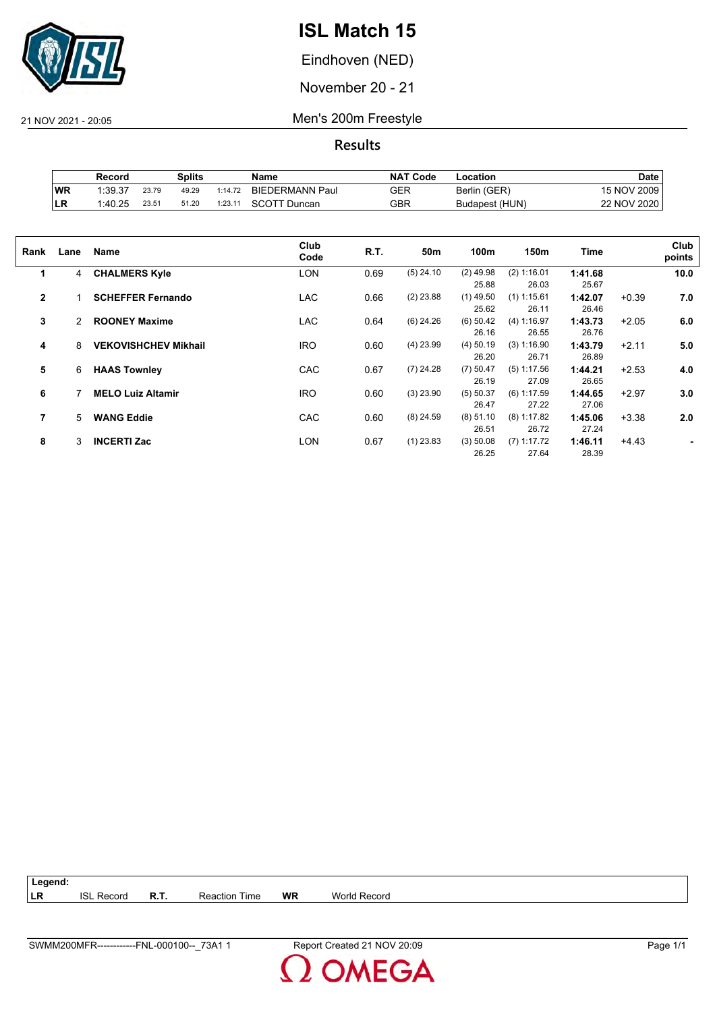

Eindhoven (NED)

November 20 - 21

21 NOV 2021 - 20:05 Men's 200m Freestyle

**Results**

|            | Record  |       | Splits |         | Name                   | <b>NAT</b><br>' Code | Location       | Date        |
|------------|---------|-------|--------|---------|------------------------|----------------------|----------------|-------------|
| WR         | 1:39.37 | 23.79 | 49.29  | 1:14.72 | <b>BIEDERMANN Paul</b> | GER                  | Berlin (GER)   | 15 NOV 2009 |
| <b>ILR</b> | 1:40.25 | 23.51 | 51.20  | :23.11  | SCOTT<br>Duncan        | GBR                  | Budapest (HUN) | 22 NOV 2020 |

| Rank           | Lane | Name                        | Club<br>Code | R.T. | 50m         | 100m        | 150m          | <b>Time</b> |         | Club<br>points |
|----------------|------|-----------------------------|--------------|------|-------------|-------------|---------------|-------------|---------|----------------|
| 1              | 4    | <b>CHALMERS Kyle</b>        | <b>LON</b>   | 0.69 | $(5)$ 24.10 | $(2)$ 49.98 | (2) 1:16.01   | 1:41.68     |         | 10.0           |
|                |      |                             |              |      |             | 25.88       | 26.03         | 25.67       |         |                |
| $\overline{2}$ |      | <b>SCHEFFER Fernando</b>    | <b>LAC</b>   | 0.66 | $(2)$ 23.88 | $(1)$ 49.50 | $(1)$ 1:15.61 | 1:42.07     | $+0.39$ | 7.0            |
|                |      |                             |              |      |             | 25.62       | 26.11         | 26.46       |         |                |
| 3              | 2    | <b>ROONEY Maxime</b>        | <b>LAC</b>   | 0.64 | $(6)$ 24.26 | $(6)$ 50.42 | (4) 1:16.97   | 1:43.73     | $+2.05$ | 6.0            |
|                |      |                             |              |      |             | 26.16       | 26.55         | 26.76       |         |                |
| 4              | 8    | <b>VEKOVISHCHEV Mikhail</b> | <b>IRO</b>   | 0.60 | $(4)$ 23.99 | $(4)$ 50.19 | (3) 1:16.90   | 1:43.79     | $+2.11$ | 5.0            |
|                |      |                             |              |      |             | 26.20       | 26.71         | 26.89       |         |                |
| 5              | 6    | <b>HAAS Townley</b>         | CAC          | 0.67 | $(7)$ 24.28 | $(7)$ 50.47 | $(5)$ 1:17.56 | 1:44.21     | $+2.53$ | 4.0            |
|                |      |                             |              |      |             | 26.19       | 27.09         | 26.65       |         |                |
| 6              |      | <b>MELO Luiz Altamir</b>    | <b>IRO</b>   | 0.60 | $(3)$ 23.90 | (5) 50.37   | $(6)$ 1:17.59 | 1:44.65     | $+2.97$ | 3.0            |
|                |      |                             |              |      |             | 26.47       | 27.22         | 27.06       |         |                |
|                |      |                             |              |      |             |             |               |             |         |                |
| 7              | 5    | <b>WANG Eddie</b>           | CAC          | 0.60 | $(8)$ 24.59 | $(8)$ 51.10 | $(8)$ 1:17.82 | 1:45.06     | $+3.38$ | 2.0            |
|                |      |                             |              |      |             | 26.51       | 26.72         | 27.24       |         |                |
| 8              | 3    | <b>INCERTI Zac</b>          | LON          | 0.67 | $(1)$ 23.83 | (3) 50.08   | $(7)$ 1:17.72 | 1:46.11     | $+4.43$ |                |
|                |      |                             |              |      |             | 26.25       | 27.64         | 28.39       |         |                |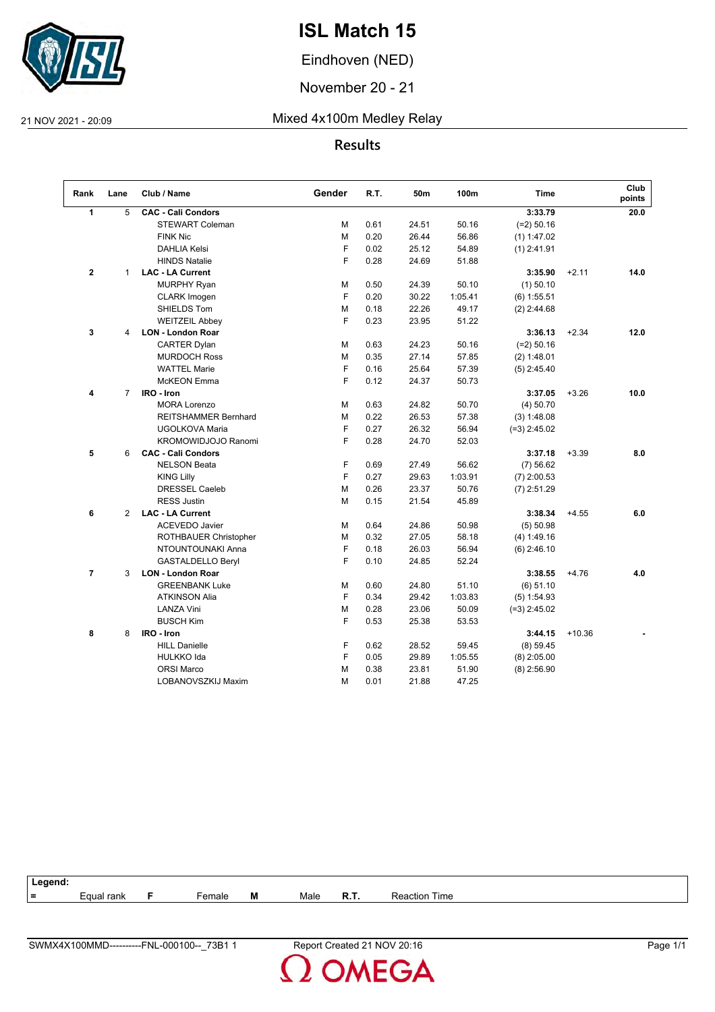

Eindhoven (NED)

November 20 - 21

### 21 NOV 2021 - 20:09 Mixed 4x100m Medley Relay

### **Results**

| Rank           | Lane           | Club / Name               | Gender | R.T. | 50m   | 100m    | <b>Time</b>    |          | Club<br>points |
|----------------|----------------|---------------------------|--------|------|-------|---------|----------------|----------|----------------|
| 1              | 5              | <b>CAC - Cali Condors</b> |        |      |       |         | 3:33.79        |          | 20.0           |
|                |                | <b>STEWART Coleman</b>    | М      | 0.61 | 24.51 | 50.16   | $(=2)$ 50.16   |          |                |
|                |                | <b>FINK Nic</b>           | М      | 0.20 | 26.44 | 56.86   | (1) 1:47.02    |          |                |
|                |                | <b>DAHLIA Kelsi</b>       | F      | 0.02 | 25.12 | 54.89   | $(1)$ 2:41.91  |          |                |
|                |                | <b>HINDS Natalie</b>      | F      | 0.28 | 24.69 | 51.88   |                |          |                |
| $\mathbf 2$    | $\mathbf{1}$   | <b>LAC - LA Current</b>   |        |      |       |         | 3:35.90        | $+2.11$  | 14.0           |
|                |                | <b>MURPHY Ryan</b>        | М      | 0.50 | 24.39 | 50.10   | $(1)$ 50.10    |          |                |
|                |                | <b>CLARK</b> Imogen       | F      | 0.20 | 30.22 | 1:05.41 | $(6)$ 1:55.51  |          |                |
|                |                | SHIELDS Tom               | М      | 0.18 | 22.26 | 49.17   | $(2)$ 2:44.68  |          |                |
|                |                | <b>WEITZEIL Abbey</b>     | F      | 0.23 | 23.95 | 51.22   |                |          |                |
| 3              | 4              | <b>LON - London Roar</b>  |        |      |       |         | 3:36.13        | $+2.34$  | 12.0           |
|                |                | <b>CARTER Dylan</b>       | М      | 0.63 | 24.23 | 50.16   | $(=2)$ 50.16   |          |                |
|                |                | <b>MURDOCH Ross</b>       | М      | 0.35 | 27.14 | 57.85   | (2) 1:48.01    |          |                |
|                |                | <b>WATTEL Marie</b>       | F      | 0.16 | 25.64 | 57.39   | $(5)$ 2:45.40  |          |                |
|                |                | <b>McKEON</b> Emma        | F      | 0.12 | 24.37 | 50.73   |                |          |                |
| 4              | $\overline{7}$ | IRO - Iron                |        |      |       |         | 3:37.05        | $+3.26$  | 10.0           |
|                |                | <b>MORA Lorenzo</b>       | М      | 0.63 | 24.82 | 50.70   | (4) 50.70      |          |                |
|                |                | REITSHAMMER Bernhard      | м      | 0.22 | 26.53 | 57.38   | (3) 1:48.08    |          |                |
|                |                | UGOLKOVA Maria            | F      | 0.27 | 26.32 | 56.94   | $(=3)$ 2:45.02 |          |                |
|                |                | KROMOWIDJOJO Ranomi       | F      | 0.28 | 24.70 | 52.03   |                |          |                |
| 5              | 6              | <b>CAC - Cali Condors</b> |        |      |       |         | 3:37.18        | $+3.39$  | 8.0            |
|                |                | <b>NELSON Beata</b>       | F      | 0.69 | 27.49 | 56.62   | (7) 56.62      |          |                |
|                |                | <b>KING Lilly</b>         | F      | 0.27 | 29.63 | 1:03.91 | $(7)$ 2:00.53  |          |                |
|                |                | <b>DRESSEL Caeleb</b>     | M      | 0.26 | 23.37 | 50.76   | $(7)$ 2:51.29  |          |                |
|                |                | <b>RESS Justin</b>        | M      | 0.15 | 21.54 | 45.89   |                |          |                |
| 6              | 2              | <b>LAC - LA Current</b>   |        |      |       |         | 3:38.34        | $+4.55$  | 6.0            |
|                |                | <b>ACEVEDO Javier</b>     | м      | 0.64 | 24.86 | 50.98   | (5) 50.98      |          |                |
|                |                | ROTHBAUER Christopher     | м      | 0.32 | 27.05 | 58.18   | (4) 1:49.16    |          |                |
|                |                | NTOUNTOUNAKI Anna         | F      | 0.18 | 26.03 | 56.94   | $(6)$ 2:46.10  |          |                |
|                |                | <b>GASTALDELLO Beryl</b>  | F      | 0.10 | 24.85 | 52.24   |                |          |                |
| $\overline{7}$ | 3              | <b>LON - London Roar</b>  |        |      |       |         | 3:38.55        | $+4.76$  | 4.0            |
|                |                | <b>GREENBANK Luke</b>     | м      | 0.60 | 24.80 | 51.10   | (6) 51.10      |          |                |
|                |                | <b>ATKINSON Alia</b>      | F      | 0.34 | 29.42 | 1:03.83 | $(5)$ 1:54.93  |          |                |
|                |                | <b>LANZA Vini</b>         | M      | 0.28 | 23.06 | 50.09   | $(-3)$ 2:45.02 |          |                |
|                |                | <b>BUSCH Kim</b>          | F      | 0.53 | 25.38 | 53.53   |                |          |                |
| 8              | 8              | IRO - Iron                |        |      |       |         | 3:44.15        | $+10.36$ |                |
|                |                | <b>HILL Danielle</b>      | F      | 0.62 | 28.52 | 59.45   | (8) 59.45      |          |                |
|                |                | <b>HULKKO Ida</b>         | F      | 0.05 | 29.89 | 1:05.55 | $(8)$ 2:05.00  |          |                |
|                |                | <b>ORSI Marco</b>         | M      | 0.38 | 23.81 | 51.90   | $(8)$ 2:56.90  |          |                |
|                |                | LOBANOVSZKIJ Maxim        | М      | 0.01 | 21.88 | 47.25   |                |          |                |

| ˈ Legend: |            |        |   |      |        |                      |
|-----------|------------|--------|---|------|--------|----------------------|
| $=$       | Equal rank | Female | Μ | Male | - R.T. | <b>Reaction Time</b> |
|           |            |        |   |      |        |                      |

**OMEGA**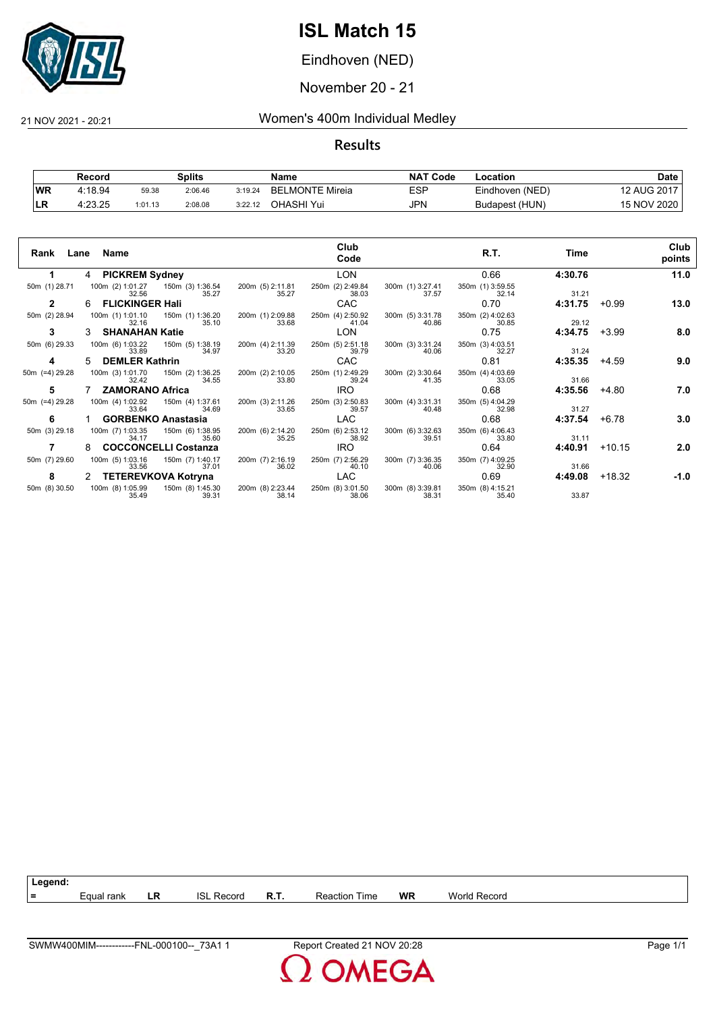

Eindhoven (NED)

November 20 - 21

### 21 NOV 2021 - 20:21 Women's 400m Individual Medley

|           | Record  |         | Splits  |         | Name                        | <b>NAT</b><br>' Code | -ocation        | Date        |
|-----------|---------|---------|---------|---------|-----------------------------|----------------------|-----------------|-------------|
| <b>WR</b> | 4:18.94 | 59.38   | 2:06.46 | 3:19.24 | ∟MONTE Mireia<br><b>BEL</b> | ESP                  | Eindhoven (NED) | 12 AUG 2017 |
| LR        | 4:23.25 | 1:01.13 | 2:08.08 | 3:22.12 | OHASHI Yui                  | <b>JPN</b>           | Budapest (HUN)  | 15 NOV 2020 |

| Rank           | Lane Name                 |                                                                                                                                                                 |                                                                                 | Club<br>Code              |                                            | R.T.                                  | Time    |          | Club<br>points |
|----------------|---------------------------|-----------------------------------------------------------------------------------------------------------------------------------------------------------------|---------------------------------------------------------------------------------|---------------------------|--------------------------------------------|---------------------------------------|---------|----------|----------------|
| 1.             | 4 PICKREM Sydney          |                                                                                                                                                                 |                                                                                 | <b>LON</b>                |                                            | 0.66                                  | 4:30.76 |          | 11.0           |
| 50m (1) 28.71  | 32.56                     | 100m (2) 1:01.27   150m (3) 1:36.54<br>35.27                                                                                                                    | 200m (5) 2:11.81<br>35.27                                                       | 250m (2) 2:49.84<br>38.03 | 300m (1) 3:27.41<br>37.57                  | 350m (1) 3:59.55<br>32.14             | 31.21   |          |                |
| $\overline{2}$ | 6 FLICKINGER Hali         |                                                                                                                                                                 |                                                                                 | CAC                       |                                            | 0.70                                  | 4:31.75 | $+0.99$  | 13.0           |
| 50m (2) 28.94  | 32.16                     | 100m (1) 1:01.10  150m (1) 1:36.20<br>35.10                                                                                                                     | 200m (1) 2:09.88<br>33.68                                                       | 250m (4) 2:50.92<br>41.04 | 300m (5) 3:31.78<br>40.86                  | 350m (2) 4:02.63<br>30.85             | 29.12   |          |                |
| 3              | 3 SHANAHAN Katie          |                                                                                                                                                                 |                                                                                 | LON                       |                                            | 0.75                                  | 4:34.75 | $+3.99$  | 8.0            |
| 50m (6) 29.33  |                           | 100m (6) 1:03.22   150m (5) 1:38.19<br>34.97<br>33.89 and the set of the set of the set of the set of the set of the set of the set of the set of the set of th | 200m (4) 2:11.39<br>33.20                                                       | 250m (5) 2:51.18<br>39.79 | 300m (3) 3:31.24<br>40.06                  | 350m (3) 4:03.51<br>$\frac{32.27}{ }$ | 31.24   |          |                |
| 4              | 5 DEMLER Kathrin          |                                                                                                                                                                 |                                                                                 | CAC                       |                                            | 0.81                                  | 4:35.35 | +4.59    | 9.0            |
| 50m (=4) 29.28 |                           |                                                                                                                                                                 | 100m (3) 1:01.70   150m (2) 1:36.25   200m (2) 2:10.05   32.42   34.55          | 250m (1) 2:49.29<br>39.24 | 300m (2) 3:30.64<br>41.35                  | 350m (4) 4:03.69<br>33.05             | 31.66   |          |                |
| 5              | 7 ZAMORANO Africa         |                                                                                                                                                                 |                                                                                 | <b>IRO</b>                |                                            | 0.68                                  | 4:35.56 | +4.80    | 7.0            |
| 50m (=4) 29.28 | 100m (4) 1:02.92<br>33.64 | 34.69                                                                                                                                                           | 150m (4) 1:37.61 200m (3) 2:11.26<br>33.65                                      | 250m (3) 2:50.83<br>39.57 | 300m (4) 3:31.31<br>40.48                  | 350m (5) 4:04.29<br>32.98             | 31.27   |          |                |
| 6              |                           | <b>GORBENKO Anastasia</b>                                                                                                                                       |                                                                                 | <b>LAC</b>                |                                            | 0.68                                  | 4:37.54 | +6.78    | 3.0            |
| 50m (3) 29.18  | 100m (7) 1:03.35<br>34.17 | 150m (6) 1:38.95<br>35.60                                                                                                                                       | 200m (6) 2:14.20<br>35.25                                                       | 250m (6) 2:53.12<br>38.92 | 300m (6) 3:32.63<br>39.51                  | 350m (6) 4:06.43<br>33.80             | 31.11   |          |                |
|                | 8 COCCONCELLI Costanza    |                                                                                                                                                                 |                                                                                 | <b>IRO</b>                |                                            | 0.64                                  | 4:40.91 | $+10.15$ | 2.0            |
| 50m (7) 29.60  | 100m (5) 1:03.16<br>33.56 | 150m (7) 1:40.17<br>37.01                                                                                                                                       | 200m (7) 2:16.19<br>36.02                                                       | 250m (7) 2:56.29<br>40.10 | 300m (7) 3:36.35<br>40.06                  | 350m (7) 4:09.25<br>32.90             | 31.66   |          |                |
| 8              |                           |                                                                                                                                                                 | 2 TETEREVKOVA Kotryna LAC                                                       |                           |                                            | 0.69                                  | 4:49.08 | +18.32   | -1.0           |
| 50m (8) 30.50  | 35.49                     | 39.31                                                                                                                                                           | 100m (8) 1:05.99  150m (8) 1:45.30  200m (8) 2:23.44  250m (8) 3:01.50<br>38.14 | 38.06                     | 300m (8) 3:39.81 350m (8) 4:15.21<br>38.31 | 35.40                                 | 33.87   |          |                |

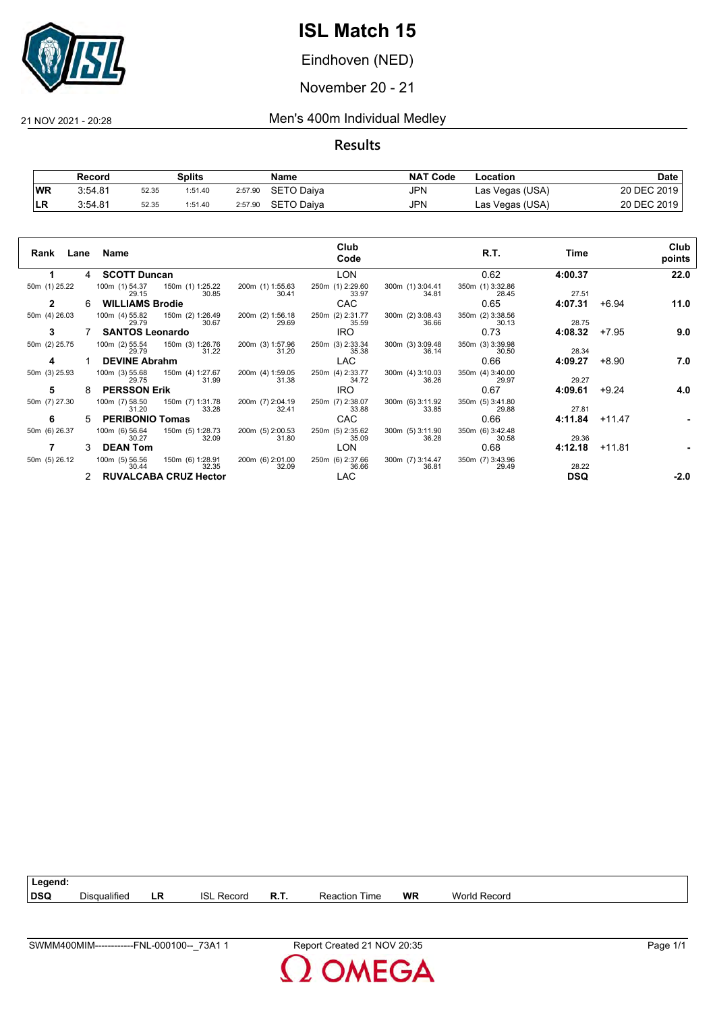

Eindhoven (NED)

November 20 - 21

21 NOV 2021 - 20:28 Men's 400m Individual Medley

|           | Record  |       | Splits  |         | Name       | <b>NAT Code</b> | Location        | Date        |
|-----------|---------|-------|---------|---------|------------|-----------------|-----------------|-------------|
| <b>WR</b> | 3:54.81 | 52.35 | 1:51.40 | 2:57.90 | SETO Daiya | JPN             | Las Vegas (USA) | 20 DEC 2019 |
| ∣LR       | 3:54.81 | 52.35 | 1:51.40 | 2:57.90 | SETO Daiya | <b>JPN</b>      | Las Vegas (USA) | 20 DEC 2019 |

| Rank<br>Lane  |    | Name                                                 |                           | Club<br>Code              |                           | R.T.                      | Time       |          | Club<br>points |
|---------------|----|------------------------------------------------------|---------------------------|---------------------------|---------------------------|---------------------------|------------|----------|----------------|
|               | 4  | <b>SCOTT Duncan</b>                                  |                           | <b>LON</b>                |                           | 0.62                      | 4:00.37    |          | 22.0           |
| 50m (1) 25.22 |    | 100m (1) 54.37<br>150m (1) 1:25.22<br>30.85<br>29.15 | 200m (1) 1:55.63<br>30.41 | 250m (1) 2:29.60<br>33.97 | 300m (1) 3:04.41<br>34.81 | 350m (1) 3:32.86<br>28.45 | 27.51      |          |                |
| $\mathbf{2}$  | 6  | <b>WILLIAMS Brodie</b>                               |                           | <b>CAC</b>                |                           | 0.65                      | 4:07.31    | $+6.94$  | 11.0           |
| 50m (4) 26.03 |    | 100m (4) 55.82 150m (2) 1:26.49<br>30.67<br>29.79    | 200m (2) 1:56.18<br>29.69 | 250m (2) 2:31.77<br>35.59 | 300m (2) 3:08.43<br>36.66 | 350m (2) 3:38.56<br>30.13 | 28.75      |          |                |
| 3             |    | <b>SANTOS Leonardo</b>                               |                           | IRO.                      |                           | 0.73                      | 4:08.32    | $+7.95$  | 9.0            |
| 50m (2) 25.75 |    | 100m (2) 55.54<br>150m (3) 1:26.76<br>31.22<br>29.79 | 200m (3) 1:57.96<br>31.20 | 250m (3) 2:33.34<br>35.38 | 300m (3) 3:09.48<br>36.14 | 350m (3) 3:39.98<br>30.50 | 28.34      |          |                |
| 4             |    | <b>DEVINE Abrahm</b>                                 |                           | <b>LAC</b>                |                           | 0.66                      | 4:09.27    | $+8.90$  | 7.0            |
| 50m (3) 25.93 |    | 100m (3) 55.68 150m (4) 1:27.67<br>31.99<br>29.75    | 200m (4) 1:59.05<br>31.38 | 250m (4) 2:33.77<br>34.72 | 300m (4) 3:10.03<br>36.26 | 350m (4) 3:40.00<br>29.97 | 29.27      |          |                |
| 5             | 8  | <b>PERSSON Erik</b>                                  |                           | IRO.                      |                           | 0.67                      | 4:09.61    | $+9.24$  | 4.0            |
| 50m (7) 27.30 |    | 100m (7) 58.50 150m (7) 1:31.78<br>33.28<br>31.20    | 200m (7) 2:04.19<br>32.41 | 250m (7) 2:38.07<br>33.88 | 300m (6) 3:11.92<br>33.85 | 350m (5) 3:41.80<br>29.88 | 27.81      |          |                |
| 6             | 5. | <b>PERIBONIO Tomas</b>                               |                           | <b>CAC</b>                |                           | 0.66                      | 4:11.84    | $+11.47$ |                |
| 50m (6) 26.37 |    | 100m (6) 56.64<br>150m (5) 1:28.73<br>30.27<br>32.09 | 200m (5) 2:00.53<br>31.80 | 250m (5) 2:35.62<br>35.09 | 300m (5) 3:11.90<br>36.28 | 350m (6) 3:42.48<br>30.58 | 29.36      |          |                |
|               | 3  | <b>DEAN Tom</b>                                      |                           | <b>LON</b>                |                           | 0.68                      | 4:12.18    | +11.81   |                |
| 50m (5) 26.12 |    | 150m (6) 1:28.91<br>100m (5) 56.56<br>32.35<br>30.44 | 200m (6) 2:01.00<br>32.09 | 250m (6) 2:37.66<br>36.66 | 300m (7) 3:14.47<br>36.81 | 350m (7) 3:43.96<br>29.49 | 28.22      |          |                |
|               | 2  | <b>RUVALCABA CRUZ Hector</b>                         |                           | <b>LAC</b>                |                           |                           | <b>DSQ</b> |          | $-2.0$         |

| Legend:    |                          |     |                    |          |                                                            |    |                 |
|------------|--------------------------|-----|--------------------|----------|------------------------------------------------------------|----|-----------------|
| <b>DSQ</b> | $\cdots$<br>Disqualified | ∟R. | ISI<br>-<br>Record | o<br>к., | $\overline{\phantom{a}}$<br><b>Time</b><br>Re.<br>71 C J I | WR | World<br>Record |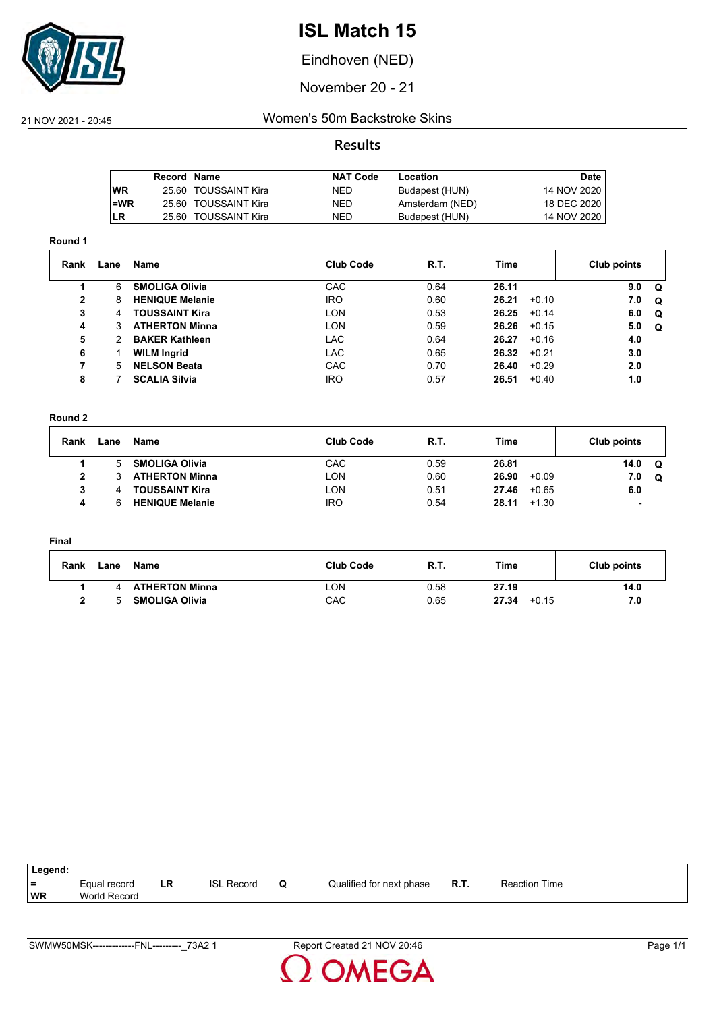

Eindhoven (NED)

November 20 - 21

### 21 NOV 2021 - 20:45 Women's 50m Backstroke Skins

### **Results**

|           | Record Name |                      | <b>NAT Code</b> | Location        | Date          |
|-----------|-------------|----------------------|-----------------|-----------------|---------------|
| <b>WR</b> |             | 25.60 TOUSSAINT Kira | <b>NED</b>      | Budapest (HUN)  | 14 NOV 2020   |
| l=WR      |             | 25.60 TOUSSAINT Kira | NED             | Amsterdam (NED) | 18 DEC 2020   |
| ILR       |             | 25.60 TOUSSAINT Kira | NED             | Budapest (HUN)  | 14 NOV 2020 I |
|           |             |                      |                 |                 |               |

#### **Round 1**

| Rank         | Lane | Name                   | <b>Club Code</b> | R.T. | Time             | Club points     |
|--------------|------|------------------------|------------------|------|------------------|-----------------|
|              | 6    | <b>SMOLIGA Olivia</b>  | <b>CAC</b>       | 0.64 | 26.11            | 9.0<br>$\Omega$ |
| $\mathbf{2}$ | 8    | <b>HENIQUE Melanie</b> | <b>IRO</b>       | 0.60 | 26.21<br>$+0.10$ | 7.0<br>$\Omega$ |
| 3            | 4    | <b>TOUSSAINT Kira</b>  | LON              | 0.53 | 26.25<br>$+0.14$ | 6.0<br>Q        |
| 4            | 3    | <b>ATHERTON Minna</b>  | <b>LON</b>       | 0.59 | 26.26<br>$+0.15$ | 5.0<br>Q        |
| 5            |      | <b>BAKER Kathleen</b>  | <b>LAC</b>       | 0.64 | 26.27<br>$+0.16$ | 4.0             |
| 6            |      | <b>WILM Ingrid</b>     | <b>LAC</b>       | 0.65 | 26.32<br>$+0.21$ | 3.0             |
| 7            | 5.   | <b>NELSON Beata</b>    | <b>CAC</b>       | 0.70 | $+0.29$<br>26.40 | 2.0             |
| 8            |      | <b>SCALIA Silvia</b>   | <b>IRO</b>       | 0.57 | 26.51<br>$+0.40$ | 1.0             |

#### **Round 2**

| Rank | Lane | Name                   | <b>Club Code</b> | R.T. | Time             | Club points |          |
|------|------|------------------------|------------------|------|------------------|-------------|----------|
|      | 5    | <b>SMOLIGA Olivia</b>  | CAC              | 0.59 | 26.81            | 14.0        | $\Omega$ |
| 2    |      | <b>ATHERTON Minna</b>  | LON              | 0.60 | 26.90<br>$+0.09$ | 7.0         | Q        |
| 3    | 4    | <b>TOUSSAINT Kira</b>  | LON              | 0.51 | $+0.65$<br>27.46 | 6.0         |          |
| 4    |      | <b>HENIQUE Melanie</b> | <b>IRO</b>       | 0.54 | 28.11<br>$+1.30$ | ٠           |          |

#### **Final**

| Rank | Lane | Name                  | <b>Club Code</b> | R.T. | Time             | Club points |
|------|------|-----------------------|------------------|------|------------------|-------------|
|      |      | <b>ATHERTON Minna</b> | LON              | 0.58 | 27.19            | 14.0        |
|      | 'n.  | <b>SMOLIGA Olivia</b> | CAC              | 0.65 | 27.34<br>$+0.15$ |             |

| Legend: |                     |    |                   |   |                          |             |                      |
|---------|---------------------|----|-------------------|---|--------------------------|-------------|----------------------|
| ∣ =     | Equal record        | LR | <b>ISL Record</b> | u | Qualified for next phase | <b>R.T.</b> | <b>Reaction Time</b> |
| WR      | <b>World Record</b> |    |                   |   |                          |             |                      |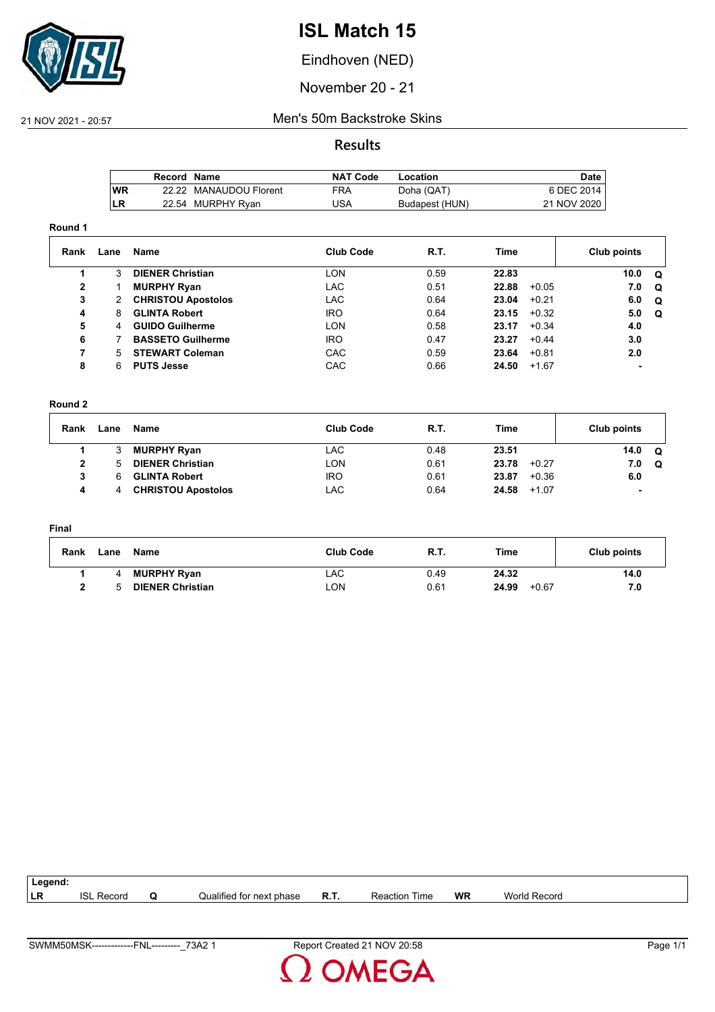

Eindhoven (NED)

November 20 - 21

### 21 NOV 2021 - 20:57 Men's 50m Backstroke Skins

**Results**

|      | Record Name |                        | NAT Code | Location       | Date,       |
|------|-------------|------------------------|----------|----------------|-------------|
| l WR |             | 22.22 MANAUDOU Florent | FRA      | Doha (QAT)     | 6 DEC 2014  |
| LR   |             | 22.54 MURPHY Ryan      | USA      | Budapest (HUN) | 21 NOV 2020 |

#### **Round 1**

| Rank | Lane | Name                      | <b>Club Code</b> | R.T. | Time  |         | Club points |          |
|------|------|---------------------------|------------------|------|-------|---------|-------------|----------|
|      | 3    | <b>DIENER Christian</b>   | LON              | 0.59 | 22.83 |         | 10.0        | . വ      |
| 2    |      | <b>MURPHY Ryan</b>        | LAC.             | 0.51 | 22.88 | $+0.05$ | 7.0         | $\Omega$ |
| 3    | 2    | <b>CHRISTOU Apostolos</b> | LAC.             | 0.64 | 23.04 | $+0.21$ | 6.0         | $\Omega$ |
| 4    | 8    | <b>GLINTA Robert</b>      | <b>IRO</b>       | 0.64 | 23.15 | $+0.32$ | 5.0         | . വ      |
| 5    | 4    | <b>GUIDO Guilherme</b>    | LON              | 0.58 | 23.17 | $+0.34$ | 4.0         |          |
| 6    |      | <b>BASSETO Guilherme</b>  | <b>IRO</b>       | 0.47 | 23.27 | $+0.44$ | 3.0         |          |
| 7    | 5.   | <b>STEWART Coleman</b>    | CAC              | 0.59 | 23.64 | $+0.81$ | 2.0         |          |
| 8    | 6    | <b>PUTS Jesse</b>         | <b>CAC</b>       | 0.66 | 24.50 | $+1.67$ |             |          |

#### **Round 2**

| Rank | Lane | Name                      | <b>Club Code</b> | <b>R.T.</b> | Time             | Club points    |
|------|------|---------------------------|------------------|-------------|------------------|----------------|
|      |      | <b>MURPHY Ryan</b>        | LAC              | 0.48        | 23.51            | 14.0<br>Q      |
|      |      | <b>DIENER Christian</b>   | LON              | 0.61        | 23.78<br>$+0.27$ | 7.0<br>Q       |
|      | 6    | <b>GLINTA Robert</b>      | <b>IRO</b>       | 0.61        | 23.87<br>$+0.36$ | 6.0            |
|      |      | <b>CHRISTOU Apostolos</b> | LAC              | 0.64        | 24.58<br>$+1.07$ | $\blacksquare$ |

#### **Final**

| Rank | Lane | Name                    | <b>Club Code</b> | <b>R.T.</b> | Time             | Club points |
|------|------|-------------------------|------------------|-------------|------------------|-------------|
|      |      | <b>MURPHY Ryan</b>      | LAC              | 0.49        | 24.32            | 14.0        |
|      |      | <b>DIENER Christian</b> | LON.             | 0.61        | 24.99<br>$+0.67$ | 7.0         |

| Legend: |                   |   |                          |             |                      |           |              |  |
|---------|-------------------|---|--------------------------|-------------|----------------------|-----------|--------------|--|
| ∣LR     | <b>ISL Record</b> | ω | Jualified for next phase | <b>R.T.</b> | <b>Reaction Time</b> | <b>WR</b> | World Record |  |
|         |                   |   |                          |             |                      |           |              |  |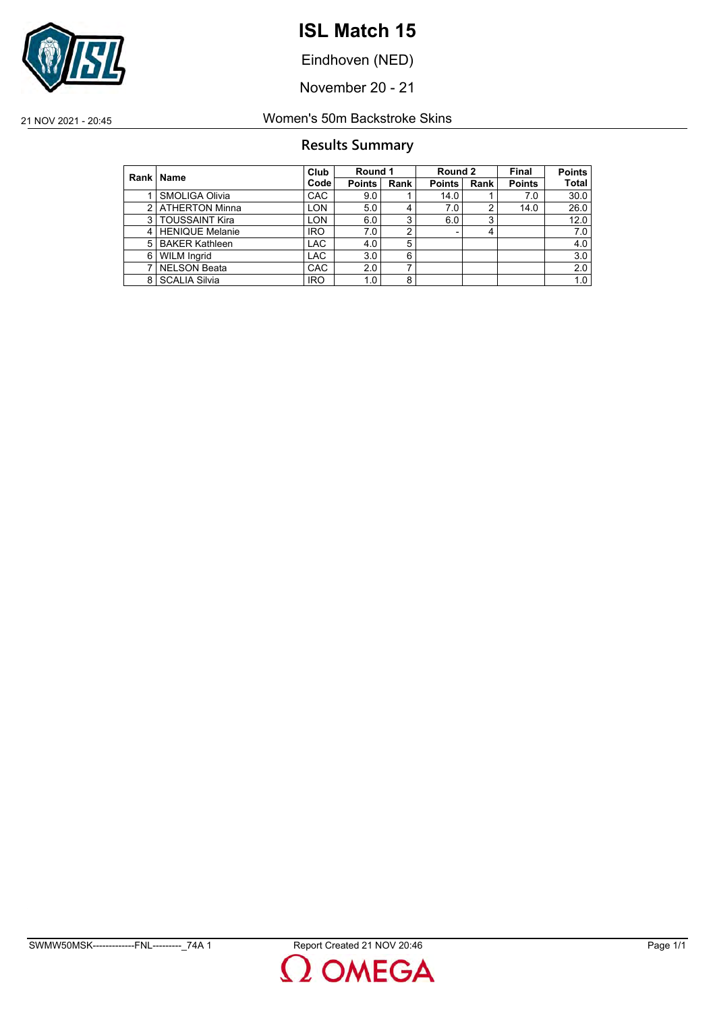

Eindhoven (NED)

November 20 - 21

21 NOV 2021 - 20:45 Women's 50m Backstroke Skins

### **Results Summary**

|   | Rank   Name            | Club       | Round 1       |      | Round 2       |      | Final         | <b>Points</b> |
|---|------------------------|------------|---------------|------|---------------|------|---------------|---------------|
|   |                        | Code       | <b>Points</b> | Rank | <b>Points</b> | Rank | <b>Points</b> | <b>Total</b>  |
|   | SMOLIGA Olivia         | <b>CAC</b> | 9.0           |      | 14.0          |      | 7.0           | 30.0          |
| 2 | <b>ATHERTON Minna</b>  | LON.       | 5.0           | 4    | 7.0           | າ    | 14.0          | 26.0          |
| 3 | <b>TOUSSAINT Kira</b>  | LON        | 6.0           | 3    | 6.0           | 3    |               | 12.0          |
| 4 | <b>HENIQUE Melanie</b> | <b>IRO</b> | 7.0           | 2    |               |      |               | 7.0           |
| 5 | <b>BAKER Kathleen</b>  | <b>LAC</b> | 4.0           | 5    |               |      |               | 4.0           |
| 6 | <b>WILM Ingrid</b>     | <b>LAC</b> | 3.0           | 6    |               |      |               | 3.0           |
| ⇁ | <b>NELSON Beata</b>    | CAC        | 2.0           | ⇁    |               |      |               | 2.0           |
| 8 | <b>SCALIA Silvia</b>   | <b>IRO</b> | 1.0           | 8    |               |      |               | 1.0           |

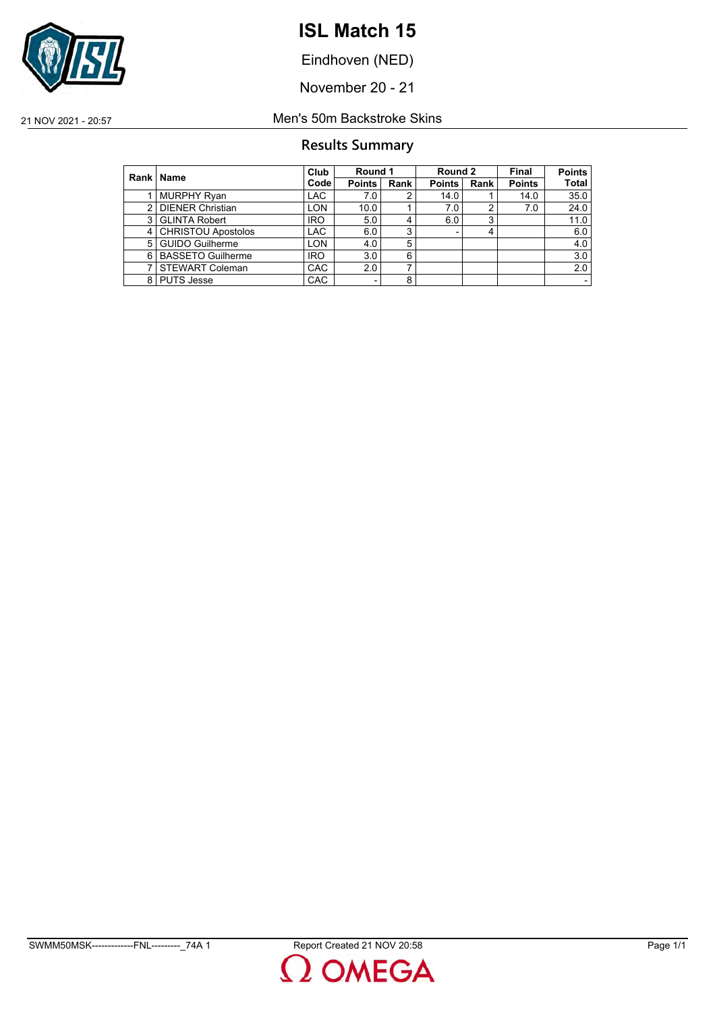

Eindhoven (NED)

November 20 - 21

### 21 NOV 2021 - 20:57 Men's 50m Backstroke Skins

### **Results Summary**

|                | Rank   Name               | Club       | Round 1 |      | Round 2       |      | Final         | <b>Points</b> |
|----------------|---------------------------|------------|---------|------|---------------|------|---------------|---------------|
|                |                           | Code       | Points  | Rank | <b>Points</b> | Rank | <b>Points</b> | <b>Total</b>  |
|                | <b>MURPHY Ryan</b>        | <b>LAC</b> | 7.0     |      | 14.0          |      | 14.0          | 35.0          |
| 2              | <b>DIENER Christian</b>   | <b>LON</b> | 10.0    |      | 7.0           |      | 7.0           | 24.0          |
| 3              | <b>GLINTA Robert</b>      | <b>IRO</b> | 5.0     |      | 6.0           | ◠    |               | 11.0          |
| $\overline{4}$ | <b>CHRISTOU Apostolos</b> | <b>LAC</b> | 6.0     | 3    |               |      |               | 6.0           |
| 5              | <b>GUIDO Guilherme</b>    | <b>LON</b> | 4.0     | 5    |               |      |               | 4.0           |
| 6              | <b>BASSETO Guilherme</b>  | <b>IRO</b> | 3.0     | 6    |               |      |               | 3.0           |
|                | <b>STEWART Coleman</b>    | <b>CAC</b> | 2.0     |      |               |      |               | 2.0           |
|                | 8 PUTS Jesse              | <b>CAC</b> | ٠       | 8    |               |      |               |               |

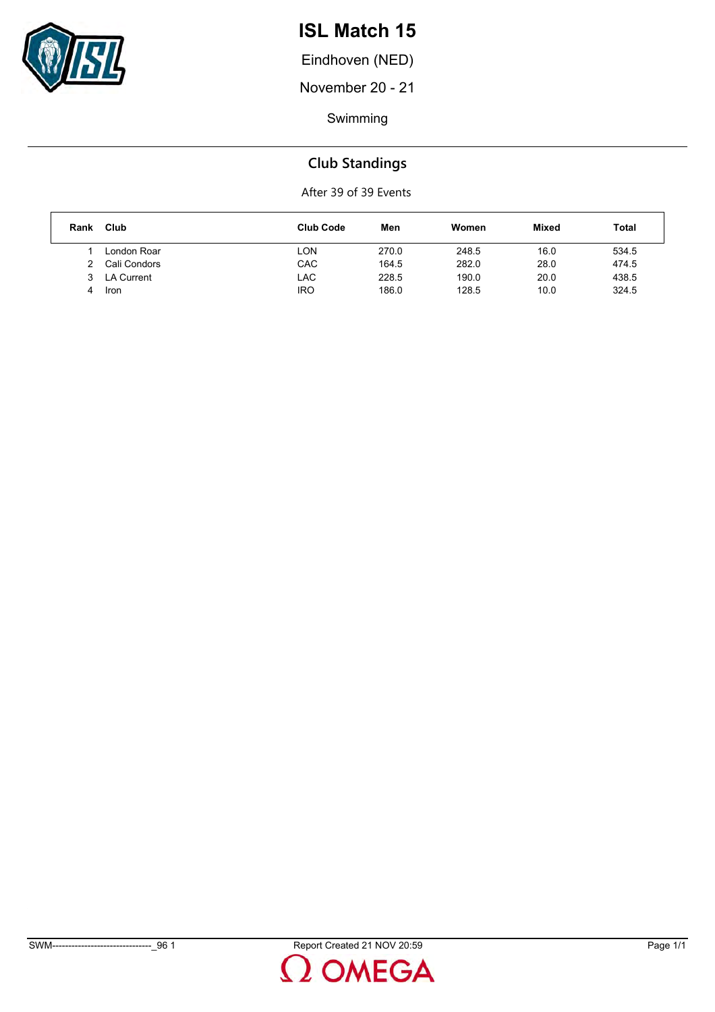

Eindhoven (NED)

November 20 - 21

Swimming

### **Club Standings**

| Rank | Club         | <b>Club Code</b> | Men   | Women | <b>Mixed</b> | Total |
|------|--------------|------------------|-------|-------|--------------|-------|
|      | London Roar  | LON              | 270.0 | 248.5 | 16.0         | 534.5 |
|      | Cali Condors | CAC              | 164.5 | 282.0 | 28.0         | 474.5 |
|      | 3 LA Current | <b>LAC</b>       | 228.5 | 190.0 | 20.0         | 438.5 |
| 4    | Iron         | IRO              | 186.0 | 128.5 | 10.0         | 324.5 |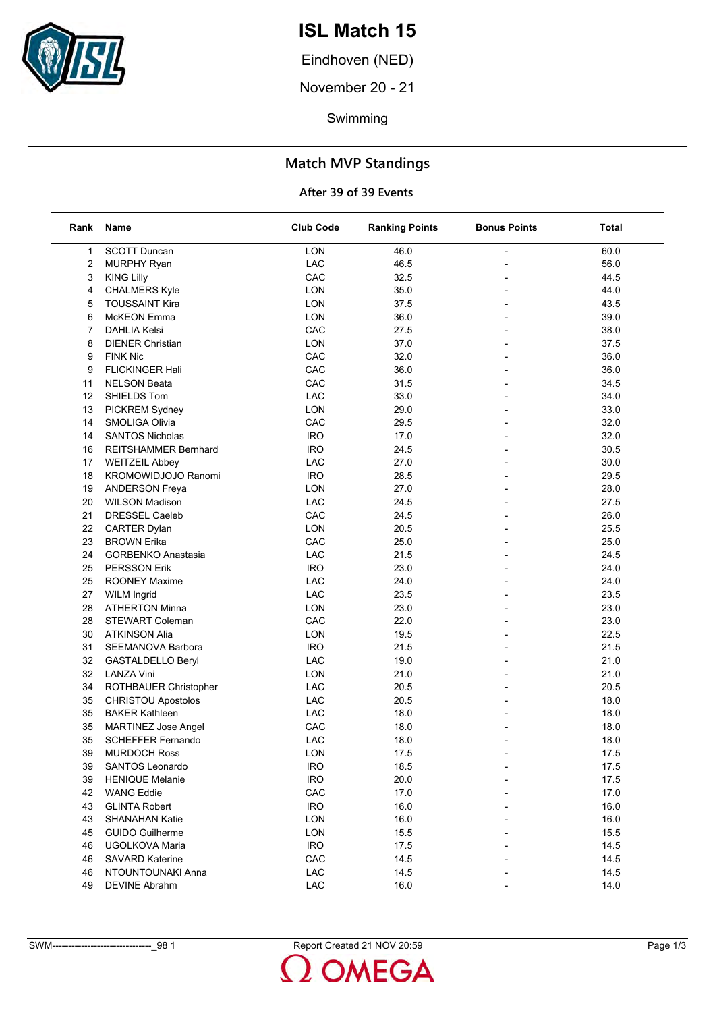

Eindhoven (NED)

November 20 - 21

Swimming

### **Match MVP Standings**

| Rank | Name                        | <b>Club Code</b> | <b>Ranking Points</b> | <b>Bonus Points</b>      | Total |
|------|-----------------------------|------------------|-----------------------|--------------------------|-------|
| 1    | <b>SCOTT Duncan</b>         | LON              | 46.0                  |                          | 60.0  |
| 2    | <b>MURPHY Ryan</b>          | LAC              | 46.5                  |                          | 56.0  |
| 3    | <b>KING Lilly</b>           | CAC              | 32.5                  |                          | 44.5  |
| 4    | <b>CHALMERS Kyle</b>        | <b>LON</b>       | 35.0                  | $\overline{\phantom{a}}$ | 44.0  |
| 5    | <b>TOUSSAINT Kira</b>       | <b>LON</b>       | 37.5                  |                          | 43.5  |
| 6    | McKEON Emma                 | LON              | 36.0                  |                          | 39.0  |
| 7    | <b>DAHLIA Kelsi</b>         | CAC              | 27.5                  | $\overline{a}$           | 38.0  |
| 8    | <b>DIENER Christian</b>     | LON              | 37.0                  |                          | 37.5  |
| 9    | <b>FINK Nic</b>             | CAC              | 32.0                  |                          | 36.0  |
| 9    | <b>FLICKINGER Hali</b>      | CAC              | 36.0                  | $\overline{\phantom{a}}$ | 36.0  |
| 11   | <b>NELSON Beata</b>         | CAC              | 31.5                  | $\overline{\phantom{a}}$ | 34.5  |
| 12   | SHIELDS Tom                 | LAC              | 33.0                  |                          | 34.0  |
| 13   | PICKREM Sydney              | LON              | 29.0                  | $\overline{a}$           | 33.0  |
| 14   | SMOLIGA Olivia              | CAC              | 29.5                  |                          | 32.0  |
| 14   | <b>SANTOS Nicholas</b>      | <b>IRO</b>       | 17.0                  |                          | 32.0  |
| 16   | <b>REITSHAMMER Bernhard</b> | <b>IRO</b>       | 24.5                  | $\blacksquare$           | 30.5  |
| 17   | <b>WEITZEIL Abbey</b>       | LAC              | 27.0                  |                          | 30.0  |
| 18   | KROMOWIDJOJO Ranomi         | <b>IRO</b>       | 28.5                  |                          | 29.5  |
| 19   | <b>ANDERSON Freya</b>       | <b>LON</b>       | 27.0                  |                          | 28.0  |
| 20   | <b>WILSON Madison</b>       | LAC              | 24.5                  |                          | 27.5  |
| 21   | <b>DRESSEL Caeleb</b>       | CAC              | 24.5                  |                          | 26.0  |
| 22   | CARTER Dylan                | <b>LON</b>       | 20.5                  | $\blacksquare$           | 25.5  |
| 23   | <b>BROWN Erika</b>          | CAC              | 25.0                  |                          | 25.0  |
| 24   | <b>GORBENKO Anastasia</b>   | LAC              | 21.5                  |                          | 24.5  |
| 25   | <b>PERSSON Erik</b>         | <b>IRO</b>       | 23.0                  |                          | 24.0  |
| 25   | <b>ROONEY Maxime</b>        | LAC              | 24.0                  |                          | 24.0  |
| 27   | <b>WILM Ingrid</b>          | <b>LAC</b>       | 23.5                  |                          | 23.5  |
| 28   | <b>ATHERTON Minna</b>       | <b>LON</b>       | 23.0                  | $\blacksquare$           | 23.0  |
| 28   | <b>STEWART Coleman</b>      | CAC              | 22.0                  |                          | 23.0  |
| 30   | <b>ATKINSON Alia</b>        | LON              | 19.5                  |                          | 22.5  |
| 31   | SEEMANOVA Barbora           | <b>IRO</b>       | 21.5                  |                          | 21.5  |
| 32   | GASTALDELLO Beryl           | LAC              | 19.0                  |                          | 21.0  |
| 32   | <b>LANZA Vini</b>           | <b>LON</b>       | 21.0                  |                          | 21.0  |
| 34   | ROTHBAUER Christopher       | LAC              | 20.5                  | $\blacksquare$           | 20.5  |
| 35   | <b>CHRISTOU Apostolos</b>   | LAC              | 20.5                  |                          | 18.0  |
| 35   | <b>BAKER Kathleen</b>       | <b>LAC</b>       | 18.0                  |                          | 18.0  |
| 35   | <b>MARTINEZ Jose Angel</b>  | CAC              | 18.0                  |                          | 18.0  |
| 35   | <b>SCHEFFER Fernando</b>    | LAC              | 18.0                  |                          | 18.0  |
| 39   | <b>MURDOCH Ross</b>         | LON              | 17.5                  |                          | 17.5  |
| 39   | SANTOS Leonardo             | <b>IRO</b>       | 18.5                  |                          | 17.5  |
| 39   | <b>HENIQUE Melanie</b>      | <b>IRO</b>       | 20.0                  |                          | 17.5  |
| 42   | <b>WANG Eddie</b>           | CAC              | 17.0                  |                          | 17.0  |
| 43   | <b>GLINTA Robert</b>        | <b>IRO</b>       | 16.0                  |                          | 16.0  |
| 43   | <b>SHANAHAN Katie</b>       | <b>LON</b>       | 16.0                  |                          | 16.0  |
| 45   | <b>GUIDO Guilherme</b>      | <b>LON</b>       | 15.5                  |                          | 15.5  |
| 46   | UGOLKOVA Maria              | <b>IRO</b>       | 17.5                  |                          | 14.5  |
| 46   | <b>SAVARD Katerine</b>      | CAC              | 14.5                  |                          | 14.5  |
| 46   | NTOUNTOUNAKI Anna           | LAC              | 14.5                  |                          | 14.5  |
| 49   | <b>DEVINE Abrahm</b>        | LAC              | 16.0                  |                          | 14.0  |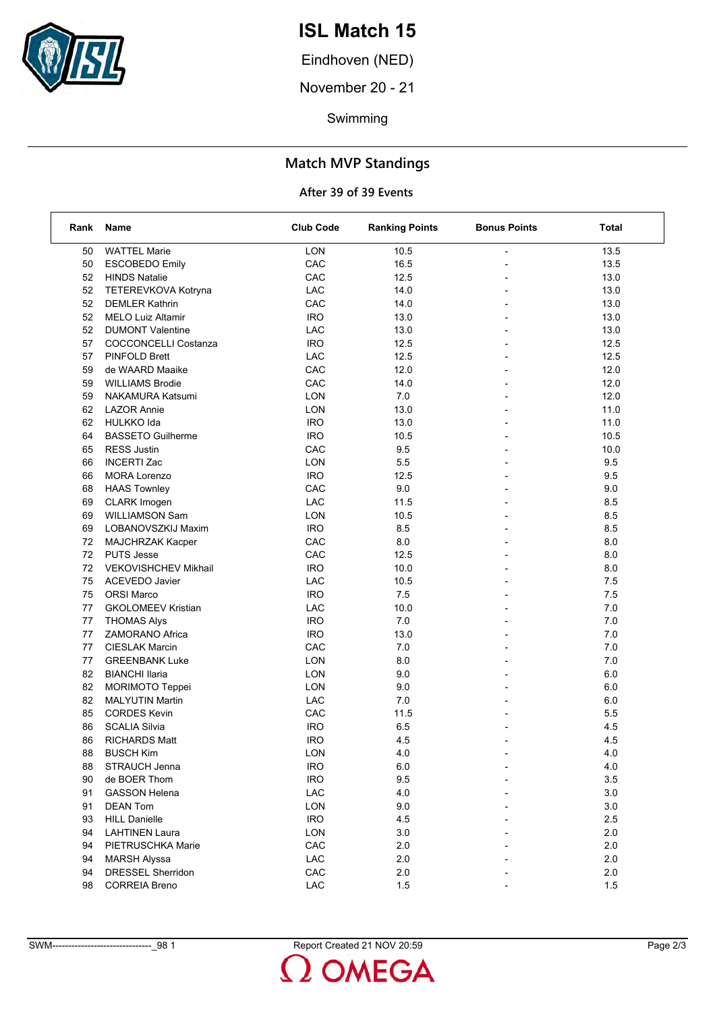

Eindhoven (NED)

November 20 - 21

Swimming

### **Match MVP Standings**

| Rank | Name                        | <b>Club Code</b> | <b>Ranking Points</b> | <b>Bonus Points</b>      | Total   |
|------|-----------------------------|------------------|-----------------------|--------------------------|---------|
| 50   | <b>WATTEL Marie</b>         | LON              | 10.5                  |                          | 13.5    |
| 50   | <b>ESCOBEDO Emily</b>       | CAC              | 16.5                  |                          | 13.5    |
| 52   | <b>HINDS Natalie</b>        | CAC              | 12.5                  |                          | 13.0    |
| 52   | TETEREVKOVA Kotryna         | LAC              | 14.0                  |                          | 13.0    |
| 52   | <b>DEMLER Kathrin</b>       | CAC              | 14.0                  | $\overline{\phantom{0}}$ | 13.0    |
| 52   | <b>MELO Luiz Altamir</b>    | <b>IRO</b>       | 13.0                  |                          | 13.0    |
| 52   | <b>DUMONT Valentine</b>     | LAC              | 13.0                  |                          | 13.0    |
| 57   | <b>COCCONCELLI Costanza</b> | <b>IRO</b>       | 12.5                  |                          | 12.5    |
| 57   | <b>PINFOLD Brett</b>        | LAC              | 12.5                  |                          | 12.5    |
| 59   | de WAARD Maaike             | CAC              | 12.0                  |                          | 12.0    |
| 59   | <b>WILLIAMS Brodie</b>      | CAC              | 14.0                  | $\overline{\phantom{0}}$ | 12.0    |
| 59   | NAKAMURA Katsumi            | <b>LON</b>       | 7.0                   |                          | 12.0    |
| 62   | <b>LAZOR Annie</b>          | <b>LON</b>       | 13.0                  |                          | 11.0    |
| 62   | <b>HULKKO Ida</b>           | <b>IRO</b>       | 13.0                  |                          | 11.0    |
| 64   | <b>BASSETO Guilherme</b>    | <b>IRO</b>       | 10.5                  |                          | 10.5    |
| 65   | <b>RESS Justin</b>          | CAC              | 9.5                   |                          | 10.0    |
| 66   | <b>INCERTI Zac</b>          | LON              | 5.5                   | $\overline{\phantom{a}}$ | 9.5     |
| 66   | <b>MORA Lorenzo</b>         | <b>IRO</b>       | 12.5                  | $\overline{a}$           | 9.5     |
| 68   | <b>HAAS Townley</b>         | CAC              | 9.0                   |                          | 9.0     |
| 69   | <b>CLARK Imogen</b>         | LAC              | 11.5                  |                          | 8.5     |
| 69   | WILLIAMSON Sam              | LON              | 10.5                  |                          | 8.5     |
| 69   | LOBANOVSZKIJ Maxim          | <b>IRO</b>       | 8.5                   |                          | 8.5     |
| 72   | MAJCHRZAK Kacper            | CAC              | 8.0                   | $\overline{\phantom{0}}$ | 8.0     |
| 72   | <b>PUTS Jesse</b>           | CAC              | 12.5                  |                          | 8.0     |
| 72   | <b>VEKOVISHCHEV Mikhail</b> | <b>IRO</b>       | 10.0                  |                          | 8.0     |
| 75   | <b>ACEVEDO Javier</b>       | LAC              | 10.5                  |                          | 7.5     |
| 75   | <b>ORSI Marco</b>           | <b>IRO</b>       | 7.5                   |                          | 7.5     |
| 77   | <b>GKOLOMEEV Kristian</b>   | LAC              | 10.0                  |                          | 7.0     |
| 77   | <b>THOMAS Alys</b>          | <b>IRO</b>       | 7.0                   | $\overline{\phantom{0}}$ | 7.0     |
| 77   | <b>ZAMORANO Africa</b>      | <b>IRO</b>       | 13.0                  |                          | 7.0     |
| 77   | <b>CIESLAK Marcin</b>       | CAC              | 7.0                   |                          | 7.0     |
| 77   | <b>GREENBANK Luke</b>       | LON              | 8.0                   | $\overline{a}$           | 7.0     |
| 82   | <b>BIANCHI Ilaria</b>       | <b>LON</b>       | 9.0                   |                          | 6.0     |
| 82   | <b>MORIMOTO Teppei</b>      | LON              | 9.0                   |                          | 6.0     |
| 82   | <b>MALYUTIN Martin</b>      | <b>LAC</b>       | 7.0                   | $\blacksquare$           | 6.0     |
| 85   | <b>CORDES Kevin</b>         | CAC              | 11.5                  |                          | 5.5     |
| 86   | <b>SCALIA Silvia</b>        | <b>IRO</b>       | 6.5                   |                          | 4.5     |
| 86   | <b>RICHARDS Matt</b>        | <b>IRO</b>       | 4.5                   | $\overline{\phantom{a}}$ | 4.5     |
| 88   | <b>BUSCH Kim</b>            | LON              | 4.0                   |                          | $4.0$   |
| 88   | STRAUCH Jenna               | <b>IRO</b>       | 6.0                   |                          | 4.0     |
| 90   | de BOER Thom                | <b>IRO</b>       | 9.5                   |                          | $3.5\,$ |
| 91   | <b>GASSON Helena</b>        | LAC              | 4.0                   |                          | 3.0     |
| 91   | <b>DEAN Tom</b>             | <b>LON</b>       | 9.0                   |                          | $3.0\,$ |
| 93   | <b>HILL Danielle</b>        | <b>IRO</b>       | 4.5                   |                          | 2.5     |
| 94   | <b>LAHTINEN Laura</b>       | <b>LON</b>       | 3.0                   |                          | 2.0     |
| 94   | PIETRUSCHKA Marie           | CAC              | 2.0                   |                          | 2.0     |
| 94   | <b>MARSH Alyssa</b>         | LAC              | 2.0                   |                          | 2.0     |
| 94   | DRESSEL Sherridon           | CAC              | 2.0                   |                          | 2.0     |
| 98   | <b>CORREIA Breno</b>        | ${\sf LAC}$      | 1.5                   |                          | $1.5$   |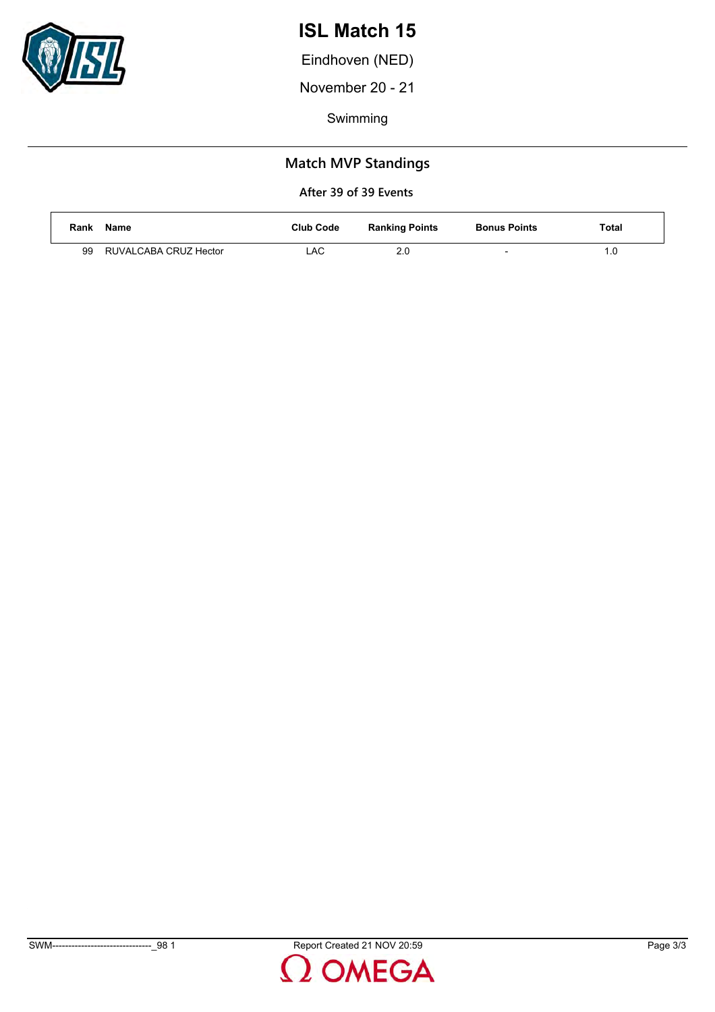

Eindhoven (NED)

November 20 - 21

Swimming

### **Match MVP Standings**

| Rank | Name                  | <b>Club Code</b> | <b>Ranking Points</b> | <b>Bonus Points</b> | Total |
|------|-----------------------|------------------|-----------------------|---------------------|-------|
| 99   | RUVALCABA CRUZ Hector | LAC              | າ ເ<br>z.u            | $\sim$              |       |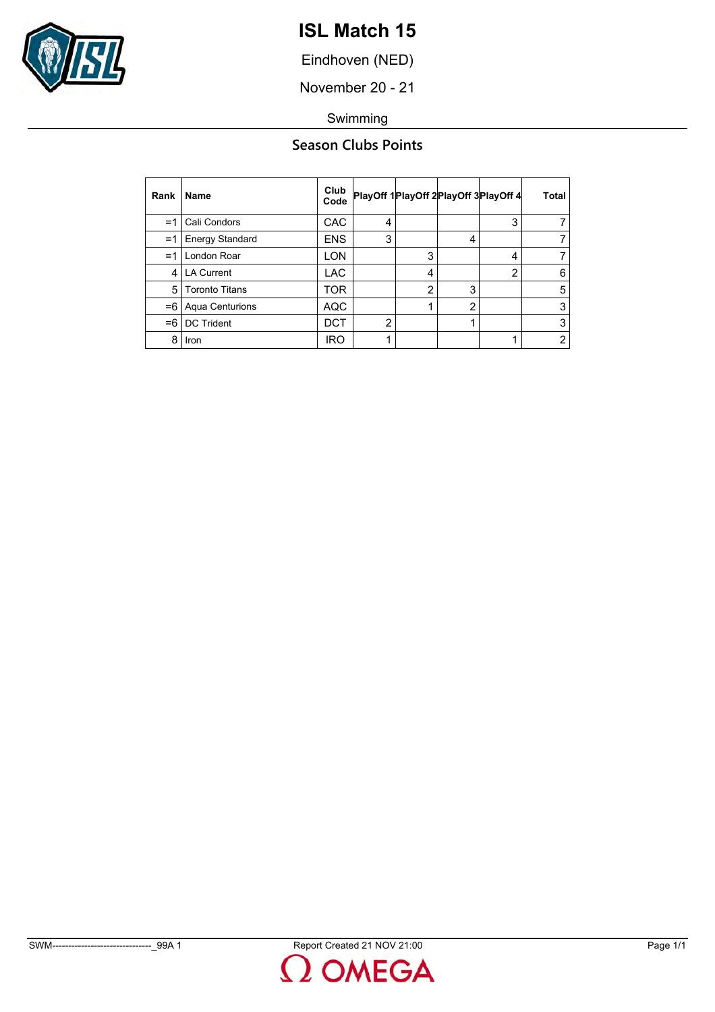

Eindhoven (NED)

November 20 - 21

Swimming

### **Season Clubs Points**

| Rank | <b>Name</b>            | Club<br>Code |   |                |               | PlayOff 1 PlayOff 2 PlayOff 3 PlayOff 4 | Total          |
|------|------------------------|--------------|---|----------------|---------------|-----------------------------------------|----------------|
| =1   | Cali Condors           | <b>CAC</b>   | 4 |                |               | 3                                       |                |
| $=1$ | <b>Energy Standard</b> | <b>ENS</b>   | 3 |                | 4             |                                         | 7              |
| =1   | London Roar            | LON          |   | 3              |               | 4                                       | 7              |
| 4    | LA Current             | <b>LAC</b>   |   | 4              |               | 2                                       | 6              |
| 5    | <b>Toronto Titans</b>  | TOR          |   | $\overline{2}$ | 3             |                                         | 5              |
| $=6$ | Aqua Centurions        | AQC          |   |                | $\mathcal{P}$ |                                         | 3              |
| $=6$ | <b>DC Trident</b>      | DCT          | າ |                |               |                                         | 3              |
| 8    | Iron                   | <b>IRO</b>   |   |                |               |                                         | $\overline{2}$ |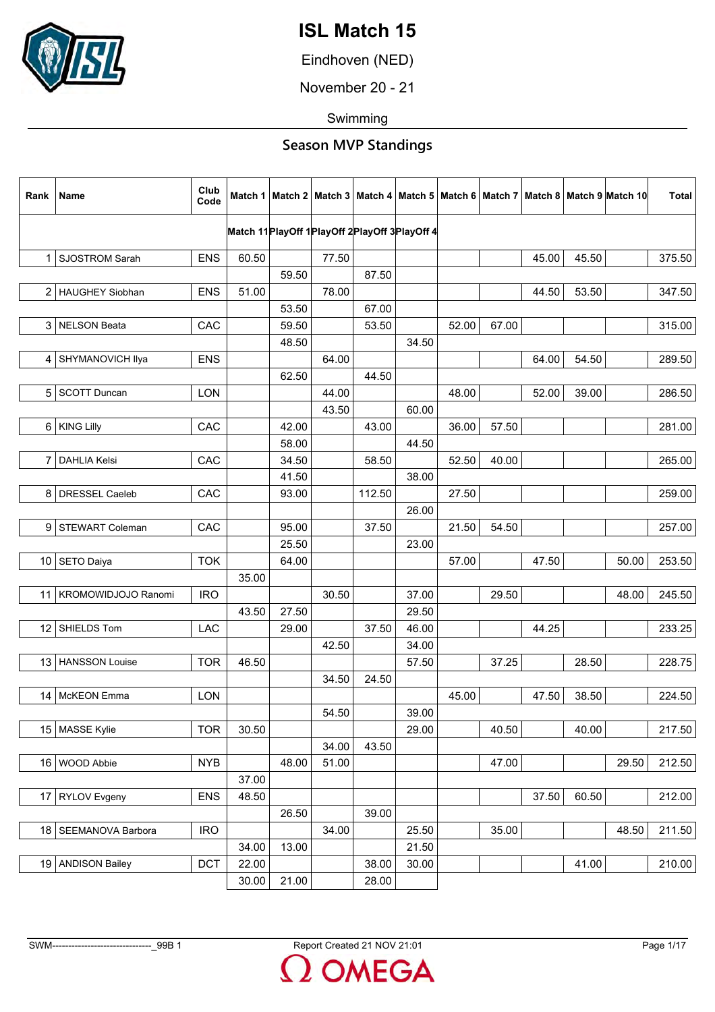

Eindhoven (NED)

November 20 - 21

Swimming

| Rank | Name                     | Club<br>Code |       |                |       |                |                                                  |       |       |       |       | Match 1   Match 2   Match 3   Match 4   Match 5   Match 6   Match 7   Match 8   Match 9  Match 10 | Total  |
|------|--------------------------|--------------|-------|----------------|-------|----------------|--------------------------------------------------|-------|-------|-------|-------|---------------------------------------------------------------------------------------------------|--------|
|      |                          |              |       |                |       |                | Match 11 PlayOff 1 PlayOff 2 PlayOff 3 PlayOff 4 |       |       |       |       |                                                                                                   |        |
|      |                          |              |       |                |       |                |                                                  |       |       |       |       |                                                                                                   |        |
|      | 1 SJOSTROM Sarah         | <b>ENS</b>   | 60.50 |                | 77.50 |                |                                                  |       |       | 45.00 | 45.50 |                                                                                                   | 375.50 |
|      |                          |              |       | 59.50          |       | 87.50          |                                                  |       |       |       |       |                                                                                                   |        |
|      | 2   HAUGHEY Siobhan      | <b>ENS</b>   | 51.00 |                | 78.00 |                |                                                  |       |       | 44.50 | 53.50 |                                                                                                   | 347.50 |
|      | 3 NELSON Beata           | CAC          |       | 53.50<br>59.50 |       | 67.00<br>53.50 |                                                  | 52.00 | 67.00 |       |       |                                                                                                   | 315.00 |
|      |                          |              |       |                |       |                | 34.50                                            |       |       |       |       |                                                                                                   |        |
|      | 4 SHYMANOVICH Ilya       | <b>ENS</b>   |       | 48.50          | 64.00 |                |                                                  |       |       | 64.00 | 54.50 |                                                                                                   | 289.50 |
|      |                          |              |       | 62.50          |       | 44.50          |                                                  |       |       |       |       |                                                                                                   |        |
|      | 5 SCOTT Duncan           | <b>LON</b>   |       |                | 44.00 |                |                                                  | 48.00 |       | 52.00 | 39.00 |                                                                                                   | 286.50 |
|      |                          |              |       |                | 43.50 |                | 60.00                                            |       |       |       |       |                                                                                                   |        |
|      | 6 KING Lilly             | CAC          |       | 42.00          |       | 43.00          |                                                  | 36.00 | 57.50 |       |       |                                                                                                   | 281.00 |
|      |                          |              |       | 58.00          |       |                | 44.50                                            |       |       |       |       |                                                                                                   |        |
| 7    | <b>DAHLIA Kelsi</b>      | CAC          |       | 34.50          |       | 58.50          |                                                  | 52.50 | 40.00 |       |       |                                                                                                   | 265.00 |
|      |                          |              |       | 41.50          |       |                | 38.00                                            |       |       |       |       |                                                                                                   |        |
|      | 8   DRESSEL Caeleb       | CAC          |       | 93.00          |       | 112.50         |                                                  | 27.50 |       |       |       |                                                                                                   | 259.00 |
|      |                          |              |       |                |       |                | 26.00                                            |       |       |       |       |                                                                                                   |        |
|      | 9 STEWART Coleman        | CAC          |       | 95.00          |       | 37.50          |                                                  | 21.50 | 54.50 |       |       |                                                                                                   | 257.00 |
|      |                          |              |       | 25.50          |       |                | 23.00                                            |       |       |       |       |                                                                                                   |        |
|      | 10 SETO Daiya            | <b>TOK</b>   |       | 64.00          |       |                |                                                  | 57.00 |       | 47.50 |       | 50.00                                                                                             | 253.50 |
|      |                          |              | 35.00 |                |       |                |                                                  |       |       |       |       |                                                                                                   |        |
|      | 11   KROMOWIDJOJO Ranomi | <b>IRO</b>   |       |                | 30.50 |                | 37.00                                            |       | 29.50 |       |       | 48.00                                                                                             | 245.50 |
|      |                          |              | 43.50 | 27.50          |       |                | 29.50                                            |       |       |       |       |                                                                                                   |        |
|      | 12 SHIELDS Tom           | LAC          |       | 29.00          |       | 37.50          | 46.00                                            |       |       | 44.25 |       |                                                                                                   | 233.25 |
|      |                          |              |       |                | 42.50 |                | 34.00                                            |       |       |       |       |                                                                                                   |        |
|      | 13   HANSSON Louise      | <b>TOR</b>   | 46.50 |                |       |                | 57.50                                            |       | 37.25 |       | 28.50 |                                                                                                   | 228.75 |
|      |                          |              |       |                | 34.50 | 24.50          |                                                  |       |       |       |       |                                                                                                   |        |
|      | 14   McKEON Emma         | <b>LON</b>   |       |                |       |                |                                                  | 45.00 |       | 47.50 | 38.50 |                                                                                                   | 224.50 |
|      |                          |              |       |                | 54.50 |                | 39.00                                            |       |       |       |       |                                                                                                   |        |
|      | 15 MASSE Kylie           | <b>TOR</b>   | 30.50 |                |       |                | 29.00                                            |       | 40.50 |       | 40.00 |                                                                                                   | 217.50 |
|      |                          |              |       |                | 34.00 | 43.50          |                                                  |       |       |       |       |                                                                                                   |        |
|      | 16 WOOD Abbie            | <b>NYB</b>   |       | 48.00          | 51.00 |                |                                                  |       | 47.00 |       |       | 29.50                                                                                             | 212.50 |
|      |                          |              | 37.00 |                |       |                |                                                  |       |       |       |       |                                                                                                   |        |
| 17   | <b>RYLOV Evgeny</b>      | <b>ENS</b>   | 48.50 |                |       |                |                                                  |       |       | 37.50 | 60.50 |                                                                                                   | 212.00 |
|      |                          |              |       | 26.50          |       | 39.00          |                                                  |       |       |       |       |                                                                                                   |        |
|      | 18   SEEMANOVA Barbora   | <b>IRO</b>   |       |                | 34.00 |                | 25.50                                            |       | 35.00 |       |       | 48.50                                                                                             | 211.50 |
|      |                          |              | 34.00 | 13.00          |       |                | 21.50                                            |       |       |       |       |                                                                                                   |        |
|      | 19 ANDISON Bailey        | DCT          | 22.00 |                |       | 38.00          | 30.00                                            |       |       |       | 41.00 |                                                                                                   | 210.00 |
|      |                          |              | 30.00 | 21.00          |       | 28.00          |                                                  |       |       |       |       |                                                                                                   |        |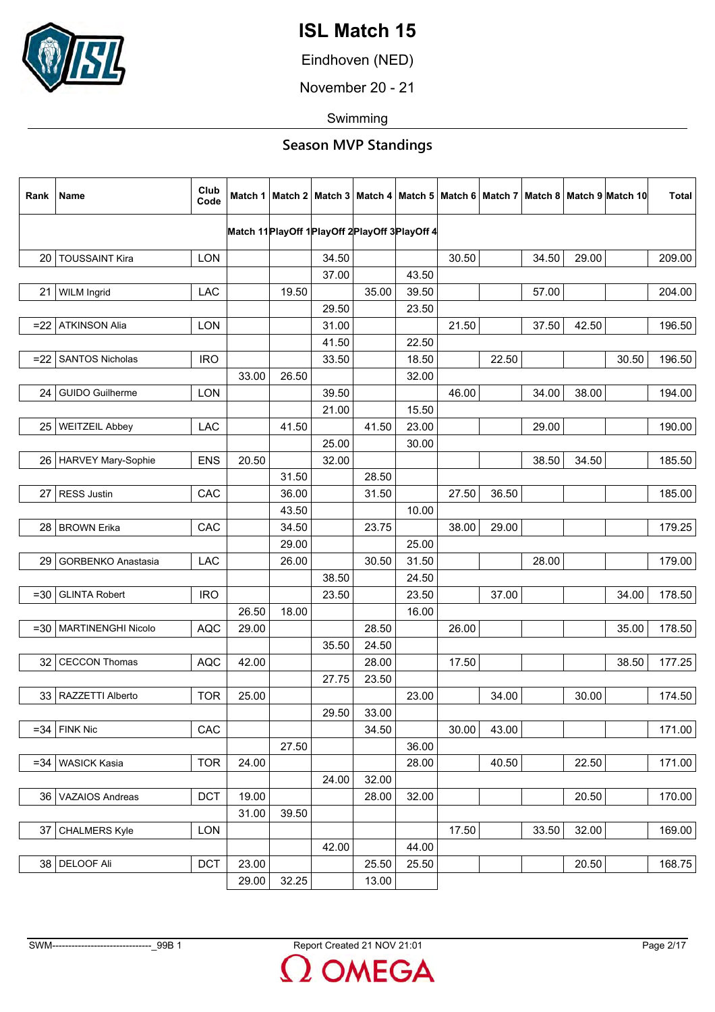

Eindhoven (NED)

November 20 - 21

Swimming

| Rank   | Name                      | Club<br>Code |                                                  |       |       |       |       |       |       |       |       | Match 1   Match 2   Match 3   Match 4   Match 5   Match 6   Match 7   Match 8   Match 9  Match 10 | Total  |
|--------|---------------------------|--------------|--------------------------------------------------|-------|-------|-------|-------|-------|-------|-------|-------|---------------------------------------------------------------------------------------------------|--------|
|        |                           |              | Match 11 PlayOff 1 PlayOff 2 PlayOff 3 PlayOff 4 |       |       |       |       |       |       |       |       |                                                                                                   |        |
|        |                           |              |                                                  |       |       |       |       |       |       |       |       |                                                                                                   |        |
| 20 I   | <b>TOUSSAINT Kira</b>     | <b>LON</b>   |                                                  |       | 34.50 |       |       | 30.50 |       | 34.50 | 29.00 |                                                                                                   | 209.00 |
|        |                           |              |                                                  |       | 37.00 |       | 43.50 |       |       |       |       |                                                                                                   |        |
| 21     | <b>WILM Ingrid</b>        | LAC          |                                                  | 19.50 |       | 35.00 | 39.50 |       |       | 57.00 |       |                                                                                                   | 204.00 |
|        |                           |              |                                                  |       | 29.50 |       | 23.50 | 21.50 |       |       |       |                                                                                                   |        |
| $=22$  | <b>ATKINSON Alia</b>      | <b>LON</b>   |                                                  |       | 31.00 |       |       |       |       | 37.50 | 42.50 |                                                                                                   | 196.50 |
|        |                           |              |                                                  |       | 41.50 |       | 22.50 |       |       |       |       |                                                                                                   |        |
| $=22$  | <b>SANTOS Nicholas</b>    | <b>IRO</b>   |                                                  |       | 33.50 |       | 18.50 |       | 22.50 |       |       | 30.50                                                                                             | 196.50 |
|        |                           |              | 33.00                                            | 26.50 |       |       | 32.00 |       |       |       |       |                                                                                                   |        |
| 24     | <b>GUIDO Guilherme</b>    | <b>LON</b>   |                                                  |       | 39.50 |       |       | 46.00 |       | 34.00 | 38.00 |                                                                                                   | 194.00 |
|        |                           |              |                                                  |       | 21.00 | 41.50 | 15.50 |       |       | 29.00 |       |                                                                                                   |        |
| 25     | <b>WEITZEIL Abbey</b>     | <b>LAC</b>   |                                                  | 41.50 |       |       | 23.00 |       |       |       |       |                                                                                                   | 190.00 |
|        |                           |              |                                                  |       | 25.00 |       | 30.00 |       |       |       |       |                                                                                                   |        |
|        | 26   HARVEY Mary-Sophie   | <b>ENS</b>   | 20.50                                            |       | 32.00 |       |       |       |       | 38.50 | 34.50 |                                                                                                   | 185.50 |
|        |                           |              |                                                  | 31.50 |       | 28.50 |       |       |       |       |       |                                                                                                   |        |
| 27     | <b>RESS Justin</b>        | CAC          |                                                  | 36.00 |       | 31.50 |       | 27.50 | 36.50 |       |       |                                                                                                   | 185.00 |
|        |                           |              |                                                  | 43.50 |       |       | 10.00 |       |       |       |       |                                                                                                   |        |
| 28     | <b>BROWN Erika</b>        | CAC          |                                                  | 34.50 |       | 23.75 |       | 38.00 | 29.00 |       |       |                                                                                                   | 179.25 |
|        |                           |              |                                                  | 29.00 |       |       | 25.00 |       |       |       |       |                                                                                                   |        |
| 29     | <b>GORBENKO Anastasia</b> | LAC          |                                                  | 26.00 |       | 30.50 | 31.50 |       |       | 28.00 |       |                                                                                                   | 179.00 |
|        |                           |              |                                                  |       | 38.50 |       | 24.50 |       |       |       |       |                                                                                                   |        |
| $= 30$ | <b>GLINTA Robert</b>      | <b>IRO</b>   |                                                  |       | 23.50 |       | 23.50 |       | 37.00 |       |       | 34.00                                                                                             | 178.50 |
|        |                           |              | 26.50                                            | 18.00 |       |       | 16.00 |       |       |       |       |                                                                                                   |        |
| =30 l  | <b>MARTINENGHI Nicolo</b> | <b>AQC</b>   | 29.00                                            |       |       | 28.50 |       | 26.00 |       |       |       | 35.00                                                                                             | 178.50 |
|        |                           |              |                                                  |       | 35.50 | 24.50 |       |       |       |       |       |                                                                                                   |        |
| 32     | <b>CECCON Thomas</b>      | <b>AQC</b>   | 42.00                                            |       |       | 28.00 |       | 17.50 |       |       |       | 38.50                                                                                             | 177.25 |
|        |                           |              |                                                  |       | 27.75 | 23.50 |       |       |       |       |       |                                                                                                   |        |
| 33     | RAZZETTI Alberto          | <b>TOR</b>   | 25.00                                            |       |       |       | 23.00 |       | 34.00 |       | 30.00 |                                                                                                   | 174.50 |
|        |                           |              |                                                  |       | 29.50 | 33.00 |       |       |       |       |       |                                                                                                   |        |
| $=34$  | <b>FINK Nic</b>           | CAC          |                                                  |       |       | 34.50 |       | 30.00 | 43.00 |       |       |                                                                                                   | 171.00 |
|        |                           |              |                                                  | 27.50 |       |       | 36.00 |       |       |       |       |                                                                                                   |        |
| $=34$  | <b>WASICK Kasia</b>       | <b>TOR</b>   | 24.00                                            |       |       |       | 28.00 |       | 40.50 |       | 22.50 |                                                                                                   | 171.00 |
|        |                           |              |                                                  |       | 24.00 | 32.00 |       |       |       |       |       |                                                                                                   |        |
| 36     | VAZAIOS Andreas           | <b>DCT</b>   | 19.00                                            |       |       | 28.00 | 32.00 |       |       |       | 20.50 |                                                                                                   | 170.00 |
|        |                           |              | 31.00                                            | 39.50 |       |       |       |       |       |       |       |                                                                                                   |        |
| 37     | <b>CHALMERS Kyle</b>      | <b>LON</b>   |                                                  |       |       |       |       | 17.50 |       | 33.50 | 32.00 |                                                                                                   | 169.00 |
|        |                           |              |                                                  |       | 42.00 |       | 44.00 |       |       |       |       |                                                                                                   |        |
|        | 38 DELOOF Ali             | <b>DCT</b>   | 23.00                                            |       |       | 25.50 | 25.50 |       |       |       | 20.50 |                                                                                                   | 168.75 |
|        |                           |              | 29.00                                            | 32.25 |       | 13.00 |       |       |       |       |       |                                                                                                   |        |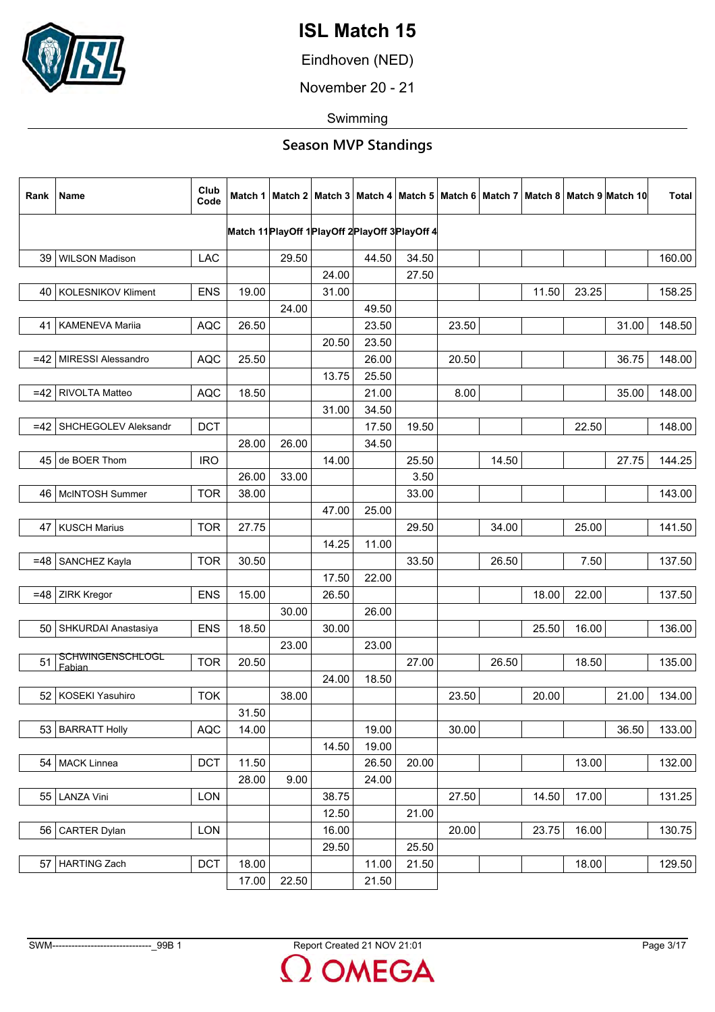

Eindhoven (NED)

November 20 - 21

Swimming

| Rank  | Name                              | Club<br>Code |       |       |       |       |                                                  |       |       |       |       | Match 1   Match 2   Match 3   Match 4   Match 5   Match 6   Match 7   Match 8   Match 9   Match 10 | Total  |
|-------|-----------------------------------|--------------|-------|-------|-------|-------|--------------------------------------------------|-------|-------|-------|-------|----------------------------------------------------------------------------------------------------|--------|
|       |                                   |              |       |       |       |       | Match 11 PlayOff 1 PlayOff 2 PlayOff 3 PlayOff 4 |       |       |       |       |                                                                                                    |        |
|       |                                   |              |       |       |       |       |                                                  |       |       |       |       |                                                                                                    |        |
| 39    | <b>WILSON Madison</b>             | <b>LAC</b>   |       | 29.50 | 24.00 | 44.50 | 34.50<br>27.50                                   |       |       |       |       |                                                                                                    | 160.00 |
|       | 40   KOLESNIKOV Kliment           | <b>ENS</b>   | 19.00 |       | 31.00 |       |                                                  |       |       | 11.50 | 23.25 |                                                                                                    |        |
|       |                                   |              |       | 24.00 |       | 49.50 |                                                  |       |       |       |       |                                                                                                    | 158.25 |
| 41    | <b>KAMENEVA Marija</b>            | <b>AQC</b>   | 26.50 |       |       | 23.50 |                                                  | 23.50 |       |       |       | 31.00                                                                                              | 148.50 |
|       |                                   |              |       |       |       |       |                                                  |       |       |       |       |                                                                                                    |        |
|       |                                   |              |       |       | 20.50 | 23.50 |                                                  |       |       |       |       |                                                                                                    |        |
|       | =42   MIRESSI Alessandro          | <b>AQC</b>   | 25.50 |       |       | 26.00 |                                                  | 20.50 |       |       |       | 36.75                                                                                              | 148.00 |
|       |                                   |              |       |       | 13.75 | 25.50 |                                                  |       |       |       |       |                                                                                                    |        |
| $=42$ | <b>RIVOLTA Matteo</b>             | <b>AQC</b>   | 18.50 |       |       | 21.00 |                                                  | 8.00  |       |       |       | 35.00                                                                                              | 148.00 |
|       |                                   |              |       |       | 31.00 | 34.50 |                                                  |       |       |       |       |                                                                                                    |        |
| $=42$ | SHCHEGOLEV Aleksandr              | <b>DCT</b>   |       |       |       | 17.50 | 19.50                                            |       |       |       | 22.50 |                                                                                                    | 148.00 |
|       |                                   |              | 28.00 | 26.00 |       | 34.50 |                                                  |       |       |       |       |                                                                                                    |        |
|       | 45 de BOER Thom                   | <b>IRO</b>   |       |       | 14.00 |       | 25.50                                            |       | 14.50 |       |       | 27.75                                                                                              | 144.25 |
|       |                                   |              | 26.00 | 33.00 |       |       | 3.50                                             |       |       |       |       |                                                                                                    |        |
|       | 46   McINTOSH Summer              | <b>TOR</b>   | 38.00 |       |       |       | 33.00                                            |       |       |       |       |                                                                                                    | 143.00 |
|       |                                   |              |       |       | 47.00 | 25.00 |                                                  |       |       |       |       |                                                                                                    |        |
| 47    | <b>KUSCH Marius</b>               | <b>TOR</b>   | 27.75 |       |       |       | 29.50                                            |       | 34.00 |       | 25.00 |                                                                                                    | 141.50 |
|       |                                   |              |       |       | 14.25 | 11.00 |                                                  |       |       |       |       |                                                                                                    |        |
|       | $=48$ SANCHEZ Kayla               | <b>TOR</b>   | 30.50 |       |       |       | 33.50                                            |       | 26.50 |       | 7.50  |                                                                                                    | 137.50 |
|       |                                   |              |       |       | 17.50 | 22.00 |                                                  |       |       |       |       |                                                                                                    |        |
| $=48$ | ZIRK Kregor                       | <b>ENS</b>   | 15.00 |       | 26.50 |       |                                                  |       |       | 18.00 | 22.00 |                                                                                                    | 137.50 |
|       |                                   |              |       | 30.00 |       | 26.00 |                                                  |       |       |       |       |                                                                                                    |        |
| 50    | SHKURDAI Anastasiya               | <b>ENS</b>   | 18.50 |       | 30.00 |       |                                                  |       |       | 25.50 | 16.00 |                                                                                                    | 136.00 |
|       |                                   |              |       | 23.00 |       | 23.00 |                                                  |       |       |       |       |                                                                                                    |        |
| 51    | <b>SCHWINGENSCHLOGL</b><br>Fabian | <b>TOR</b>   | 20.50 |       |       |       | 27.00                                            |       | 26.50 |       | 18.50 |                                                                                                    | 135.00 |
|       |                                   |              |       |       | 24.00 | 18.50 |                                                  |       |       |       |       |                                                                                                    |        |
| 52    | <b>KOSEKI Yasuhiro</b>            | <b>TOK</b>   |       | 38.00 |       |       |                                                  | 23.50 |       | 20.00 |       | 21.00                                                                                              | 134.00 |
|       |                                   |              | 31.50 |       |       |       |                                                  |       |       |       |       |                                                                                                    |        |
|       | 53 BARRATT Holly                  | <b>AQC</b>   | 14.00 |       |       | 19.00 |                                                  | 30.00 |       |       |       | 36.50                                                                                              | 133.00 |
|       |                                   |              |       |       | 14.50 | 19.00 |                                                  |       |       |       |       |                                                                                                    |        |
|       | 54   MACK Linnea                  | <b>DCT</b>   | 11.50 |       |       | 26.50 | 20.00                                            |       |       |       | 13.00 |                                                                                                    | 132.00 |
|       |                                   |              | 28.00 | 9.00  |       | 24.00 |                                                  |       |       |       |       |                                                                                                    |        |
|       | 55 LANZA Vini                     | LON          |       |       | 38.75 |       |                                                  | 27.50 |       | 14.50 | 17.00 |                                                                                                    | 131.25 |
|       |                                   |              |       |       | 12.50 |       | 21.00                                            |       |       |       |       |                                                                                                    |        |
|       | 56 CARTER Dylan                   | <b>LON</b>   |       |       | 16.00 |       |                                                  | 20.00 |       | 23.75 | 16.00 |                                                                                                    | 130.75 |
|       |                                   |              |       |       | 29.50 |       | 25.50                                            |       |       |       |       |                                                                                                    |        |
|       | 57   HARTING Zach                 | <b>DCT</b>   | 18.00 |       |       | 11.00 | 21.50                                            |       |       |       | 18.00 |                                                                                                    | 129.50 |
|       |                                   |              | 17.00 | 22.50 |       | 21.50 |                                                  |       |       |       |       |                                                                                                    |        |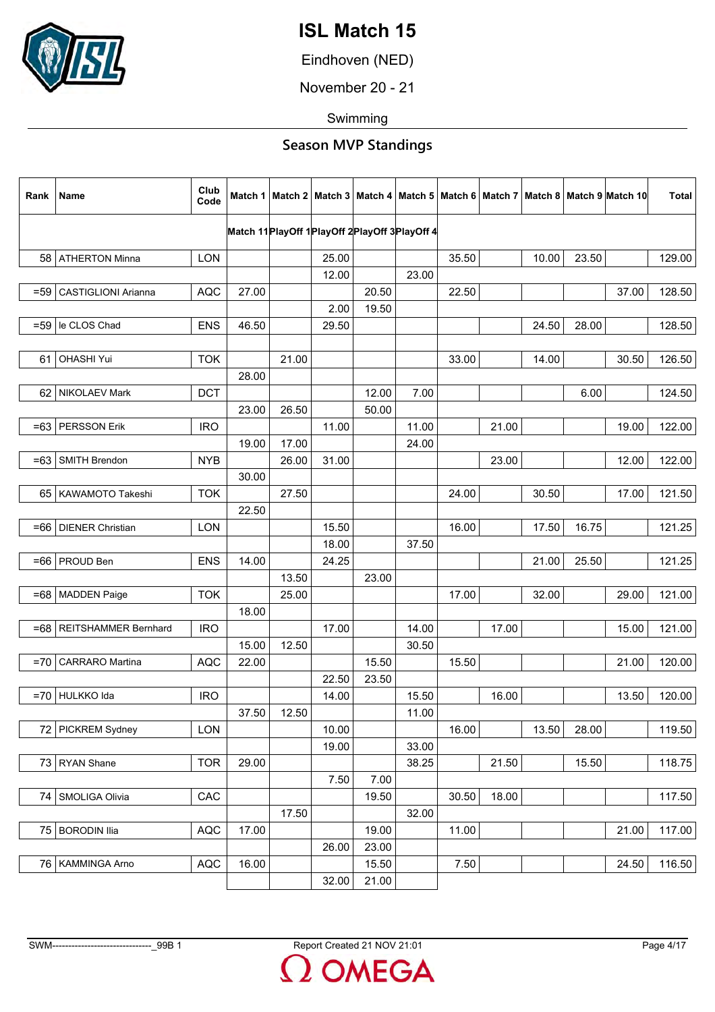

Eindhoven (NED)

November 20 - 21

Swimming

| Rank   | Name                       | Club<br>Code |       |       |       |                                                  |       |       |       |       |       | Match 1   Match 2   Match 3   Match 4   Match 5   Match 6   Match 7   Match 8   Match 9   Match 10 | <b>Total</b> |
|--------|----------------------------|--------------|-------|-------|-------|--------------------------------------------------|-------|-------|-------|-------|-------|----------------------------------------------------------------------------------------------------|--------------|
|        |                            |              |       |       |       | Match 11 PlayOff 1 PlayOff 2 PlayOff 3 PlayOff 4 |       |       |       |       |       |                                                                                                    |              |
|        |                            |              |       |       |       |                                                  |       |       |       |       |       |                                                                                                    |              |
|        | 58   ATHERTON Minna        | <b>LON</b>   |       |       | 25.00 |                                                  |       | 35.50 |       | 10.00 | 23.50 |                                                                                                    | 129.00       |
|        |                            |              |       |       | 12.00 |                                                  | 23.00 |       |       |       |       |                                                                                                    |              |
| $= 59$ | <b>CASTIGLIONI Arianna</b> | <b>AQC</b>   | 27.00 |       |       | 20.50                                            |       | 22.50 |       |       |       | 37.00                                                                                              | 128.50       |
|        |                            |              |       |       | 2.00  | 19.50                                            |       |       |       |       |       |                                                                                                    |              |
| $= 59$ | le CLOS Chad               | <b>ENS</b>   | 46.50 |       | 29.50 |                                                  |       |       |       | 24.50 | 28.00 |                                                                                                    | 128.50       |
|        |                            |              |       |       |       |                                                  |       |       |       |       |       |                                                                                                    |              |
| 61     | <b>OHASHI Yui</b>          | <b>TOK</b>   |       | 21.00 |       |                                                  |       | 33.00 |       | 14.00 |       | 30.50                                                                                              | 126.50       |
|        |                            |              | 28.00 |       |       |                                                  |       |       |       |       |       |                                                                                                    |              |
| 62     | NIKOLAEV Mark              | <b>DCT</b>   |       |       |       | 12.00                                            | 7.00  |       |       |       | 6.00  |                                                                                                    | 124.50       |
|        |                            |              | 23.00 | 26.50 |       | 50.00                                            |       |       |       |       |       |                                                                                                    |              |
| $=63$  | <b>PERSSON Erik</b>        | <b>IRO</b>   |       |       | 11.00 |                                                  | 11.00 |       | 21.00 |       |       | 19.00                                                                                              | 122.00       |
|        |                            |              | 19.00 | 17.00 |       |                                                  | 24.00 |       |       |       |       |                                                                                                    |              |
| $=63$  | SMITH Brendon              | <b>NYB</b>   |       | 26.00 | 31.00 |                                                  |       |       | 23.00 |       |       | 12.00                                                                                              | 122.00       |
|        |                            |              | 30.00 |       |       |                                                  |       |       |       |       |       |                                                                                                    |              |
|        | 65 KAWAMOTO Takeshi        | <b>TOK</b>   |       | 27.50 |       |                                                  |       | 24.00 |       | 30.50 |       | 17.00                                                                                              | 121.50       |
|        |                            |              | 22.50 |       |       |                                                  |       |       |       |       |       |                                                                                                    |              |
| =66    | DIENER Christian           | <b>LON</b>   |       |       | 15.50 |                                                  |       | 16.00 |       | 17.50 | 16.75 |                                                                                                    | 121.25       |
|        |                            |              |       |       | 18.00 |                                                  | 37.50 |       |       |       |       |                                                                                                    |              |
|        | =66   PROUD Ben            | <b>ENS</b>   | 14.00 |       | 24.25 |                                                  |       |       |       | 21.00 | 25.50 |                                                                                                    | 121.25       |
|        |                            |              |       | 13.50 |       | 23.00                                            |       |       |       |       |       |                                                                                                    |              |
|        |                            |              |       |       |       |                                                  |       |       |       |       |       |                                                                                                    |              |
|        | =68   MADDEN Paige         | <b>TOK</b>   |       | 25.00 |       |                                                  |       | 17.00 |       | 32.00 |       | 29.00                                                                                              | 121.00       |
|        |                            |              | 18.00 |       |       |                                                  |       |       |       |       |       |                                                                                                    |              |
| =68    | REITSHAMMER Bernhard       | <b>IRO</b>   |       |       | 17.00 |                                                  | 14.00 |       | 17.00 |       |       | 15.00                                                                                              | 121.00       |
|        |                            |              | 15.00 | 12.50 |       |                                                  | 30.50 |       |       |       |       |                                                                                                    |              |
| $= 70$ | CARRARO Martina            | <b>AQC</b>   | 22.00 |       |       | 15.50                                            |       | 15.50 |       |       |       | 21.00                                                                                              | 120.00       |
|        |                            |              |       |       | 22.50 | 23.50                                            |       |       |       |       |       |                                                                                                    |              |
| $= 70$ | HULKKO Ida                 | <b>IRO</b>   |       |       | 14.00 |                                                  | 15.50 |       | 16.00 |       |       | 13.50                                                                                              | 120.00       |
|        |                            |              | 37.50 | 12.50 |       |                                                  | 11.00 |       |       |       |       |                                                                                                    |              |
|        | 72 PICKREM Sydney          | <b>LON</b>   |       |       | 10.00 |                                                  |       | 16.00 |       | 13.50 | 28.00 |                                                                                                    | 119.50       |
|        |                            |              |       |       | 19.00 |                                                  | 33.00 |       |       |       |       |                                                                                                    |              |
|        | 73 RYAN Shane              | <b>TOR</b>   | 29.00 |       |       |                                                  | 38.25 |       | 21.50 |       | 15.50 |                                                                                                    | 118.75       |
|        |                            |              |       |       | 7.50  | 7.00                                             |       |       |       |       |       |                                                                                                    |              |
| 74     | SMOLIGA Olivia             | CAC          |       |       |       | 19.50                                            |       | 30.50 | 18.00 |       |       |                                                                                                    | 117.50       |
|        |                            |              |       | 17.50 |       |                                                  | 32.00 |       |       |       |       |                                                                                                    |              |
|        | 75 BORODIN Ilia            | <b>AQC</b>   | 17.00 |       |       | 19.00                                            |       | 11.00 |       |       |       | 21.00                                                                                              | 117.00       |
|        |                            |              |       |       | 26.00 | 23.00                                            |       |       |       |       |       |                                                                                                    |              |
|        | 76   KAMMINGA Arno         | AQC          | 16.00 |       |       | 15.50                                            |       | 7.50  |       |       |       | 24.50                                                                                              | 116.50       |
|        |                            |              |       |       | 32.00 | 21.00                                            |       |       |       |       |       |                                                                                                    |              |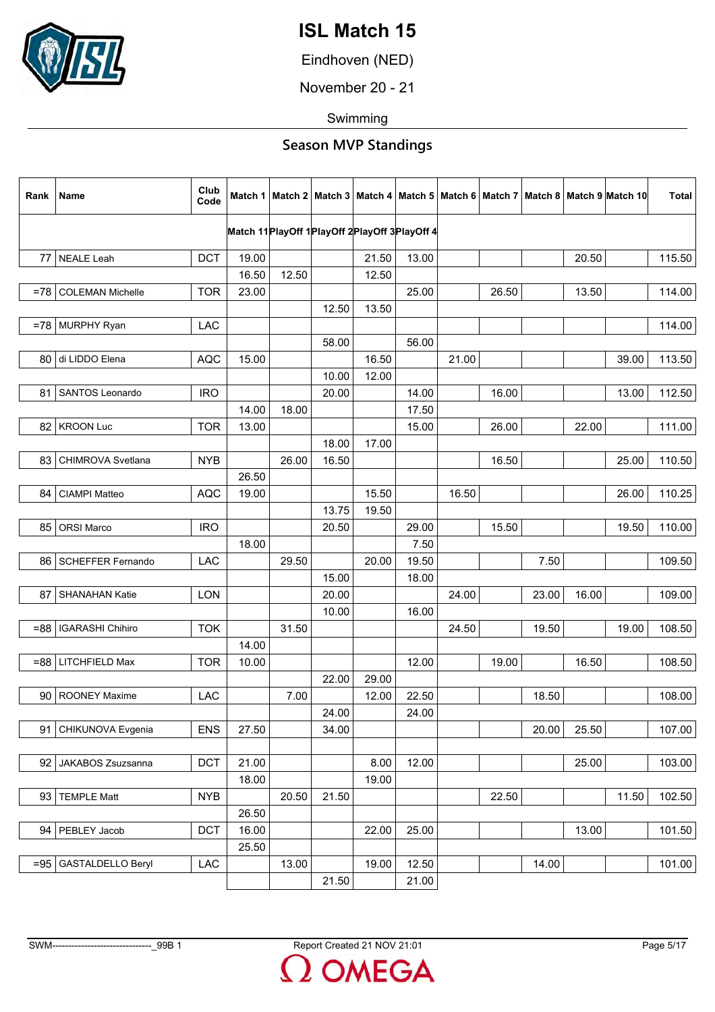

Eindhoven (NED)

November 20 - 21

Swimming

| Rank    | Name                     | Club<br>Code |       |       |       |       |                                                  |       |       |       |       | Match 1   Match 2   Match 3   Match 4   Match 5   Match 6   Match 7   Match 8   Match 9   Match 10 | <b>Total</b> |
|---------|--------------------------|--------------|-------|-------|-------|-------|--------------------------------------------------|-------|-------|-------|-------|----------------------------------------------------------------------------------------------------|--------------|
|         |                          |              |       |       |       |       | Match 11 PlayOff 1 PlayOff 2 PlayOff 3 PlayOff 4 |       |       |       |       |                                                                                                    |              |
| 77      | <b>NEALE Leah</b>        | <b>DCT</b>   | 19.00 |       |       | 21.50 | 13.00                                            |       |       |       | 20.50 |                                                                                                    | 115.50       |
|         |                          |              | 16.50 | 12.50 |       | 12.50 |                                                  |       |       |       |       |                                                                                                    |              |
| $= 781$ | <b>COLEMAN Michelle</b>  | <b>TOR</b>   | 23.00 |       |       |       | 25.00                                            |       | 26.50 |       | 13.50 |                                                                                                    | 114.00       |
|         |                          |              |       |       | 12.50 | 13.50 |                                                  |       |       |       |       |                                                                                                    |              |
| $= 781$ | MURPHY Ryan              | <b>LAC</b>   |       |       |       |       |                                                  |       |       |       |       |                                                                                                    | 114.00       |
|         |                          |              |       |       | 58.00 |       | 56.00                                            |       |       |       |       |                                                                                                    |              |
|         | 80 di LIDDO Elena        | <b>AQC</b>   | 15.00 |       |       | 16.50 |                                                  | 21.00 |       |       |       | 39.00                                                                                              | 113.50       |
|         |                          |              |       |       | 10.00 | 12.00 |                                                  |       |       |       |       |                                                                                                    |              |
| 81      | SANTOS Leonardo          | <b>IRO</b>   |       |       | 20.00 |       | 14.00                                            |       | 16.00 |       |       | 13.00                                                                                              | 112.50       |
|         |                          |              | 14.00 | 18.00 |       |       | 17.50                                            |       |       |       |       |                                                                                                    |              |
| 82      | <b>KROON Luc</b>         | <b>TOR</b>   | 13.00 |       |       |       | 15.00                                            |       | 26.00 |       | 22.00 |                                                                                                    | 111.00       |
|         |                          |              |       |       | 18.00 | 17.00 |                                                  |       |       |       |       |                                                                                                    |              |
| 83      | CHIMROVA Svetlana        | <b>NYB</b>   |       | 26.00 | 16.50 |       |                                                  |       | 16.50 |       |       | 25.00                                                                                              | 110.50       |
|         |                          |              | 26.50 |       |       |       |                                                  |       |       |       |       |                                                                                                    |              |
| 84      | CIAMPI Matteo            | <b>AQC</b>   | 19.00 |       |       | 15.50 |                                                  | 16.50 |       |       |       | 26.00                                                                                              | 110.25       |
|         |                          |              |       |       | 13.75 | 19.50 |                                                  |       |       |       |       |                                                                                                    |              |
| 85      | <b>ORSI Marco</b>        | <b>IRO</b>   |       |       | 20.50 |       | 29.00                                            |       | 15.50 |       |       | 19.50                                                                                              | 110.00       |
|         |                          |              | 18.00 |       |       |       | 7.50                                             |       |       |       |       |                                                                                                    |              |
| 86 I    | <b>SCHEFFER Fernando</b> | LAC          |       | 29.50 |       | 20.00 | 19.50                                            |       |       | 7.50  |       |                                                                                                    | 109.50       |
|         |                          |              |       |       | 15.00 |       | 18.00                                            |       |       |       |       |                                                                                                    |              |
| 87      | <b>SHANAHAN Katie</b>    | LON          |       |       | 20.00 |       |                                                  | 24.00 |       | 23.00 | 16.00 |                                                                                                    | 109.00       |
|         |                          |              |       |       | 10.00 |       | 16.00                                            |       |       |       |       |                                                                                                    |              |
| $-88$   | <b>IGARASHI Chihiro</b>  | <b>TOK</b>   |       | 31.50 |       |       |                                                  | 24.50 |       | 19.50 |       | 19.00                                                                                              | 108.50       |
|         |                          |              | 14.00 |       |       |       |                                                  |       |       |       |       |                                                                                                    |              |
|         | $= 88$ LITCHFIELD Max    | <b>TOR</b>   | 10.00 |       |       |       | 12.00                                            |       | 19.00 |       | 16.50 |                                                                                                    | 108.50       |
|         |                          |              |       |       | 22.00 | 29.00 |                                                  |       |       |       |       |                                                                                                    |              |
| 90      | <b>ROONEY Maxime</b>     | LAC          |       | 7.00  |       | 12.00 | 22.50                                            |       |       | 18.50 |       |                                                                                                    | 108.00       |
|         |                          |              |       |       | 24.00 |       | 24.00                                            |       |       |       |       |                                                                                                    |              |
| 91      | CHIKUNOVA Evgenia        | <b>ENS</b>   | 27.50 |       | 34.00 |       |                                                  |       |       | 20.00 | 25.50 |                                                                                                    | 107.00       |
|         |                          |              |       |       |       |       |                                                  |       |       |       |       |                                                                                                    |              |
| 92      | JAKABOS Zsuzsanna        | <b>DCT</b>   | 21.00 |       |       | 8.00  | 12.00                                            |       |       |       | 25.00 |                                                                                                    | 103.00       |
|         |                          |              | 18.00 |       |       | 19.00 |                                                  |       |       |       |       |                                                                                                    |              |
| 93      | <b>TEMPLE Matt</b>       | <b>NYB</b>   |       | 20.50 | 21.50 |       |                                                  |       | 22.50 |       |       | 11.50                                                                                              | 102.50       |
|         |                          |              | 26.50 |       |       |       |                                                  |       |       |       |       |                                                                                                    |              |
| 94 I    | PEBLEY Jacob             | <b>DCT</b>   | 16.00 |       |       | 22.00 | 25.00                                            |       |       |       | 13.00 |                                                                                                    | 101.50       |
|         |                          |              | 25.50 |       |       |       |                                                  |       |       |       |       |                                                                                                    |              |
| $= 95$  | <b>GASTALDELLO Beryl</b> | LAC          |       | 13.00 |       | 19.00 | 12.50                                            |       |       | 14.00 |       |                                                                                                    | 101.00       |
|         |                          |              |       |       | 21.50 |       | 21.00                                            |       |       |       |       |                                                                                                    |              |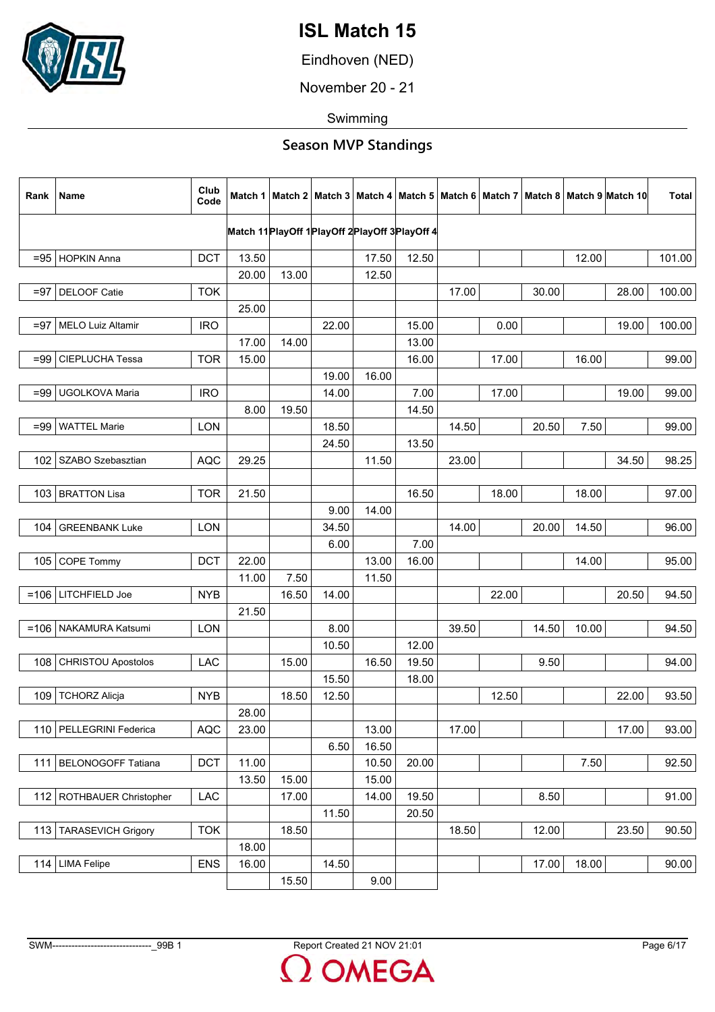

Eindhoven (NED)

November 20 - 21

Swimming

| Rank   | Name                      | Club<br>Code |       |       |       |       |                                                  |       |       |       |       | Match 1   Match 2   Match 3   Match 4   Match 5   Match 6   Match 7   Match 8   Match 9   Match 10 | Total  |
|--------|---------------------------|--------------|-------|-------|-------|-------|--------------------------------------------------|-------|-------|-------|-------|----------------------------------------------------------------------------------------------------|--------|
|        |                           |              |       |       |       |       | Match 11 PlayOff 1 PlayOff 2 PlayOff 3 PlayOff 4 |       |       |       |       |                                                                                                    |        |
|        | =95 HOPKIN Anna           | <b>DCT</b>   | 13.50 |       |       | 17.50 | 12.50                                            |       |       |       | 12.00 |                                                                                                    | 101.00 |
|        |                           |              | 20.00 | 13.00 |       | 12.50 |                                                  |       |       |       |       |                                                                                                    |        |
| $= 97$ | DELOOF Catie              | <b>TOK</b>   |       |       |       |       |                                                  | 17.00 |       | 30.00 |       | 28.00                                                                                              | 100.00 |
|        |                           |              | 25.00 |       |       |       |                                                  |       |       |       |       |                                                                                                    |        |
| $= 97$ | <b>MELO Luiz Altamir</b>  | <b>IRO</b>   |       |       | 22.00 |       | 15.00                                            |       | 0.00  |       |       | 19.00                                                                                              | 100.00 |
|        |                           |              | 17.00 | 14.00 |       |       | 13.00                                            |       |       |       |       |                                                                                                    |        |
| $= 99$ | CIEPLUCHA Tessa           | <b>TOR</b>   | 15.00 |       |       |       | 16.00                                            |       | 17.00 |       | 16.00 |                                                                                                    | 99.00  |
|        |                           |              |       |       | 19.00 | 16.00 |                                                  |       |       |       |       |                                                                                                    |        |
| $=99$  | UGOLKOVA Maria            | <b>IRO</b>   |       |       | 14.00 |       | 7.00                                             |       | 17.00 |       |       | 19.00                                                                                              | 99.00  |
|        |                           |              | 8.00  | 19.50 |       |       | 14.50                                            |       |       |       |       |                                                                                                    |        |
| $= 99$ | <b>WATTEL Marie</b>       | <b>LON</b>   |       |       | 18.50 |       |                                                  | 14.50 |       | 20.50 | 7.50  |                                                                                                    | 99.00  |
|        |                           |              |       |       | 24.50 |       | 13.50                                            |       |       |       |       |                                                                                                    |        |
|        | 102   SZABO Szebasztian   | <b>AQC</b>   | 29.25 |       |       | 11.50 |                                                  | 23.00 |       |       |       | 34.50                                                                                              | 98.25  |
|        |                           |              |       |       |       |       |                                                  |       |       |       |       |                                                                                                    |        |
| 103    | <b>BRATTON Lisa</b>       | <b>TOR</b>   | 21.50 |       |       |       | 16.50                                            |       | 18.00 |       | 18.00 |                                                                                                    | 97.00  |
|        |                           |              |       |       | 9.00  | 14.00 |                                                  |       |       |       |       |                                                                                                    |        |
| 104    | <b>GREENBANK Luke</b>     | <b>LON</b>   |       |       | 34.50 |       |                                                  | 14.00 |       | 20.00 | 14.50 |                                                                                                    | 96.00  |
|        |                           |              |       |       | 6.00  |       | 7.00                                             |       |       |       |       |                                                                                                    |        |
|        | 105 COPE Tommy            | <b>DCT</b>   | 22.00 |       |       | 13.00 | 16.00                                            |       |       |       | 14.00 |                                                                                                    | 95.00  |
|        |                           |              | 11.00 | 7.50  |       | 11.50 |                                                  |       |       |       |       |                                                                                                    |        |
|        | $=106$ LITCHFIELD Joe     | <b>NYB</b>   |       | 16.50 | 14.00 |       |                                                  |       | 22.00 |       |       | 20.50                                                                                              | 94.50  |
|        |                           |              | 21.50 |       |       |       |                                                  |       |       |       |       |                                                                                                    |        |
|        | =106   NAKAMURA Katsumi   | <b>LON</b>   |       |       | 8.00  |       |                                                  | 39.50 |       | 14.50 | 10.00 |                                                                                                    | 94.50  |
|        |                           |              |       |       | 10.50 |       | 12.00                                            |       |       |       |       |                                                                                                    |        |
| 108    | <b>CHRISTOU Apostolos</b> | LAC          |       | 15.00 |       | 16.50 | 19.50                                            |       |       | 9.50  |       |                                                                                                    | 94.00  |
|        |                           |              |       |       | 15.50 |       | 18.00                                            |       |       |       |       |                                                                                                    |        |
| 109    | <b>TCHORZ Alicja</b>      | <b>NYB</b>   |       | 18.50 | 12.50 |       |                                                  |       | 12.50 |       |       | 22.00                                                                                              | 93.50  |
|        |                           |              | 28.00 |       |       |       |                                                  |       |       |       |       |                                                                                                    |        |
|        | 110   PELLEGRINI Federica | <b>AQC</b>   | 23.00 |       |       | 13.00 |                                                  | 17.00 |       |       |       | 17.00                                                                                              | 93.00  |
|        |                           |              |       |       | 6.50  | 16.50 |                                                  |       |       |       |       |                                                                                                    |        |
|        | 111   BELONOGOFF Tatiana  | <b>DCT</b>   | 11.00 |       |       | 10.50 | 20.00                                            |       |       |       | 7.50  |                                                                                                    | 92.50  |
|        |                           |              | 13.50 | 15.00 |       | 15.00 |                                                  |       |       |       |       |                                                                                                    |        |
| 112    | ROTHBAUER Christopher     | <b>LAC</b>   |       | 17.00 |       | 14.00 | 19.50                                            |       |       | 8.50  |       |                                                                                                    | 91.00  |
|        |                           |              |       |       | 11.50 |       | 20.50                                            |       |       |       |       |                                                                                                    |        |
| 113    | <b>TARASEVICH Grigory</b> | <b>TOK</b>   |       | 18.50 |       |       |                                                  | 18.50 |       | 12.00 |       | 23.50                                                                                              | 90.50  |
|        |                           |              | 18.00 |       |       |       |                                                  |       |       |       |       |                                                                                                    |        |
|        | 114 LIMA Felipe           | <b>ENS</b>   | 16.00 |       | 14.50 |       |                                                  |       |       | 17.00 | 18.00 |                                                                                                    | 90.00  |
|        |                           |              |       | 15.50 |       | 9.00  |                                                  |       |       |       |       |                                                                                                    |        |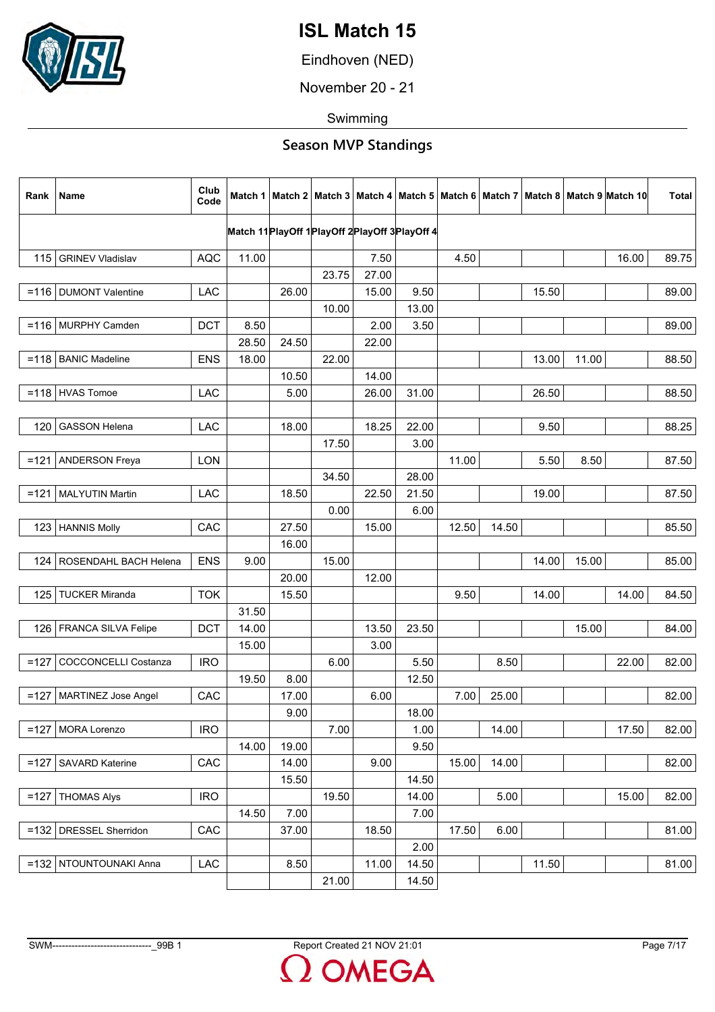

Eindhoven (NED)

November 20 - 21

Swimming

| Rank   | Name                        | Club<br>Code |                                                  |       |       |               |               |       |       |       |       | Match 1   Match 2   Match 3   Match 4   Match 5   Match 6   Match 7   Match 8   Match 9   Match 10 | <b>Total</b> |
|--------|-----------------------------|--------------|--------------------------------------------------|-------|-------|---------------|---------------|-------|-------|-------|-------|----------------------------------------------------------------------------------------------------|--------------|
|        |                             |              | Match 11 PlayOff 1 PlayOff 2 PlayOff 3 PlayOff 4 |       |       |               |               |       |       |       |       |                                                                                                    |              |
|        |                             |              |                                                  |       |       |               |               |       |       |       |       |                                                                                                    |              |
|        | 115   GRINEV Vladislav      | <b>AQC</b>   | 11.00                                            |       | 23.75 | 7.50<br>27.00 |               | 4.50  |       |       |       | 16.00                                                                                              | 89.75        |
|        | =116   DUMONT Valentine     |              |                                                  |       |       | 15.00         |               |       |       |       |       |                                                                                                    |              |
|        |                             | <b>LAC</b>   |                                                  | 26.00 | 10.00 |               | 9.50<br>13.00 |       |       | 15.50 |       |                                                                                                    | 89.00        |
|        | $=116$ MURPHY Camden        | <b>DCT</b>   | 8.50                                             |       |       | 2.00          | 3.50          |       |       |       |       |                                                                                                    | 89.00        |
|        |                             |              | 28.50                                            | 24.50 |       | 22.00         |               |       |       |       |       |                                                                                                    |              |
|        | $=118$ BANIC Madeline       | <b>ENS</b>   | 18.00                                            |       | 22.00 |               |               |       |       | 13.00 | 11.00 |                                                                                                    | 88.50        |
|        |                             |              |                                                  | 10.50 |       | 14.00         |               |       |       |       |       |                                                                                                    |              |
|        | $=118$ HVAS Tomoe           | <b>LAC</b>   |                                                  | 5.00  |       | 26.00         | 31.00         |       |       | 26.50 |       |                                                                                                    | 88.50        |
|        |                             |              |                                                  |       |       |               |               |       |       |       |       |                                                                                                    |              |
| 120    | <b>GASSON Helena</b>        | <b>LAC</b>   |                                                  | 18.00 |       | 18.25         | 22.00         |       |       | 9.50  |       |                                                                                                    | 88.25        |
|        |                             |              |                                                  |       | 17.50 |               | 3.00          |       |       |       |       |                                                                                                    |              |
|        | =121   ANDERSON Freya       | <b>LON</b>   |                                                  |       |       |               |               | 11.00 |       | 5.50  | 8.50  |                                                                                                    | 87.50        |
|        |                             |              |                                                  |       | 34.50 |               | 28.00         |       |       |       |       |                                                                                                    |              |
|        | $=$ 121   MALYUTIN Martin   | <b>LAC</b>   |                                                  | 18.50 |       | 22.50         | 21.50         |       |       | 19.00 |       |                                                                                                    | 87.50        |
|        |                             |              |                                                  |       | 0.00  |               | 6.00          |       |       |       |       |                                                                                                    |              |
| 123    | <b>HANNIS Molly</b>         | CAC          |                                                  | 27.50 |       | 15.00         |               | 12.50 | 14.50 |       |       |                                                                                                    | 85.50        |
|        |                             |              |                                                  | 16.00 |       |               |               |       |       |       |       |                                                                                                    |              |
|        | 124   ROSENDAHL BACH Helena | <b>ENS</b>   | 9.00                                             |       | 15.00 |               |               |       |       | 14.00 | 15.00 |                                                                                                    | 85.00        |
|        |                             |              |                                                  | 20.00 |       | 12.00         |               |       |       |       |       |                                                                                                    |              |
| 125    | <b>TUCKER Miranda</b>       | <b>TOK</b>   |                                                  | 15.50 |       |               |               | 9.50  |       | 14.00 |       | 14.00                                                                                              | 84.50        |
|        |                             |              | 31.50                                            |       |       |               |               |       |       |       |       |                                                                                                    |              |
| 126    | FRANCA SILVA Felipe         | <b>DCT</b>   | 14.00                                            |       |       | 13.50         | 23.50         |       |       |       | 15.00 |                                                                                                    | 84.00        |
|        |                             |              | 15.00                                            |       |       | 3.00          |               |       |       |       |       |                                                                                                    |              |
| $=127$ | <b>COCCONCELLI Costanza</b> | <b>IRO</b>   |                                                  |       | 6.00  |               | 5.50          |       | 8.50  |       |       | 22.00                                                                                              | 82.00        |
|        |                             |              | 19.50                                            | 8.00  |       |               | 12.50         |       |       |       |       |                                                                                                    |              |
| $=127$ | MARTINEZ Jose Angel         | CAC          |                                                  | 17.00 |       | 6.00          |               | 7.00  | 25.00 |       |       |                                                                                                    | 82.00        |
|        |                             |              |                                                  | 9.00  |       |               | 18.00         |       |       |       |       |                                                                                                    |              |
| $=127$ | MORA Lorenzo                | <b>IRO</b>   |                                                  |       | 7.00  |               | 1.00          |       | 14.00 |       |       | 17.50                                                                                              | 82.00        |
|        |                             |              | 14.00                                            | 19.00 |       |               | 9.50          |       |       |       |       |                                                                                                    |              |
| $=127$ | <b>SAVARD Katerine</b>      | CAC          |                                                  | 14.00 |       | 9.00          |               | 15.00 | 14.00 |       |       |                                                                                                    | 82.00        |
|        |                             |              |                                                  | 15.50 |       |               | 14.50         |       |       |       |       |                                                                                                    |              |
| $=127$ | <b>THOMAS Alys</b>          | <b>IRO</b>   |                                                  |       | 19.50 |               | 14.00         |       | 5.00  |       |       | 15.00                                                                                              | 82.00        |
|        |                             |              | 14.50                                            | 7.00  |       |               | 7.00          |       |       |       |       |                                                                                                    |              |
|        | =132   DRESSEL Sherridon    | CAC          |                                                  | 37.00 |       | 18.50         |               | 17.50 | 6.00  |       |       |                                                                                                    | 81.00        |
|        |                             |              |                                                  |       |       |               | 2.00          |       |       |       |       |                                                                                                    |              |
|        | =132   NTOUNTOUNAKI Anna    | LAC          |                                                  | 8.50  |       | 11.00         | 14.50         |       |       | 11.50 |       |                                                                                                    | 81.00        |
|        |                             |              |                                                  |       | 21.00 |               | 14.50         |       |       |       |       |                                                                                                    |              |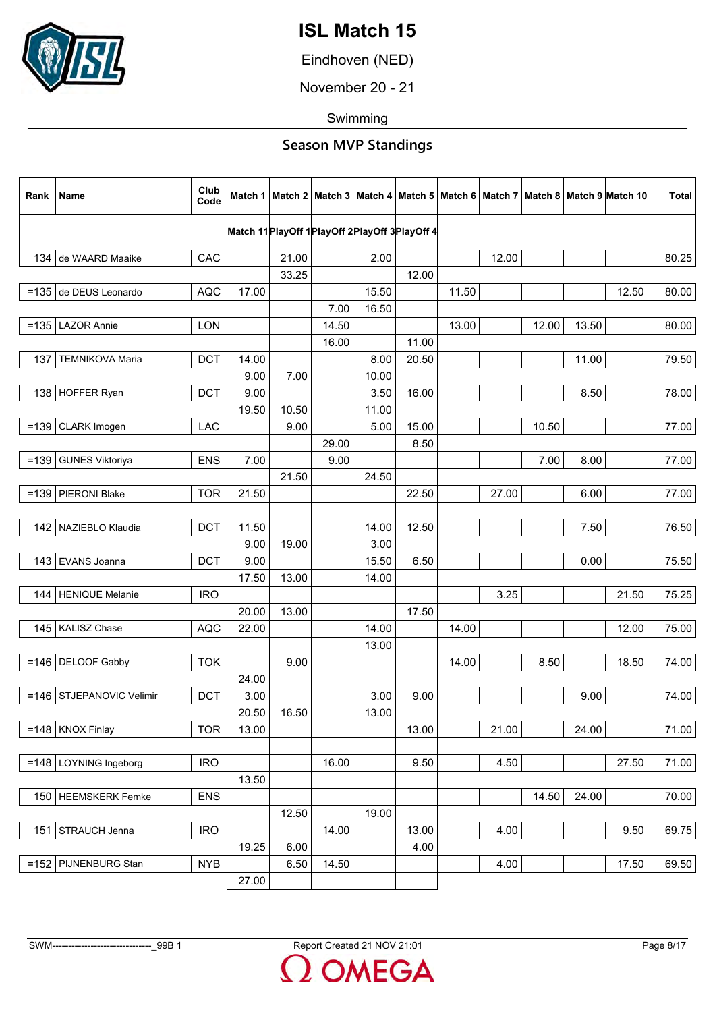

Eindhoven (NED)

November 20 - 21

Swimming

| Rank    | Name                       | Club<br>Code |       |       |       |       |                                                  |       |       |       |       | Match 1   Match 2   Match 3   Match 4   Match 5   Match 6   Match 7   Match 8   Match 9  Match 10 | <b>Total</b> |
|---------|----------------------------|--------------|-------|-------|-------|-------|--------------------------------------------------|-------|-------|-------|-------|---------------------------------------------------------------------------------------------------|--------------|
|         |                            |              |       |       |       |       | Match 11 PlayOff 1 PlayOff 2 PlayOff 3 PlayOff 4 |       |       |       |       |                                                                                                   |              |
|         |                            |              |       |       |       |       |                                                  |       |       |       |       |                                                                                                   |              |
|         | 134 de WAARD Maaike        | CAC          |       | 21.00 |       | 2.00  |                                                  |       | 12.00 |       |       |                                                                                                   | 80.25        |
|         |                            |              |       | 33.25 |       |       | 12.00                                            |       |       |       |       |                                                                                                   |              |
|         | =135 de DEUS Leonardo      | <b>AQC</b>   | 17.00 |       |       | 15.50 |                                                  | 11.50 |       |       |       | 12.50                                                                                             | 80.00        |
|         |                            |              |       |       | 7.00  | 16.50 |                                                  |       |       |       |       |                                                                                                   |              |
|         | $=135$ LAZOR Annie         | <b>LON</b>   |       |       | 14.50 |       |                                                  | 13.00 |       | 12.00 | 13.50 |                                                                                                   | 80.00        |
|         |                            |              |       |       | 16.00 |       | 11.00                                            |       |       |       |       |                                                                                                   |              |
| 137     | <b>TEMNIKOVA Maria</b>     | <b>DCT</b>   | 14.00 |       |       | 8.00  | 20.50                                            |       |       |       | 11.00 |                                                                                                   | 79.50        |
|         |                            |              | 9.00  | 7.00  |       | 10.00 |                                                  |       |       |       |       |                                                                                                   |              |
|         | 138 HOFFER Ryan            | <b>DCT</b>   | 9.00  |       |       | 3.50  | 16.00                                            |       |       |       | 8.50  |                                                                                                   | 78.00        |
|         |                            |              | 19.50 | 10.50 |       | 11.00 |                                                  |       |       |       |       |                                                                                                   |              |
| $=139$  | CLARK Imogen               | <b>LAC</b>   |       | 9.00  |       | 5.00  | 15.00                                            |       |       | 10.50 |       |                                                                                                   | 77.00        |
|         |                            |              |       |       | 29.00 |       | 8.50                                             |       |       |       |       |                                                                                                   |              |
| $= 139$ | <b>GUNES Viktoriya</b>     | <b>ENS</b>   | 7.00  |       | 9.00  |       |                                                  |       |       | 7.00  | 8.00  |                                                                                                   | 77.00        |
|         |                            |              |       | 21.50 |       | 24.50 |                                                  |       |       |       |       |                                                                                                   |              |
| $=139$  | PIERONI Blake              | <b>TOR</b>   | 21.50 |       |       |       | 22.50                                            |       | 27.00 |       | 6.00  |                                                                                                   | 77.00        |
|         |                            |              |       |       |       |       |                                                  |       |       |       |       |                                                                                                   |              |
|         | 142   NAZIEBLO Klaudia     | <b>DCT</b>   | 11.50 |       |       | 14.00 | 12.50                                            |       |       |       | 7.50  |                                                                                                   | 76.50        |
|         |                            |              | 9.00  | 19.00 |       | 3.00  |                                                  |       |       |       |       |                                                                                                   |              |
|         | 143   EVANS Joanna         | <b>DCT</b>   | 9.00  |       |       | 15.50 | 6.50                                             |       |       |       | 0.00  |                                                                                                   | 75.50        |
|         |                            |              | 17.50 | 13.00 |       | 14.00 |                                                  |       |       |       |       |                                                                                                   |              |
|         | 144   HENIQUE Melanie      | <b>IRO</b>   |       |       |       |       |                                                  |       | 3.25  |       |       | 21.50                                                                                             | 75.25        |
|         |                            |              | 20.00 | 13.00 |       |       | 17.50                                            |       |       |       |       |                                                                                                   |              |
|         | 145   KALISZ Chase         | <b>AQC</b>   | 22.00 |       |       | 14.00 |                                                  | 14.00 |       |       |       | 12.00                                                                                             | 75.00        |
|         |                            |              |       |       |       | 13.00 |                                                  |       |       |       |       |                                                                                                   |              |
|         | $=146$ DELOOF Gabby        | <b>TOK</b>   |       | 9.00  |       |       |                                                  | 14.00 |       | 8.50  |       | 18.50                                                                                             | 74.00        |
|         |                            |              | 24.00 |       |       |       |                                                  |       |       |       |       |                                                                                                   |              |
|         | =146   STJEPANOVIC Velimir | <b>DCT</b>   | 3.00  |       |       | 3.00  | 9.00                                             |       |       |       | 9.00  |                                                                                                   | 74.00        |
|         |                            |              | 20.50 | 16.50 |       | 13.00 |                                                  |       |       |       |       |                                                                                                   |              |
|         | $=148$ KNOX Finlay         | <b>TOR</b>   | 13.00 |       |       |       | 13.00                                            |       | 21.00 |       | 24.00 |                                                                                                   | 71.00        |
|         |                            |              |       |       |       |       |                                                  |       |       |       |       |                                                                                                   |              |
|         | $=148$ LOYNING Ingeborg    | <b>IRO</b>   |       |       | 16.00 |       | 9.50                                             |       | 4.50  |       |       | 27.50                                                                                             | 71.00        |
|         |                            |              | 13.50 |       |       |       |                                                  |       |       |       |       |                                                                                                   |              |
|         | 150 HEEMSKERK Femke        | <b>ENS</b>   |       |       |       |       |                                                  |       |       | 14.50 | 24.00 |                                                                                                   | 70.00        |
|         |                            |              |       | 12.50 |       | 19.00 |                                                  |       |       |       |       |                                                                                                   |              |
|         | 151   STRAUCH Jenna        | <b>IRO</b>   |       |       | 14.00 |       | 13.00                                            |       | 4.00  |       |       | 9.50                                                                                              | 69.75        |
|         |                            |              | 19.25 | 6.00  |       |       | 4.00                                             |       |       |       |       |                                                                                                   |              |
| $=152$  | PIJNENBURG Stan            | <b>NYB</b>   |       | 6.50  | 14.50 |       |                                                  |       | 4.00  |       |       | 17.50                                                                                             | 69.50        |
|         |                            |              | 27.00 |       |       |       |                                                  |       |       |       |       |                                                                                                   |              |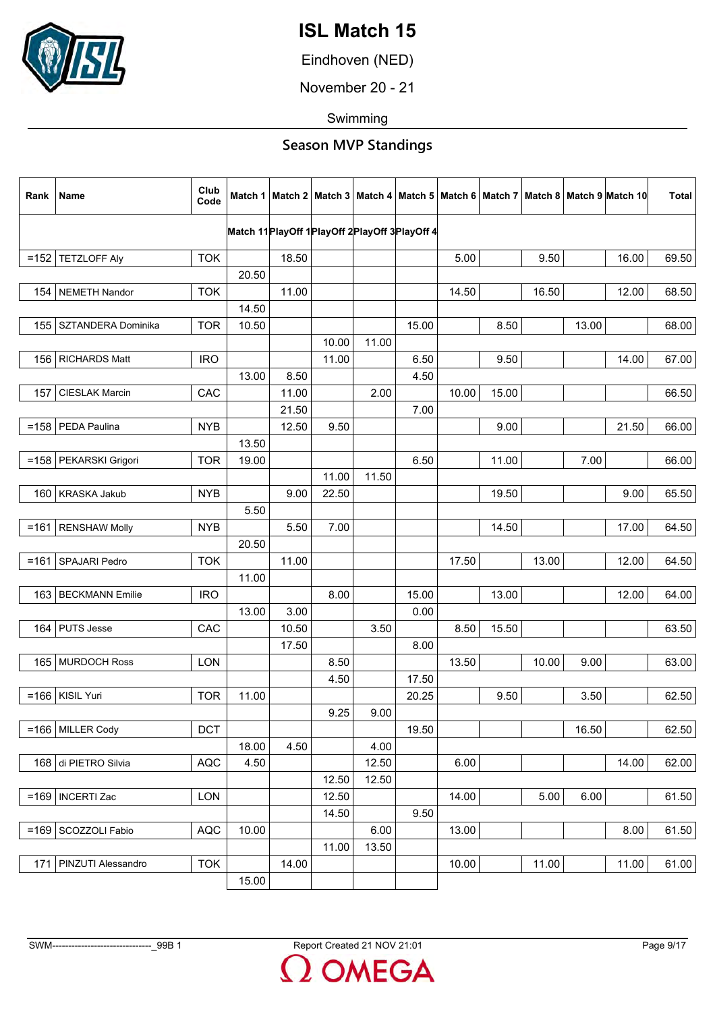

Eindhoven (NED)

November 20 - 21

Swimming

| Rank    | <b>Name</b>               | Club<br>Code |       |       |       |       |                                                  |       |       |       |       | Match 1   Match 2   Match 3   Match 4   Match 5   Match 6   Match 7   Match 8   Match 9   Match 10 | <b>Total</b> |
|---------|---------------------------|--------------|-------|-------|-------|-------|--------------------------------------------------|-------|-------|-------|-------|----------------------------------------------------------------------------------------------------|--------------|
|         |                           |              |       |       |       |       | Match 11 PlayOff 1 PlayOff 2 PlayOff 3 PlayOff 4 |       |       |       |       |                                                                                                    |              |
|         |                           |              |       |       |       |       |                                                  |       |       |       |       |                                                                                                    |              |
|         | $=152$ TETZLOFF Aly       | <b>TOK</b>   |       | 18.50 |       |       |                                                  | 5.00  |       | 9.50  |       | 16.00                                                                                              | 69.50        |
|         |                           |              | 20.50 |       |       |       |                                                  |       |       |       |       |                                                                                                    |              |
| 154     | <b>NEMETH Nandor</b>      | <b>TOK</b>   |       | 11.00 |       |       |                                                  | 14.50 |       | 16.50 |       | 12.00                                                                                              | 68.50        |
|         |                           |              | 14.50 |       |       |       |                                                  |       |       |       |       |                                                                                                    |              |
| 155     | SZTANDERA Dominika        | <b>TOR</b>   | 10.50 |       |       |       | 15.00                                            |       | 8.50  |       | 13.00 |                                                                                                    | 68.00        |
|         |                           |              |       |       | 10.00 | 11.00 |                                                  |       |       |       |       |                                                                                                    |              |
|         | 156   RICHARDS Matt       | <b>IRO</b>   |       |       | 11.00 |       | 6.50                                             |       | 9.50  |       |       | 14.00                                                                                              | 67.00        |
|         |                           |              | 13.00 | 8.50  |       |       | 4.50                                             |       |       |       |       |                                                                                                    |              |
| 157     | <b>CIESLAK Marcin</b>     | CAC          |       | 11.00 |       | 2.00  |                                                  | 10.00 | 15.00 |       |       |                                                                                                    | 66.50        |
|         |                           |              |       | 21.50 |       |       | 7.00                                             |       |       |       |       |                                                                                                    |              |
| $= 158$ | PEDA Paulina              | <b>NYB</b>   |       | 12.50 | 9.50  |       |                                                  |       | 9.00  |       |       | 21.50                                                                                              | 66.00        |
|         |                           |              | 13.50 |       |       |       |                                                  |       |       |       |       |                                                                                                    |              |
|         | =158   PEKARSKI Grigori   | <b>TOR</b>   | 19.00 |       |       |       | 6.50                                             |       | 11.00 |       | 7.00  |                                                                                                    | 66.00        |
|         |                           |              |       |       | 11.00 | 11.50 |                                                  |       |       |       |       |                                                                                                    |              |
|         | 160   KRASKA Jakub        | <b>NYB</b>   |       | 9.00  | 22.50 |       |                                                  |       | 19.50 |       |       | 9.00                                                                                               | 65.50        |
|         |                           |              | 5.50  |       |       |       |                                                  |       |       |       |       |                                                                                                    |              |
|         | $=161$ RENSHAW Molly      | <b>NYB</b>   |       | 5.50  | 7.00  |       |                                                  |       | 14.50 |       |       | 17.00                                                                                              | 64.50        |
|         |                           |              | 20.50 |       |       |       |                                                  |       |       |       |       |                                                                                                    |              |
| $= 161$ | SPAJARI Pedro             | <b>TOK</b>   |       | 11.00 |       |       |                                                  | 17.50 |       | 13.00 |       | 12.00                                                                                              | 64.50        |
|         |                           |              | 11.00 |       |       |       |                                                  |       |       |       |       |                                                                                                    |              |
| 163     | <b>BECKMANN Emilie</b>    | <b>IRO</b>   |       |       | 8.00  |       | 15.00                                            |       | 13.00 |       |       | 12.00                                                                                              | 64.00        |
|         |                           |              | 13.00 | 3.00  |       |       | 0.00                                             |       |       |       |       |                                                                                                    |              |
| 164     | <b>PUTS Jesse</b>         | CAC          |       | 10.50 |       | 3.50  |                                                  | 8.50  | 15.50 |       |       |                                                                                                    | 63.50        |
|         |                           |              |       | 17.50 |       |       | 8.00                                             |       |       |       |       |                                                                                                    |              |
|         | 165   MURDOCH Ross        | <b>LON</b>   |       |       | 8.50  |       |                                                  | 13.50 |       | 10.00 | 9.00  |                                                                                                    | 63.00        |
|         |                           |              |       |       | 4.50  |       | 17.50                                            |       |       |       |       |                                                                                                    |              |
|         | $=$ 166   KISIL Yuri      | <b>TOR</b>   | 11.00 |       |       |       | 20.25                                            |       | 9.50  |       | 3.50  |                                                                                                    | 62.50        |
|         |                           |              |       |       | 9.25  | 9.00  |                                                  |       |       |       |       |                                                                                                    |              |
|         | $=166$ MILLER Cody        | <b>DCT</b>   |       |       |       |       | 19.50                                            |       |       |       | 16.50 |                                                                                                    | 62.50        |
|         |                           |              | 18.00 | 4.50  |       | 4.00  |                                                  |       |       |       |       |                                                                                                    |              |
|         |                           | <b>AQC</b>   |       |       |       | 12.50 |                                                  | 6.00  |       |       |       | 14.00                                                                                              |              |
|         | 168 di PIETRO Silvia      |              | 4.50  |       |       |       |                                                  |       |       |       |       |                                                                                                    | 62.00        |
|         |                           |              |       |       | 12.50 | 12.50 |                                                  |       |       |       |       |                                                                                                    |              |
|         | $=169$   INCERTI Zac      | LON          |       |       | 12.50 |       |                                                  | 14.00 |       | 5.00  | 6.00  |                                                                                                    | 61.50        |
|         |                           |              |       |       | 14.50 |       | 9.50                                             |       |       |       |       |                                                                                                    |              |
| $= 169$ | SCOZZOLI Fabio            | <b>AQC</b>   | 10.00 |       |       | 6.00  |                                                  | 13.00 |       |       |       | 8.00                                                                                               | 61.50        |
|         |                           |              |       |       | 11.00 | 13.50 |                                                  |       |       |       |       |                                                                                                    |              |
| 171     | <b>PINZUTI Alessandro</b> | <b>TOK</b>   |       | 14.00 |       |       |                                                  | 10.00 |       | 11.00 |       | 11.00                                                                                              | 61.00        |
|         |                           |              | 15.00 |       |       |       |                                                  |       |       |       |       |                                                                                                    |              |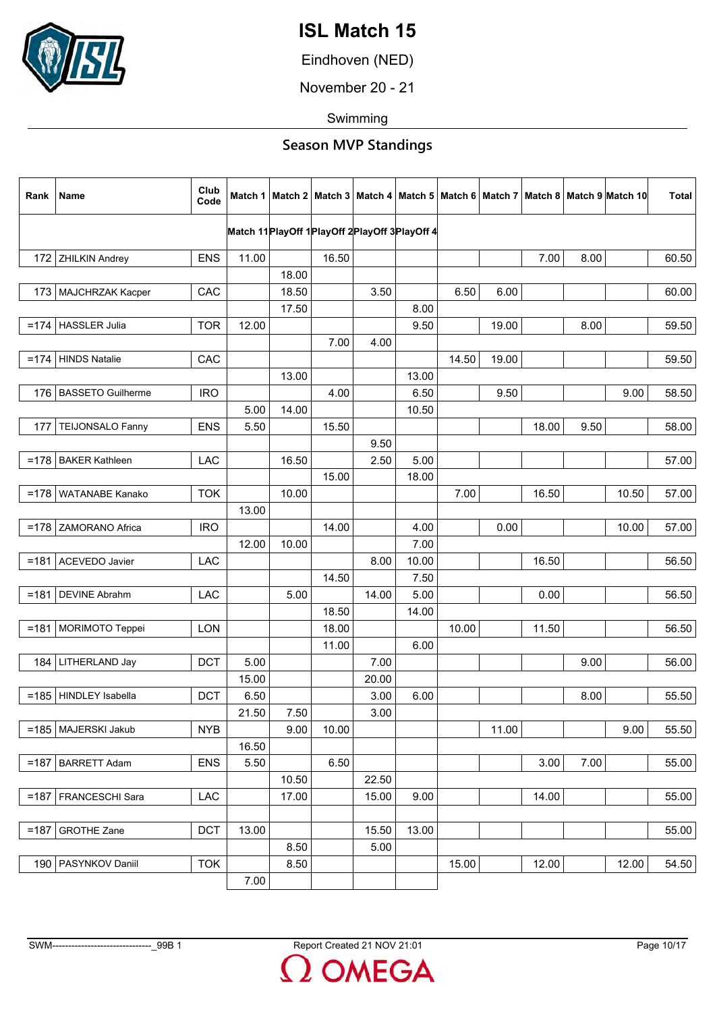

Eindhoven (NED)

November 20 - 21

Swimming

| Rank   | Name                     | Club<br>Code |       |       |                                                  |       |       |       |       |       |      | Match 1   Match 2   Match 3   Match 4   Match 5   Match 6   Match 7   Match 8   Match 9   Match 10 | <b>Total</b> |
|--------|--------------------------|--------------|-------|-------|--------------------------------------------------|-------|-------|-------|-------|-------|------|----------------------------------------------------------------------------------------------------|--------------|
|        |                          |              |       |       | Match 11 PlayOff 1 PlayOff 2 PlayOff 3 PlayOff 4 |       |       |       |       |       |      |                                                                                                    |              |
|        |                          |              |       |       |                                                  |       |       |       |       |       |      |                                                                                                    |              |
|        | 172 ZHILKIN Andrey       | <b>ENS</b>   | 11.00 |       | 16.50                                            |       |       |       |       | 7.00  | 8.00 |                                                                                                    | 60.50        |
|        |                          |              |       | 18.00 |                                                  |       |       |       |       |       |      |                                                                                                    |              |
|        | 173   MAJCHRZAK Kacper   | CAC          |       | 18.50 |                                                  | 3.50  |       | 6.50  | 6.00  |       |      |                                                                                                    | 60.00        |
|        |                          |              |       | 17.50 |                                                  |       | 8.00  |       |       |       |      |                                                                                                    |              |
| $=174$ | <b>HASSLER Julia</b>     | <b>TOR</b>   | 12.00 |       |                                                  |       | 9.50  |       | 19.00 |       | 8.00 |                                                                                                    | 59.50        |
|        |                          |              |       |       | 7.00                                             | 4.00  |       |       |       |       |      |                                                                                                    |              |
| $=174$ | HINDS Natalie            | CAC          |       |       |                                                  |       |       | 14.50 | 19.00 |       |      |                                                                                                    | 59.50        |
|        |                          |              |       | 13.00 |                                                  |       | 13.00 |       |       |       |      |                                                                                                    |              |
| 176    | <b>BASSETO Guilherme</b> | <b>IRO</b>   |       |       | 4.00                                             |       | 6.50  |       | 9.50  |       |      | 9.00                                                                                               | 58.50        |
|        |                          |              | 5.00  | 14.00 |                                                  |       | 10.50 |       |       |       |      |                                                                                                    |              |
| 177    | TEIJONSALO Fanny         | <b>ENS</b>   | 5.50  |       | 15.50                                            |       |       |       |       | 18.00 | 9.50 |                                                                                                    | 58.00        |
|        |                          |              |       |       |                                                  | 9.50  |       |       |       |       |      |                                                                                                    |              |
| $=178$ | <b>BAKER Kathleen</b>    | LAC          |       | 16.50 |                                                  | 2.50  | 5.00  |       |       |       |      |                                                                                                    | 57.00        |
|        |                          |              |       |       | 15.00                                            |       | 18.00 |       |       |       |      |                                                                                                    |              |
| $=178$ | WATANABE Kanako          | <b>TOK</b>   |       | 10.00 |                                                  |       |       | 7.00  |       | 16.50 |      | 10.50                                                                                              | 57.00        |
|        |                          |              | 13.00 |       |                                                  |       |       |       |       |       |      |                                                                                                    |              |
| $=178$ | ZAMORANO Africa          | <b>IRO</b>   |       |       | 14.00                                            |       | 4.00  |       | 0.00  |       |      | 10.00                                                                                              | 57.00        |
|        |                          |              | 12.00 | 10.00 |                                                  |       | 7.00  |       |       |       |      |                                                                                                    |              |
|        | =181   ACEVEDO Javier    | LAC          |       |       |                                                  | 8.00  | 10.00 |       |       | 16.50 |      |                                                                                                    | 56.50        |
|        |                          |              |       |       | 14.50                                            |       | 7.50  |       |       |       |      |                                                                                                    |              |
| $=181$ | <b>DEVINE Abrahm</b>     | LAC          |       | 5.00  |                                                  | 14.00 | 5.00  |       |       | 0.00  |      |                                                                                                    | 56.50        |
|        |                          |              |       |       | 18.50                                            |       | 14.00 |       |       |       |      |                                                                                                    |              |
|        | =181   MORIMOTO Teppei   | <b>LON</b>   |       |       | 18.00                                            |       |       | 10.00 |       | 11.50 |      |                                                                                                    | 56.50        |
|        |                          |              |       |       | 11.00                                            |       | 6.00  |       |       |       |      |                                                                                                    |              |
|        | 184   LITHERLAND Jay     | <b>DCT</b>   | 5.00  |       |                                                  | 7.00  |       |       |       |       | 9.00 |                                                                                                    | 56.00        |
|        |                          |              | 15.00 |       |                                                  | 20.00 |       |       |       |       |      |                                                                                                    |              |
| $=185$ | HINDLEY Isabella         | <b>DCT</b>   | 6.50  |       |                                                  | 3.00  | 6.00  |       |       |       | 8.00 |                                                                                                    | 55.50        |
|        |                          |              | 21.50 | 7.50  |                                                  | 3.00  |       |       |       |       |      |                                                                                                    |              |
|        | =185   MAJERSKI Jakub    | <b>NYB</b>   |       | 9.00  | 10.00                                            |       |       |       | 11.00 |       |      | 9.00                                                                                               | 55.50        |
|        |                          |              | 16.50 |       |                                                  |       |       |       |       |       |      |                                                                                                    |              |
|        | =187   BARRETT Adam      | <b>ENS</b>   | 5.50  |       | 6.50                                             |       |       |       |       | 3.00  | 7.00 |                                                                                                    | 55.00        |
|        |                          |              |       | 10.50 |                                                  | 22.50 |       |       |       |       |      |                                                                                                    |              |
|        | =187   FRANCESCHI Sara   | LAC          |       | 17.00 |                                                  | 15.00 | 9.00  |       |       | 14.00 |      |                                                                                                    | 55.00        |
|        |                          |              |       |       |                                                  |       |       |       |       |       |      |                                                                                                    |              |
| $=187$ | <b>GROTHE Zane</b>       | <b>DCT</b>   | 13.00 |       |                                                  | 15.50 | 13.00 |       |       |       |      |                                                                                                    | 55.00        |
|        |                          |              |       | 8.50  |                                                  | 5.00  |       |       |       |       |      |                                                                                                    |              |
|        | 190   PASYNKOV Daniil    | <b>TOK</b>   |       | 8.50  |                                                  |       |       | 15.00 |       | 12.00 |      | 12.00                                                                                              | 54.50        |
|        |                          |              | 7.00  |       |                                                  |       |       |       |       |       |      |                                                                                                    |              |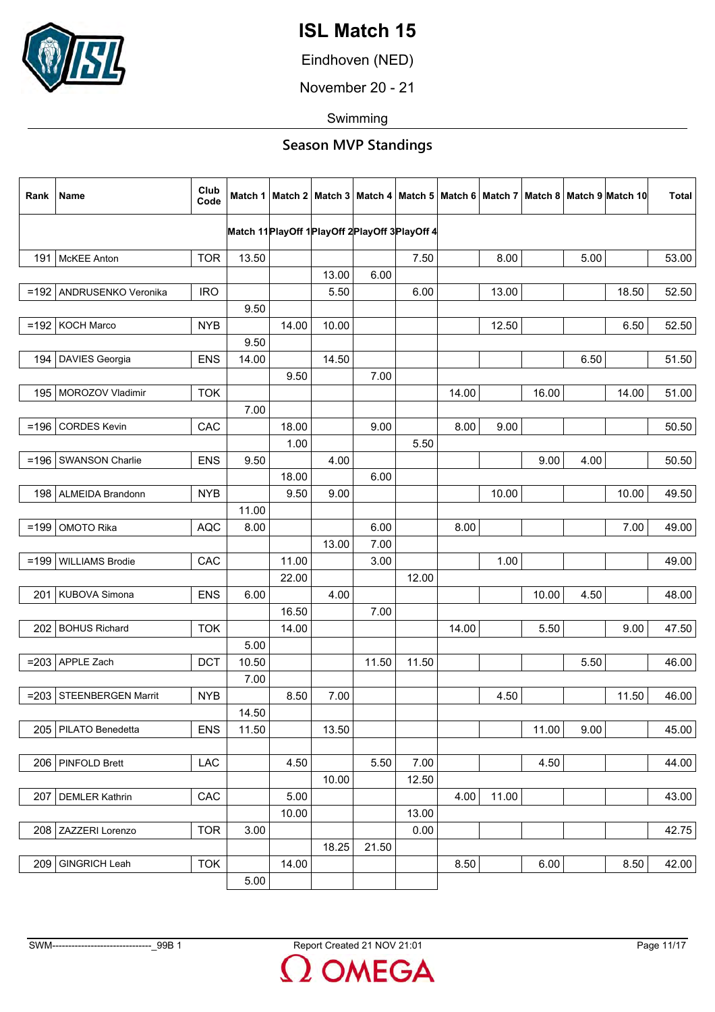

Eindhoven (NED)

November 20 - 21

Swimming

| Rank    | <b>Name</b>             | Club<br>Code |       |       |       |       |                                                  |       |       |       |      | Match 1   Match 2   Match 3   Match 4   Match 5   Match 6   Match 7   Match 8   Match 9   Match 10 | <b>Total</b> |
|---------|-------------------------|--------------|-------|-------|-------|-------|--------------------------------------------------|-------|-------|-------|------|----------------------------------------------------------------------------------------------------|--------------|
|         |                         |              |       |       |       |       | Match 11 PlayOff 1 PlayOff 2 PlayOff 3 PlayOff 4 |       |       |       |      |                                                                                                    |              |
|         |                         |              |       |       |       |       |                                                  |       |       |       |      |                                                                                                    |              |
| 1911    | <b>McKEE Anton</b>      | <b>TOR</b>   | 13.50 |       |       |       | 7.50                                             |       | 8.00  |       | 5.00 |                                                                                                    | 53.00        |
|         |                         |              |       |       | 13.00 | 6.00  |                                                  |       |       |       |      |                                                                                                    |              |
| $=192$  | ANDRUSENKO Veronika     | <b>IRO</b>   |       |       | 5.50  |       | 6.00                                             |       | 13.00 |       |      | 18.50                                                                                              | 52.50        |
|         |                         |              | 9.50  |       |       |       |                                                  |       |       |       |      |                                                                                                    |              |
| $=192$  | <b>KOCH Marco</b>       | <b>NYB</b>   |       | 14.00 | 10.00 |       |                                                  |       | 12.50 |       |      | 6.50                                                                                               | 52.50        |
|         |                         |              | 9.50  |       |       |       |                                                  |       |       |       |      |                                                                                                    |              |
| 194     | <b>DAVIES Georgia</b>   | <b>ENS</b>   | 14.00 |       | 14.50 |       |                                                  |       |       |       | 6.50 |                                                                                                    | 51.50        |
|         |                         |              |       | 9.50  |       | 7.00  |                                                  |       |       |       |      |                                                                                                    |              |
|         | 195   MOROZOV Vladimir  | <b>TOK</b>   |       |       |       |       |                                                  | 14.00 |       | 16.00 |      | 14.00                                                                                              | 51.00        |
|         |                         |              | 7.00  |       |       |       |                                                  |       |       |       |      |                                                                                                    |              |
| $=196$  | <b>CORDES Kevin</b>     | CAC          |       | 18.00 |       | 9.00  |                                                  | 8.00  | 9.00  |       |      |                                                                                                    | 50.50        |
|         |                         |              |       | 1.00  |       |       | 5.50                                             |       |       |       |      |                                                                                                    |              |
|         | =196   SWANSON Charlie  | <b>ENS</b>   | 9.50  |       | 4.00  |       |                                                  |       |       | 9.00  | 4.00 |                                                                                                    | 50.50        |
|         |                         |              |       | 18.00 |       | 6.00  |                                                  |       |       |       |      |                                                                                                    |              |
| 198     | <b>ALMEIDA Brandonn</b> | <b>NYB</b>   |       | 9.50  | 9.00  |       |                                                  |       | 10.00 |       |      | 10.00                                                                                              | 49.50        |
|         |                         |              | 11.00 |       |       |       |                                                  |       |       |       |      |                                                                                                    |              |
| $=199$  | <b>OMOTO Rika</b>       | <b>AQC</b>   | 8.00  |       |       | 6.00  |                                                  | 8.00  |       |       |      | 7.00                                                                                               | 49.00        |
|         |                         |              |       |       | 13.00 | 7.00  |                                                  |       |       |       |      |                                                                                                    |              |
| $=199$  | <b>WILLIAMS Brodie</b>  | CAC          |       | 11.00 |       | 3.00  |                                                  |       | 1.00  |       |      |                                                                                                    | 49.00        |
|         |                         |              |       | 22.00 |       |       | 12.00                                            |       |       |       |      |                                                                                                    |              |
| 201     | KUBOVA Simona           | <b>ENS</b>   | 6.00  |       | 4.00  |       |                                                  |       |       | 10.00 | 4.50 |                                                                                                    | 48.00        |
|         |                         |              |       | 16.50 |       | 7.00  |                                                  |       |       |       |      |                                                                                                    |              |
| 202     | <b>BOHUS Richard</b>    | <b>TOK</b>   |       | 14.00 |       |       |                                                  | 14.00 |       | 5.50  |      | 9.00                                                                                               | 47.50        |
|         |                         |              | 5.00  |       |       |       |                                                  |       |       |       |      |                                                                                                    |              |
|         | $= 203$ APPLE Zach      | <b>DCT</b>   |       |       |       | 11.50 |                                                  |       |       |       |      |                                                                                                    |              |
|         |                         |              | 10.50 |       |       |       | 11.50                                            |       |       |       | 5.50 |                                                                                                    | 46.00        |
|         |                         |              | 7.00  |       |       |       |                                                  |       |       |       |      |                                                                                                    |              |
| $= 203$ | STEENBERGEN Marrit      | <b>NYB</b>   |       | 8.50  | 7.00  |       |                                                  |       | 4.50  |       |      | 11.50                                                                                              | 46.00        |
|         |                         |              | 14.50 |       |       |       |                                                  |       |       |       |      |                                                                                                    |              |
|         | 205   PILATO Benedetta  | <b>ENS</b>   | 11.50 |       | 13.50 |       |                                                  |       |       | 11.00 | 9.00 |                                                                                                    | 45.00        |
|         |                         |              |       |       |       |       |                                                  |       |       |       |      |                                                                                                    |              |
|         | 206   PINFOLD Brett     | <b>LAC</b>   |       | 4.50  |       | 5.50  | 7.00                                             |       |       | 4.50  |      |                                                                                                    | 44.00        |
|         |                         |              |       |       | 10.00 |       | 12.50                                            |       |       |       |      |                                                                                                    |              |
| 207     | <b>DEMLER Kathrin</b>   | CAC          |       | 5.00  |       |       |                                                  | 4.00  | 11.00 |       |      |                                                                                                    | 43.00        |
|         |                         |              |       | 10.00 |       |       | 13.00                                            |       |       |       |      |                                                                                                    |              |
| 208     | ZAZZERI Lorenzo         | <b>TOR</b>   | 3.00  |       |       |       | 0.00                                             |       |       |       |      |                                                                                                    | 42.75        |
|         |                         |              |       |       | 18.25 | 21.50 |                                                  |       |       |       |      |                                                                                                    |              |
| 209     | GINGRICH Leah           | <b>TOK</b>   |       | 14.00 |       |       |                                                  | 8.50  |       | 6.00  |      | 8.50                                                                                               | 42.00        |
|         |                         |              | 5.00  |       |       |       |                                                  |       |       |       |      |                                                                                                    |              |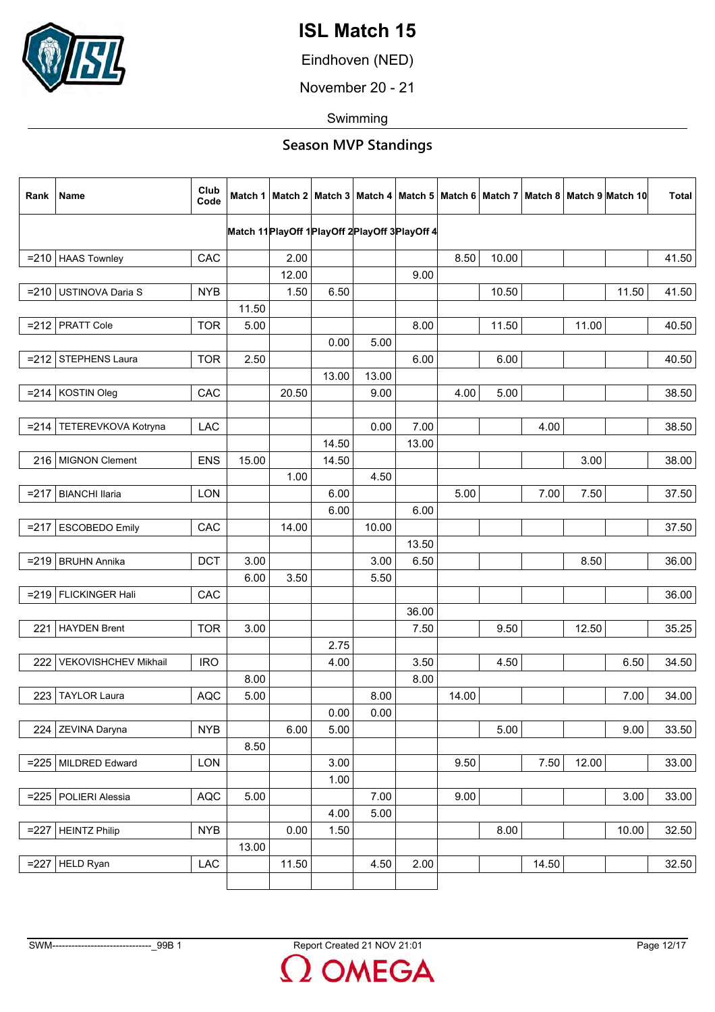

Eindhoven (NED)

November 20 - 21

Swimming

| Rank    | Name                   | Club<br>Code |       |       |                                                  |          |       |       |       |       |       | Match 1   Match 2   Match 3   Match 4   Match 5   Match 6   Match 7   Match 8   Match 9   Match 10 | Total |
|---------|------------------------|--------------|-------|-------|--------------------------------------------------|----------|-------|-------|-------|-------|-------|----------------------------------------------------------------------------------------------------|-------|
|         |                        |              |       |       | Match 11 PlayOff 1 PlayOff 2 PlayOff 3 PlayOff 4 |          |       |       |       |       |       |                                                                                                    |       |
|         |                        |              |       |       |                                                  |          |       |       |       |       |       |                                                                                                    |       |
|         | $= 210$ HAAS Townley   | CAC          |       | 2.00  |                                                  |          |       | 8.50  | 10.00 |       |       |                                                                                                    | 41.50 |
|         |                        |              |       | 12.00 |                                                  |          | 9.00  |       |       |       |       |                                                                                                    |       |
|         | =210 USTINOVA Daria S  | <b>NYB</b>   |       | 1.50  | 6.50                                             |          |       |       | 10.50 |       |       | 11.50                                                                                              | 41.50 |
|         |                        |              | 11.50 |       |                                                  |          |       |       |       |       |       |                                                                                                    |       |
|         | $= 212$ PRATT Cole     | <b>TOR</b>   | 5.00  |       |                                                  |          | 8.00  |       | 11.50 |       | 11.00 |                                                                                                    | 40.50 |
|         |                        |              |       |       | 0.00                                             | 5.00     |       |       |       |       |       |                                                                                                    |       |
|         | =212 STEPHENS Laura    | <b>TOR</b>   | 2.50  |       |                                                  |          | 6.00  |       | 6.00  |       |       |                                                                                                    | 40.50 |
|         |                        |              |       |       | 13.00                                            | 13.00    |       |       |       |       |       |                                                                                                    |       |
|         | $= 214$ KOSTIN Oleg    | CAC          |       | 20.50 |                                                  | 9.00     |       | 4.00  | 5.00  |       |       |                                                                                                    | 38.50 |
|         |                        |              |       |       |                                                  |          |       |       |       |       |       |                                                                                                    |       |
| $= 214$ | TETEREVKOVA Kotryna    | <b>LAC</b>   |       |       |                                                  | 0.00     | 7.00  |       |       | 4.00  |       |                                                                                                    | 38.50 |
|         |                        |              |       |       | 14.50                                            |          | 13.00 |       |       |       |       |                                                                                                    |       |
|         | 216 MIGNON Clement     | <b>ENS</b>   | 15.00 |       | 14.50                                            |          |       |       |       |       | 3.00  |                                                                                                    | 38.00 |
|         |                        |              |       | 1.00  |                                                  | 4.50     |       |       |       |       |       |                                                                                                    |       |
| $= 217$ | <b>BIANCHI llaria</b>  | LON          |       |       | 6.00                                             |          |       | 5.00  |       | 7.00  | 7.50  |                                                                                                    | 37.50 |
|         |                        |              |       |       | 6.00                                             |          | 6.00  |       |       |       |       |                                                                                                    |       |
| $= 217$ | <b>ESCOBEDO Emily</b>  | CAC          |       | 14.00 |                                                  | 10.00    |       |       |       |       |       |                                                                                                    | 37.50 |
|         |                        |              |       |       |                                                  |          | 13.50 |       |       |       |       |                                                                                                    |       |
|         | $=$ 219 BRUHN Annika   | <b>DCT</b>   | 3.00  |       |                                                  | 3.00     | 6.50  |       |       |       | 8.50  |                                                                                                    | 36.00 |
|         |                        |              | 6.00  | 3.50  |                                                  | 5.50     |       |       |       |       |       |                                                                                                    |       |
|         | =219   FLICKINGER Hali | CAC          |       |       |                                                  |          |       |       |       |       |       |                                                                                                    | 36.00 |
|         |                        |              |       |       |                                                  |          | 36.00 |       |       |       |       |                                                                                                    |       |
| 221     | <b>HAYDEN Brent</b>    | <b>TOR</b>   | 3.00  |       |                                                  |          | 7.50  |       | 9.50  |       | 12.50 |                                                                                                    | 35.25 |
|         |                        |              |       |       | 2.75                                             |          |       |       |       |       |       |                                                                                                    |       |
| 222     | VEKOVISHCHEV Mikhail   | <b>IRO</b>   |       |       | 4.00                                             |          | 3.50  |       | 4.50  |       |       | 6.50                                                                                               | 34.50 |
|         |                        |              | 8.00  |       |                                                  |          | 8.00  |       |       |       |       |                                                                                                    |       |
| 223     | <b>TAYLOR Laura</b>    | <b>AQC</b>   | 5.00  |       |                                                  | 8.00     |       | 14.00 |       |       |       | 7.00                                                                                               | 34.00 |
|         |                        |              |       |       | 0.00                                             | $0.00\,$ |       |       |       |       |       |                                                                                                    |       |
|         | 224 ZEVINA Daryna      | <b>NYB</b>   |       | 6.00  | 5.00                                             |          |       |       | 5.00  |       |       | 9.00                                                                                               | 33.50 |
|         |                        |              | 8.50  |       |                                                  |          |       |       |       |       |       |                                                                                                    |       |
|         | =225   MILDRED Edward  | LON          |       |       | 3.00                                             |          |       | 9.50  |       | 7.50  | 12.00 |                                                                                                    | 33.00 |
|         |                        |              |       |       | 1.00                                             |          |       |       |       |       |       |                                                                                                    |       |
|         | =225   POLIERI Alessia | AQC          | 5.00  |       |                                                  | 7.00     |       | 9.00  |       |       |       | 3.00                                                                                               | 33.00 |
|         |                        |              |       |       | 4.00                                             | 5.00     |       |       |       |       |       |                                                                                                    |       |
|         | $=$ 227 HEINTZ Philip  | <b>NYB</b>   |       | 0.00  | 1.50                                             |          |       |       | 8.00  |       |       | 10.00                                                                                              | 32.50 |
|         |                        |              | 13.00 |       |                                                  |          |       |       |       |       |       |                                                                                                    |       |
|         | $=227$ HELD Ryan       | LAC          |       | 11.50 |                                                  | 4.50     | 2.00  |       |       | 14.50 |       |                                                                                                    | 32.50 |
|         |                        |              |       |       |                                                  |          |       |       |       |       |       |                                                                                                    |       |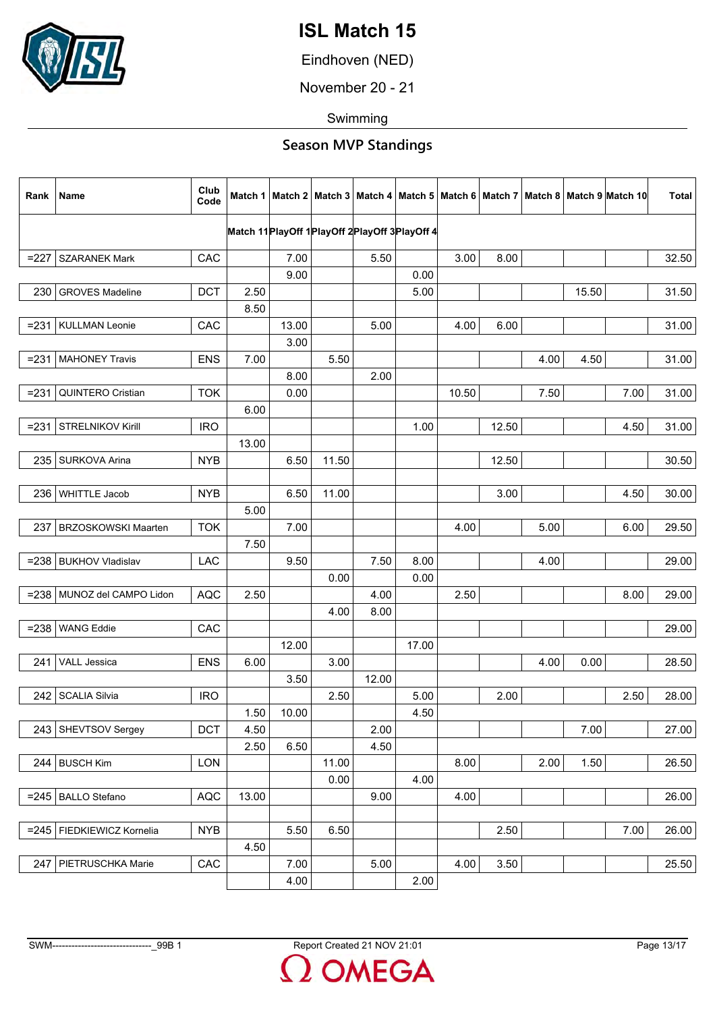

Eindhoven (NED)

November 20 - 21

Swimming

| Rank    | Name                        | Club<br>Code |       |       |       |                                                      |       |       |       |      |       | Match 1   Match 2   Match 3   Match 4   Match 5   Match 6   Match 7   Match 8   Match 9   Match 10 | <b>Total</b> |
|---------|-----------------------------|--------------|-------|-------|-------|------------------------------------------------------|-------|-------|-------|------|-------|----------------------------------------------------------------------------------------------------|--------------|
|         |                             |              |       |       |       | Match 11 Play Off 1 Play Off 2 Play Off 3 Play Off 4 |       |       |       |      |       |                                                                                                    |              |
|         |                             |              |       |       |       |                                                      |       |       |       |      |       |                                                                                                    |              |
| $=227$  | <b>SZARANEK Mark</b>        | CAC          |       | 7.00  |       | 5.50                                                 |       | 3.00  | 8.00  |      |       |                                                                                                    | 32.50        |
|         |                             |              |       | 9.00  |       |                                                      | 0.00  |       |       |      |       |                                                                                                    |              |
| 230     | <b>GROVES Madeline</b>      | <b>DCT</b>   | 2.50  |       |       |                                                      | 5.00  |       |       |      | 15.50 |                                                                                                    | 31.50        |
|         |                             |              | 8.50  |       |       |                                                      |       |       |       |      |       |                                                                                                    |              |
| $= 231$ | <b>KULLMAN Leonie</b>       | CAC          |       | 13.00 |       | 5.00                                                 |       | 4.00  | 6.00  |      |       |                                                                                                    | 31.00        |
|         |                             |              |       | 3.00  |       |                                                      |       |       |       |      |       |                                                                                                    |              |
| $= 231$ | <b>MAHONEY Travis</b>       | <b>ENS</b>   | 7.00  |       | 5.50  |                                                      |       |       |       | 4.00 | 4.50  |                                                                                                    | 31.00        |
|         |                             |              |       | 8.00  |       | 2.00                                                 |       |       |       |      |       |                                                                                                    |              |
| $= 231$ | QUINTERO Cristian           | <b>TOK</b>   |       | 0.00  |       |                                                      |       | 10.50 |       | 7.50 |       | 7.00                                                                                               | 31.00        |
|         |                             |              | 6.00  |       |       |                                                      |       |       |       |      |       |                                                                                                    |              |
| $= 231$ | STRELNIKOV Kirill           | <b>IRO</b>   |       |       |       |                                                      | 1.00  |       | 12.50 |      |       | 4.50                                                                                               | 31.00        |
|         |                             |              | 13.00 |       |       |                                                      |       |       |       |      |       |                                                                                                    |              |
| 235     | SURKOVA Arina               | <b>NYB</b>   |       | 6.50  | 11.50 |                                                      |       |       | 12.50 |      |       |                                                                                                    | 30.50        |
|         |                             |              |       |       |       |                                                      |       |       |       |      |       |                                                                                                    |              |
| 236     | <b>WHITTLE Jacob</b>        | <b>NYB</b>   |       | 6.50  | 11.00 |                                                      |       |       | 3.00  |      |       | 4.50                                                                                               | 30.00        |
|         |                             |              | 5.00  |       |       |                                                      |       |       |       |      |       |                                                                                                    |              |
| 237     | <b>BRZOSKOWSKI Maarten</b>  | <b>TOK</b>   |       | 7.00  |       |                                                      |       | 4.00  |       | 5.00 |       | 6.00                                                                                               | 29.50        |
|         |                             |              | 7.50  |       |       |                                                      |       |       |       |      |       |                                                                                                    |              |
|         | =238   BUKHOV Vladislav     | LAC          |       | 9.50  |       | 7.50                                                 | 8.00  |       |       | 4.00 |       |                                                                                                    | 29.00        |
|         |                             |              |       |       | 0.00  |                                                      | 0.00  |       |       |      |       |                                                                                                    |              |
|         | =238 MUNOZ del CAMPO Lidon  | <b>AQC</b>   | 2.50  |       |       | 4.00                                                 |       | 2.50  |       |      |       | 8.00                                                                                               | 29.00        |
|         |                             |              |       |       |       |                                                      |       |       |       |      |       |                                                                                                    |              |
|         |                             |              |       |       | 4.00  | 8.00                                                 |       |       |       |      |       |                                                                                                    |              |
| $= 238$ | <b>WANG Eddie</b>           | CAC          |       |       |       |                                                      |       |       |       |      |       |                                                                                                    | 29.00        |
|         |                             |              |       | 12.00 |       |                                                      | 17.00 |       |       |      |       |                                                                                                    |              |
| 241     | VALL Jessica                | <b>ENS</b>   | 6.00  |       | 3.00  |                                                      |       |       |       | 4.00 | 0.00  |                                                                                                    | 28.50        |
|         |                             |              |       | 3.50  |       | 12.00                                                |       |       |       |      |       |                                                                                                    |              |
| 242     | <b>SCALIA Silvia</b>        | <b>IRO</b>   |       |       | 2.50  |                                                      | 5.00  |       | 2.00  |      |       | 2.50                                                                                               | 28.00        |
|         |                             |              | 1.50  | 10.00 |       |                                                      | 4.50  |       |       |      |       |                                                                                                    |              |
| 243     | SHEVTSOV Sergey             | <b>DCT</b>   | 4.50  |       |       | 2.00                                                 |       |       |       |      | 7.00  |                                                                                                    | 27.00        |
|         |                             |              | 2.50  | 6.50  |       | 4.50                                                 |       |       |       |      |       |                                                                                                    |              |
| 244     | <b>BUSCH Kim</b>            | <b>LON</b>   |       |       | 11.00 |                                                      |       | 8.00  |       | 2.00 | 1.50  |                                                                                                    | 26.50        |
|         |                             |              |       |       | 0.00  |                                                      | 4.00  |       |       |      |       |                                                                                                    |              |
| $= 245$ | <b>BALLO</b> Stefano        | <b>AQC</b>   | 13.00 |       |       | 9.00                                                 |       | 4.00  |       |      |       |                                                                                                    | 26.00        |
|         |                             |              |       |       |       |                                                      |       |       |       |      |       |                                                                                                    |              |
|         | =245   FIEDKIEWICZ Kornelia | <b>NYB</b>   |       | 5.50  | 6.50  |                                                      |       |       | 2.50  |      |       | 7.00                                                                                               | 26.00        |
|         |                             |              | 4.50  |       |       |                                                      |       |       |       |      |       |                                                                                                    |              |
| 247     | PIETRUSCHKA Marie           | CAC          |       | 7.00  |       | 5.00                                                 |       | 4.00  | 3.50  |      |       |                                                                                                    | 25.50        |
|         |                             |              |       | 4.00  |       |                                                      | 2.00  |       |       |      |       |                                                                                                    |              |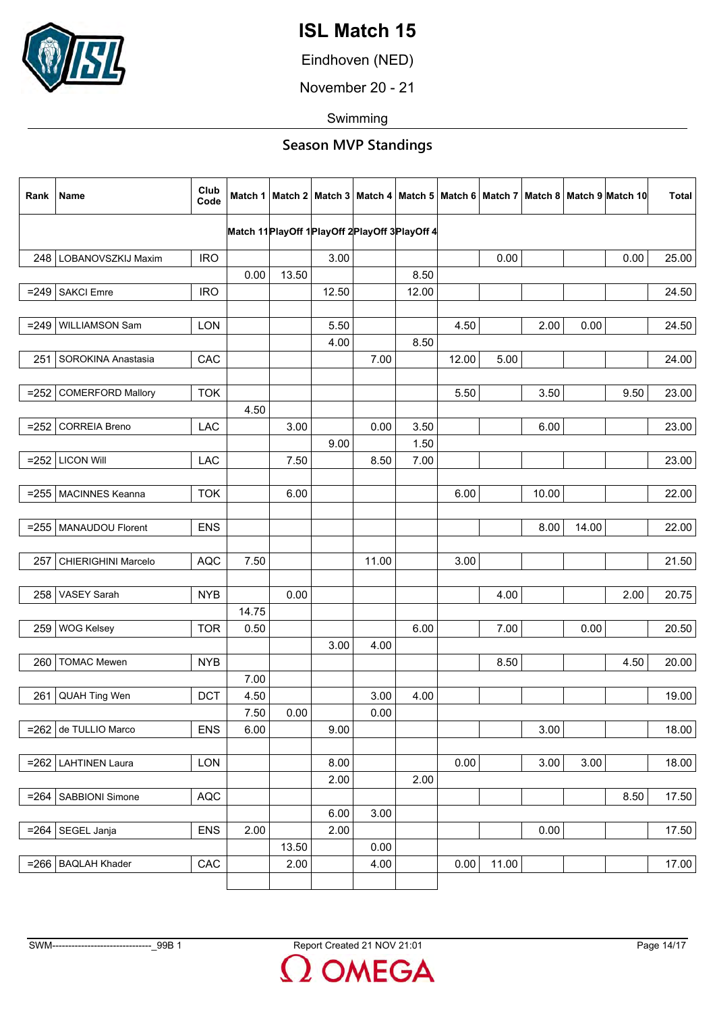

Eindhoven (NED)

November 20 - 21

Swimming

| Rank    | Name                     | Club<br>Code |       |       |                                                  |       |       |       |       |       |       | Match 1   Match 2   Match 3   Match 4   Match 5   Match 6   Match 7   Match 8   Match 9  Match 10 | <b>Total</b> |
|---------|--------------------------|--------------|-------|-------|--------------------------------------------------|-------|-------|-------|-------|-------|-------|---------------------------------------------------------------------------------------------------|--------------|
|         |                          |              |       |       | Match 11 PlayOff 1 PlayOff 2 PlayOff 3 PlayOff 4 |       |       |       |       |       |       |                                                                                                   |              |
|         |                          |              |       |       |                                                  |       |       |       |       |       |       |                                                                                                   |              |
|         | 248   LOBANOVSZKIJ Maxim | <b>IRO</b>   | 0.00  | 13.50 | 3.00                                             |       | 8.50  |       | 0.00  |       |       | 0.00                                                                                              | 25.00        |
|         | <b>SAKCI Emre</b>        | <b>IRO</b>   |       |       | 12.50                                            |       | 12.00 |       |       |       |       |                                                                                                   | 24.50        |
| $= 249$ |                          |              |       |       |                                                  |       |       |       |       |       |       |                                                                                                   |              |
| $= 249$ | WILLIAMSON Sam           | <b>LON</b>   |       |       | 5.50                                             |       |       | 4.50  |       | 2.00  | 0.00  |                                                                                                   | 24.50        |
|         |                          |              |       |       | 4.00                                             |       | 8.50  |       |       |       |       |                                                                                                   |              |
| 251     | SOROKINA Anastasia       | CAC          |       |       |                                                  | 7.00  |       | 12.00 | 5.00  |       |       |                                                                                                   | 24.00        |
|         |                          |              |       |       |                                                  |       |       |       |       |       |       |                                                                                                   |              |
| $= 252$ | <b>COMERFORD Mallory</b> | <b>TOK</b>   |       |       |                                                  |       |       | 5.50  |       | 3.50  |       | 9.50                                                                                              | 23.00        |
|         |                          |              | 4.50  |       |                                                  |       |       |       |       |       |       |                                                                                                   |              |
| $= 252$ | <b>CORREIA Breno</b>     | LAC          |       | 3.00  |                                                  | 0.00  | 3.50  |       |       | 6.00  |       |                                                                                                   | 23.00        |
|         |                          |              |       |       | 9.00                                             |       | 1.50  |       |       |       |       |                                                                                                   |              |
|         | $= 252$ LICON Will       | LAC          |       | 7.50  |                                                  | 8.50  | 7.00  |       |       |       |       |                                                                                                   | 23.00        |
|         |                          |              |       |       |                                                  |       |       |       |       |       |       |                                                                                                   |              |
|         | =255   MACINNES Keanna   | <b>TOK</b>   |       | 6.00  |                                                  |       |       | 6.00  |       | 10.00 |       |                                                                                                   | 22.00        |
|         |                          |              |       |       |                                                  |       |       |       |       |       |       |                                                                                                   |              |
| $= 255$ | MANAUDOU Florent         | <b>ENS</b>   |       |       |                                                  |       |       |       |       | 8.00  | 14.00 |                                                                                                   | 22.00        |
|         |                          |              |       |       |                                                  |       |       |       |       |       |       |                                                                                                   |              |
| 257     | CHIERIGHINI Marcelo      | <b>AQC</b>   | 7.50  |       |                                                  | 11.00 |       | 3.00  |       |       |       |                                                                                                   | 21.50        |
|         |                          |              |       |       |                                                  |       |       |       |       |       |       |                                                                                                   |              |
| 258     | <b>VASEY Sarah</b>       | <b>NYB</b>   |       | 0.00  |                                                  |       |       |       | 4.00  |       |       | 2.00                                                                                              | 20.75        |
|         |                          |              | 14.75 |       |                                                  |       |       |       |       |       |       |                                                                                                   |              |
| 259     | <b>WOG Kelsey</b>        | <b>TOR</b>   | 0.50  |       |                                                  |       | 6.00  |       | 7.00  |       | 0.00  |                                                                                                   | 20.50        |
|         |                          |              |       |       | 3.00                                             | 4.00  |       |       |       |       |       |                                                                                                   |              |
| 260     | <b>TOMAC Mewen</b>       | <b>NYB</b>   | 7.00  |       |                                                  |       |       |       | 8.50  |       |       | 4.50                                                                                              | 20.00        |
| 261     | QUAH Ting Wen            | <b>DCT</b>   | 4.50  |       |                                                  | 3.00  | 4.00  |       |       |       |       |                                                                                                   | 19.00        |
|         |                          |              | 7.50  | 0.00  |                                                  | 0.00  |       |       |       |       |       |                                                                                                   |              |
|         | $= 262$ de TULLIO Marco  | <b>ENS</b>   | 6.00  |       | 9.00                                             |       |       |       |       | 3.00  |       |                                                                                                   | 18.00        |
|         |                          |              |       |       |                                                  |       |       |       |       |       |       |                                                                                                   |              |
|         | =262   LAHTINEN Laura    | LON          |       |       | 8.00                                             |       |       | 0.00  |       | 3.00  | 3.00  |                                                                                                   | 18.00        |
|         |                          |              |       |       | 2.00                                             |       | 2.00  |       |       |       |       |                                                                                                   |              |
| $= 264$ | SABBIONI Simone          | AQC          |       |       |                                                  |       |       |       |       |       |       | 8.50                                                                                              | 17.50        |
|         |                          |              |       |       | 6.00                                             | 3.00  |       |       |       |       |       |                                                                                                   |              |
| $= 264$ | SEGEL Janja              | <b>ENS</b>   | 2.00  |       | 2.00                                             |       |       |       |       | 0.00  |       |                                                                                                   | 17.50        |
|         |                          |              |       | 13.50 |                                                  | 0.00  |       |       |       |       |       |                                                                                                   |              |
|         | $= 266$ BAQLAH Khader    | CAC          |       | 2.00  |                                                  | 4.00  |       | 0.00  | 11.00 |       |       |                                                                                                   | 17.00        |
|         |                          |              |       |       |                                                  |       |       |       |       |       |       |                                                                                                   |              |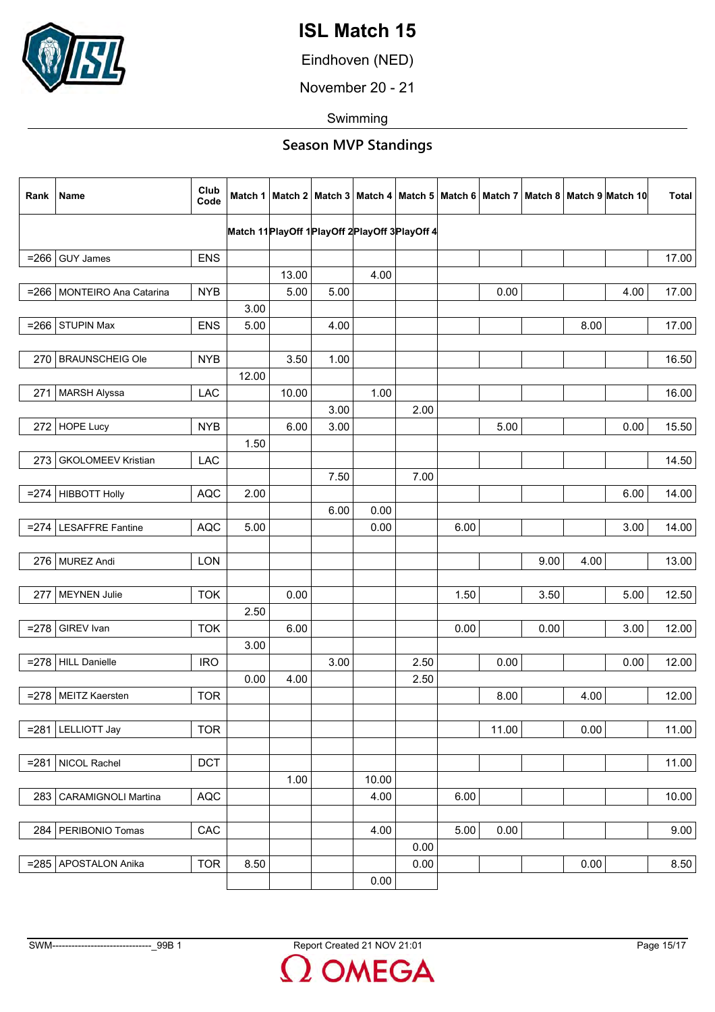

Eindhoven (NED)

November 20 - 21

Swimming

| Rank    | Name                         | Club<br>Code |                                                      |       |      |       |      |      |       |      |      | Match 1   Match 2   Match 3   Match 4   Match 5   Match 6   Match 7   Match 8   Match 9   Match 10 | <b>Total</b> |
|---------|------------------------------|--------------|------------------------------------------------------|-------|------|-------|------|------|-------|------|------|----------------------------------------------------------------------------------------------------|--------------|
|         |                              |              | Match 11 Play Off 1 Play Off 2 Play Off 3 Play Off 4 |       |      |       |      |      |       |      |      |                                                                                                    |              |
| $= 266$ | <b>GUY James</b>             | <b>ENS</b>   |                                                      |       |      |       |      |      |       |      |      |                                                                                                    | 17.00        |
|         |                              |              |                                                      | 13.00 |      | 4.00  |      |      |       |      |      |                                                                                                    |              |
|         | =266   MONTEIRO Ana Catarina | <b>NYB</b>   |                                                      | 5.00  | 5.00 |       |      |      | 0.00  |      |      | 4.00                                                                                               | 17.00        |
|         |                              |              | 3.00                                                 |       |      |       |      |      |       |      |      |                                                                                                    |              |
| $= 266$ | <b>STUPIN Max</b>            | <b>ENS</b>   | 5.00                                                 |       | 4.00 |       |      |      |       |      | 8.00 |                                                                                                    | 17.00        |
|         |                              |              |                                                      |       |      |       |      |      |       |      |      |                                                                                                    |              |
|         | 270 BRAUNSCHEIG Ole          | <b>NYB</b>   |                                                      | 3.50  | 1.00 |       |      |      |       |      |      |                                                                                                    | 16.50        |
|         |                              |              | 12.00                                                |       |      |       |      |      |       |      |      |                                                                                                    |              |
| 271     | <b>MARSH Alyssa</b>          | LAC          |                                                      | 10.00 |      | 1.00  |      |      |       |      |      |                                                                                                    | 16.00        |
|         |                              |              |                                                      |       | 3.00 |       | 2.00 |      |       |      |      |                                                                                                    |              |
| 272     | <b>HOPE Lucy</b>             | <b>NYB</b>   |                                                      | 6.00  | 3.00 |       |      |      | 5.00  |      |      | 0.00                                                                                               | 15.50        |
|         |                              |              | 1.50                                                 |       |      |       |      |      |       |      |      |                                                                                                    |              |
| 273     | <b>GKOLOMEEV Kristian</b>    | LAC          |                                                      |       |      |       |      |      |       |      |      |                                                                                                    | 14.50        |
|         |                              |              |                                                      |       | 7.50 |       | 7.00 |      |       |      |      |                                                                                                    |              |
|         | $= 274$ HIBBOTT Holly        | <b>AQC</b>   | 2.00                                                 |       |      |       |      |      |       |      |      | 6.00                                                                                               | 14.00        |
|         |                              |              |                                                      |       | 6.00 | 0.00  |      |      |       |      |      |                                                                                                    |              |
| $= 274$ | <b>LESAFFRE Fantine</b>      | <b>AQC</b>   | 5.00                                                 |       |      | 0.00  |      | 6.00 |       |      |      | 3.00                                                                                               | 14.00        |
|         |                              |              |                                                      |       |      |       |      |      |       |      |      |                                                                                                    |              |
|         | 276 MUREZ Andi               | <b>LON</b>   |                                                      |       |      |       |      |      |       | 9.00 | 4.00 |                                                                                                    | 13.00        |
|         |                              |              |                                                      |       |      |       |      |      |       |      |      |                                                                                                    |              |
| 277     | <b>MEYNEN Julie</b>          | <b>TOK</b>   |                                                      | 0.00  |      |       |      | 1.50 |       | 3.50 |      | 5.00                                                                                               | 12.50        |
|         |                              |              | 2.50                                                 |       |      |       |      |      |       |      |      |                                                                                                    |              |
| $= 278$ | GIREV Ivan                   | <b>TOK</b>   |                                                      | 6.00  |      |       |      | 0.00 |       | 0.00 |      | 3.00                                                                                               | 12.00        |
|         |                              |              | 3.00                                                 |       |      |       |      |      |       |      |      |                                                                                                    |              |
|         | =278 HILL Danielle           | <b>IRO</b>   |                                                      |       | 3.00 |       | 2.50 |      | 0.00  |      |      | 0.00                                                                                               | 12.00        |
|         |                              |              | 0.00                                                 | 4.00  |      |       | 2.50 |      |       |      |      |                                                                                                    |              |
|         | =278   MEITZ Kaersten        | <b>TOR</b>   |                                                      |       |      |       |      |      | 8.00  |      | 4.00 |                                                                                                    | 12.00        |
|         |                              |              |                                                      |       |      |       |      |      |       |      |      |                                                                                                    |              |
| $= 281$ | <b>LELLIOTT Jay</b>          | <b>TOR</b>   |                                                      |       |      |       |      |      | 11.00 |      | 0.00 |                                                                                                    | 11.00        |
|         |                              |              |                                                      |       |      |       |      |      |       |      |      |                                                                                                    |              |
| $= 281$ | NICOL Rachel                 | <b>DCT</b>   |                                                      |       |      |       |      |      |       |      |      |                                                                                                    | 11.00        |
|         |                              |              |                                                      | 1.00  |      | 10.00 |      |      |       |      |      |                                                                                                    |              |
| 283     | <b>CARAMIGNOLI Martina</b>   | AQC          |                                                      |       |      | 4.00  |      | 6.00 |       |      |      |                                                                                                    | 10.00        |
|         |                              |              |                                                      |       |      |       |      |      |       |      |      |                                                                                                    |              |
| 284     | PERIBONIO Tomas              | CAC          |                                                      |       |      | 4.00  |      | 5.00 | 0.00  |      |      |                                                                                                    | 9.00         |
|         |                              |              |                                                      |       |      |       | 0.00 |      |       |      |      |                                                                                                    |              |
| $= 285$ | APOSTALON Anika              | <b>TOR</b>   | 8.50                                                 |       |      |       | 0.00 |      |       |      | 0.00 |                                                                                                    | 8.50         |
|         |                              |              |                                                      |       |      | 0.00  |      |      |       |      |      |                                                                                                    |              |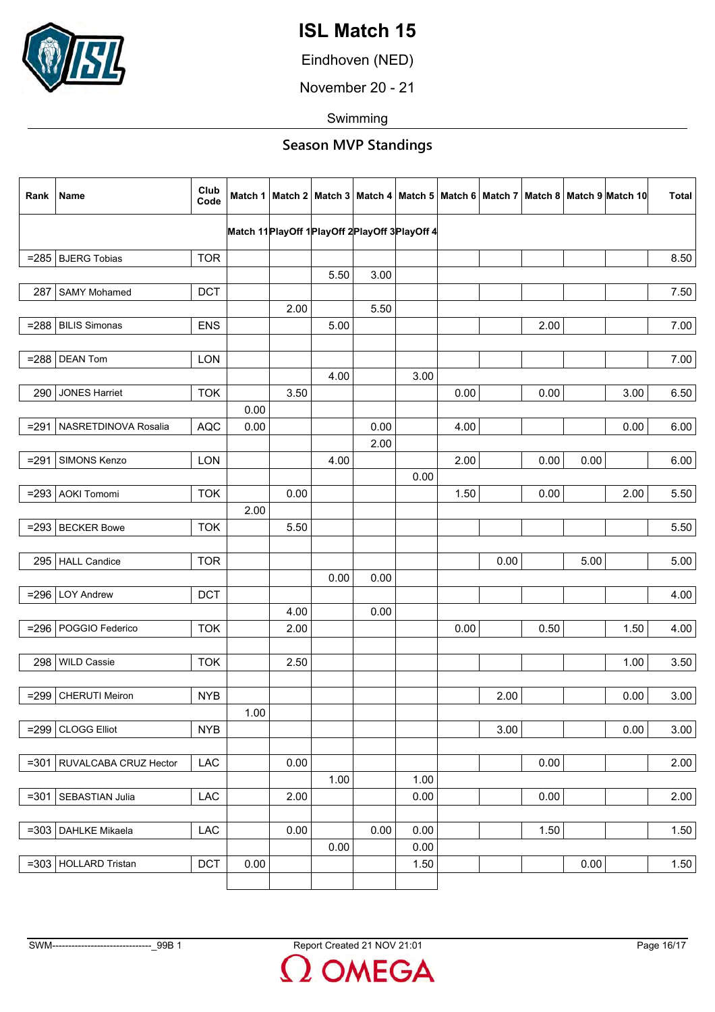

Eindhoven (NED)

November 20 - 21

Swimming

| Rank    | Name                         | Club<br>Code |      |      |      |                                                  |      |      |      |      |      | Match 1   Match 2   Match 3   Match 4   Match 5   Match 6   Match 7   Match 8   Match 9   Match 10 | <b>Total</b> |
|---------|------------------------------|--------------|------|------|------|--------------------------------------------------|------|------|------|------|------|----------------------------------------------------------------------------------------------------|--------------|
|         |                              |              |      |      |      | Match 11 PlayOff 1 PlayOff 2 PlayOff 3 PlayOff 4 |      |      |      |      |      |                                                                                                    |              |
|         | $= 285$ BJERG Tobias         | <b>TOR</b>   |      |      |      |                                                  |      |      |      |      |      |                                                                                                    | 8.50         |
|         |                              |              |      |      | 5.50 | 3.00                                             |      |      |      |      |      |                                                                                                    |              |
| 287     | <b>SAMY Mohamed</b>          | <b>DCT</b>   |      |      |      |                                                  |      |      |      |      |      |                                                                                                    | 7.50         |
|         |                              |              |      | 2.00 |      | 5.50                                             |      |      |      |      |      |                                                                                                    |              |
| $= 288$ | <b>BILIS Simonas</b>         | <b>ENS</b>   |      |      | 5.00 |                                                  |      |      |      | 2.00 |      |                                                                                                    | 7.00         |
|         |                              |              |      |      |      |                                                  |      |      |      |      |      |                                                                                                    |              |
|         | $= 288$ DEAN Tom             | LON          |      |      |      |                                                  |      |      |      |      |      |                                                                                                    | 7.00         |
|         |                              |              |      |      | 4.00 |                                                  | 3.00 |      |      |      |      |                                                                                                    |              |
| 290     | <b>JONES Harriet</b>         | <b>TOK</b>   |      | 3.50 |      |                                                  |      | 0.00 |      | 0.00 |      | 3.00                                                                                               | 6.50         |
|         |                              |              | 0.00 |      |      |                                                  |      |      |      |      |      |                                                                                                    |              |
| $= 291$ | NASRETDINOVA Rosalia         | <b>AQC</b>   | 0.00 |      |      | 0.00                                             |      | 4.00 |      |      |      | 0.00                                                                                               | 6.00         |
|         |                              |              |      |      |      | 2.00                                             |      |      |      |      |      |                                                                                                    |              |
| $= 291$ | SIMONS Kenzo                 | <b>LON</b>   |      |      | 4.00 |                                                  |      | 2.00 |      | 0.00 | 0.00 |                                                                                                    | 6.00         |
|         |                              |              |      |      |      |                                                  | 0.00 |      |      |      |      |                                                                                                    |              |
| $= 293$ | <b>AOKI Tomomi</b>           | <b>TOK</b>   |      | 0.00 |      |                                                  |      | 1.50 |      | 0.00 |      | 2.00                                                                                               | 5.50         |
|         |                              |              | 2.00 |      |      |                                                  |      |      |      |      |      |                                                                                                    |              |
| $= 293$ | <b>BECKER Bowe</b>           | <b>TOK</b>   |      | 5.50 |      |                                                  |      |      |      |      |      |                                                                                                    | 5.50         |
|         |                              |              |      |      |      |                                                  |      |      |      |      |      |                                                                                                    |              |
|         | 295 HALL Candice             | <b>TOR</b>   |      |      |      |                                                  |      |      | 0.00 |      | 5.00 |                                                                                                    | 5.00         |
|         |                              |              |      |      | 0.00 | 0.00                                             |      |      |      |      |      |                                                                                                    |              |
|         | $= 296$ LOY Andrew           | <b>DCT</b>   |      |      |      |                                                  |      |      |      |      |      |                                                                                                    | 4.00         |
|         |                              |              |      | 4.00 |      | 0.00                                             |      |      |      |      |      |                                                                                                    |              |
| $= 296$ | POGGIO Federico              | <b>TOK</b>   |      | 2.00 |      |                                                  |      | 0.00 |      | 0.50 |      | 1.50                                                                                               | 4.00         |
|         |                              |              |      |      |      |                                                  |      |      |      |      |      |                                                                                                    |              |
|         | 298 WILD Cassie              | <b>TOK</b>   |      | 2.50 |      |                                                  |      |      |      |      |      | 1.00                                                                                               | 3.50         |
|         |                              |              |      |      |      |                                                  |      |      |      |      |      |                                                                                                    |              |
| $= 299$ | <b>CHERUTI Meiron</b>        | <b>NYB</b>   |      |      |      |                                                  |      |      | 2.00 |      |      | 0.00                                                                                               | 3.00         |
|         |                              |              | 1.00 |      |      |                                                  |      |      |      |      |      |                                                                                                    |              |
| $= 299$ | <b>CLOGG Elliot</b>          | <b>NYB</b>   |      |      |      |                                                  |      |      | 3.00 |      |      | 0.00                                                                                               | 3.00         |
|         |                              |              |      |      |      |                                                  |      |      |      |      |      |                                                                                                    |              |
|         | =301   RUVALCABA CRUZ Hector | <b>LAC</b>   |      | 0.00 |      |                                                  |      |      |      | 0.00 |      |                                                                                                    | 2.00         |
|         |                              |              |      |      | 1.00 |                                                  | 1.00 |      |      |      |      |                                                                                                    |              |
| $= 301$ | SEBASTIAN Julia              | LAC          |      | 2.00 |      |                                                  | 0.00 |      |      | 0.00 |      |                                                                                                    | 2.00         |
|         |                              |              |      |      |      |                                                  |      |      |      |      |      |                                                                                                    |              |
| $= 303$ | <b>DAHLKE Mikaela</b>        | LAC          |      | 0.00 |      | 0.00                                             | 0.00 |      |      | 1.50 |      |                                                                                                    | 1.50         |
|         |                              |              |      |      | 0.00 |                                                  | 0.00 |      |      |      |      |                                                                                                    |              |
|         | $=303$ HOLLARD Tristan       | <b>DCT</b>   | 0.00 |      |      |                                                  | 1.50 |      |      |      | 0.00 |                                                                                                    | 1.50         |
|         |                              |              |      |      |      |                                                  |      |      |      |      |      |                                                                                                    |              |